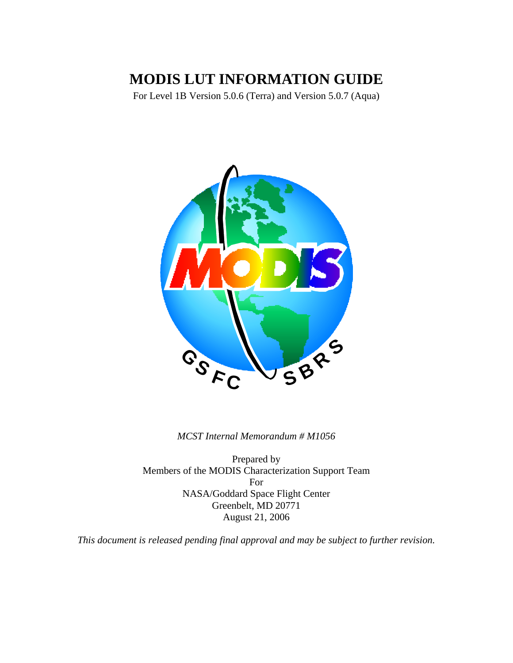# **MODIS LUT INFORMATION GUIDE**

For Level 1B Version 5.0.6 (Terra) and Version 5.0.7 (Aqua)



*MCST Internal Memorandum # M1056*

Prepared by Members of the MODIS Characterization Support Team For NASA/Goddard Space Flight Center Greenbelt, MD 20771 August 21, 2006

*This document is released pending final approval and may be subject to further revision.*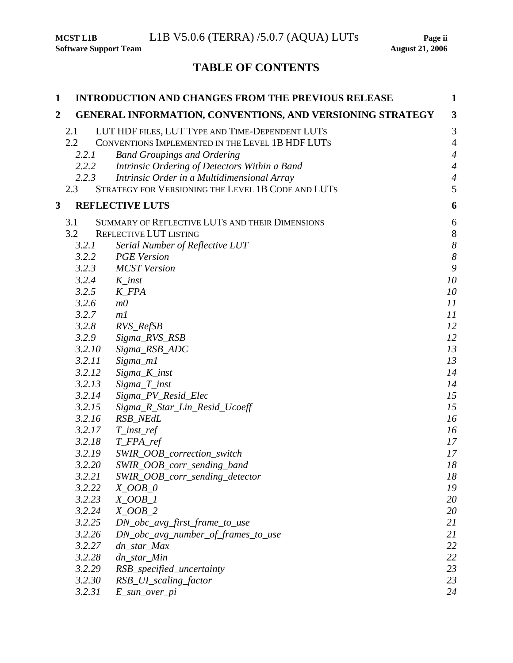# **TABLE OF CONTENTS**

| 1 |                                              | <b>INTRODUCTION AND CHANGES FROM THE PREVIOUS RELEASE</b>                                                                                                                                                                                                                                       | $\mathbf{1}$                                                                   |
|---|----------------------------------------------|-------------------------------------------------------------------------------------------------------------------------------------------------------------------------------------------------------------------------------------------------------------------------------------------------|--------------------------------------------------------------------------------|
| 2 |                                              | GENERAL INFORMATION, CONVENTIONS, AND VERSIONING STRATEGY                                                                                                                                                                                                                                       | $\mathbf{3}$                                                                   |
|   | 2.1<br>2.2<br>2.2.1<br>2.2.2<br>2.2.3<br>2.3 | LUT HDF FILES, LUT TYPE AND TIME-DEPENDENT LUTS<br>CONVENTIONS IMPLEMENTED IN THE LEVEL 1B HDF LUTS<br><b>Band Groupings and Ordering</b><br>Intrinsic Ordering of Detectors Within a Band<br>Intrinsic Order in a Multidimensional Array<br>STRATEGY FOR VERSIONING THE LEVEL 1B CODE AND LUTS | 3<br>$\overline{4}$<br>$\overline{4}$<br>$\overline{4}$<br>$\overline{4}$<br>5 |
| 3 |                                              | <b>REFLECTIVE LUTS</b>                                                                                                                                                                                                                                                                          | 6                                                                              |
|   |                                              |                                                                                                                                                                                                                                                                                                 |                                                                                |
|   | 3.1<br>3.2                                   | SUMMARY OF REFLECTIVE LUTS AND THEIR DIMENSIONS<br><b>REFLECTIVE LUT LISTING</b>                                                                                                                                                                                                                | 6<br>$\,8\,$                                                                   |
|   |                                              |                                                                                                                                                                                                                                                                                                 | $\boldsymbol{8}$                                                               |
|   | 3.2.1<br>3.2.2                               | Serial Number of Reflective LUT<br><b>PGE</b> Version                                                                                                                                                                                                                                           | $\boldsymbol{\delta}$                                                          |
|   | 3.2.3                                        | <b>MCST</b> Version                                                                                                                                                                                                                                                                             | 9                                                                              |
|   | 3.2.4                                        | $K_{\_}inst$                                                                                                                                                                                                                                                                                    | 10                                                                             |
|   | 3.2.5                                        | $K$ <sub>FPA</sub>                                                                                                                                                                                                                                                                              | 10                                                                             |
|   | 3.2.6                                        | m <sub>0</sub>                                                                                                                                                                                                                                                                                  | II                                                                             |
|   | 3.2.7                                        | m <sub>l</sub>                                                                                                                                                                                                                                                                                  | II                                                                             |
|   | 3.2.8                                        | RVS_RefSB                                                                                                                                                                                                                                                                                       | 12                                                                             |
|   | 3.2.9                                        | Sigma_RVS_RSB                                                                                                                                                                                                                                                                                   | 12                                                                             |
|   | 3.2.10                                       | Sigma_RSB_ADC                                                                                                                                                                                                                                                                                   | 13                                                                             |
|   | 3.2.11                                       | Sigma_m1                                                                                                                                                                                                                                                                                        | 13                                                                             |
|   | 3.2.12                                       | Sigma_K_inst                                                                                                                                                                                                                                                                                    | 14                                                                             |
|   | 3.2.13                                       | $Sigma_T$ inst                                                                                                                                                                                                                                                                                  | 14                                                                             |
|   | 3.2.14                                       | Sigma_PV_Resid_Elec                                                                                                                                                                                                                                                                             | 15                                                                             |
|   | 3.2.15                                       | Sigma_R_Star_Lin_Resid_Ucoeff                                                                                                                                                                                                                                                                   | 15                                                                             |
|   | 3.2.16                                       | RSB_NEdL                                                                                                                                                                                                                                                                                        | 16                                                                             |
|   | 3.2.17                                       | $T\_inst\_ref$                                                                                                                                                                                                                                                                                  | 16                                                                             |
|   | 3.2.18                                       | $T$ <sub>_FPA_ref</sub>                                                                                                                                                                                                                                                                         | 17                                                                             |
|   | 3.2.19                                       | SWIR_OOB_correction_switch                                                                                                                                                                                                                                                                      | 17                                                                             |
|   | 3.2.20                                       | SWIR_OOB_corr_sending_band                                                                                                                                                                                                                                                                      | 18                                                                             |
|   | 3.2.21                                       | SWIR_OOB_corr_sending_detector                                                                                                                                                                                                                                                                  | 18                                                                             |
|   | 3.2.22                                       | $X_OOB_O$                                                                                                                                                                                                                                                                                       | 19                                                                             |
|   | 3.2.23<br>3.2.24                             | $X_OOB_I$<br>$X_OOB_2$                                                                                                                                                                                                                                                                          | 20<br>20                                                                       |
|   | 3.2.25                                       | DN_obc_avg_first_frame_to_use                                                                                                                                                                                                                                                                   | 21                                                                             |
|   | 3.2.26                                       | $DN\_obc\_{avg\_number\_of\_frames\_to\_use}$                                                                                                                                                                                                                                                   | 21                                                                             |
|   | 3.2.27                                       | dn_star_Max                                                                                                                                                                                                                                                                                     | 22                                                                             |
|   | 3.2.28                                       | dn_star_Min                                                                                                                                                                                                                                                                                     | 22                                                                             |
|   | 3.2.29                                       | RSB_specified_uncertainty                                                                                                                                                                                                                                                                       | 23                                                                             |
|   | 3.2.30                                       | RSB_UI_scaling_factor                                                                                                                                                                                                                                                                           | 23                                                                             |
|   | 3.2.31                                       | E_sun_over_pi                                                                                                                                                                                                                                                                                   | 24                                                                             |
|   |                                              |                                                                                                                                                                                                                                                                                                 |                                                                                |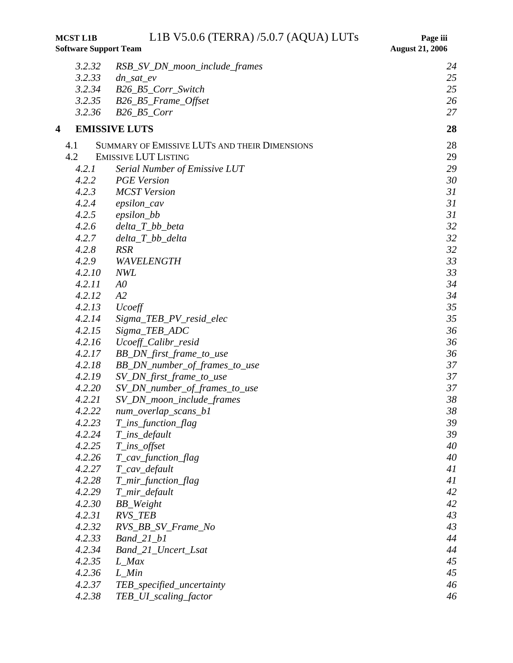**MCST L1B** L1B V5.0.6 (TERRA) /5.0.7 (AQUA) LUTs Page iii<br>Software Support Team August 21, 2006

**Software Support Team** 

|   | 3.2.32 | RSB_SV_DN_moon_include_frames                 | 24       |
|---|--------|-----------------------------------------------|----------|
|   | 3.2.33 | $dn\_sat\_ev$                                 | 25       |
|   | 3.2.34 | B26_B5_Corr_Switch                            | 25       |
|   | 3.2.35 | B26_B5_Frame_Offset                           | 26       |
|   | 3.2.36 | $B26\_B5\_Corr$                               | 27       |
| 4 |        | <b>EMISSIVE LUTS</b>                          | 28       |
|   | 4.1    | SUMMARY OF EMISSIVE LUTS AND THEIR DIMENSIONS | 28       |
|   | 4.2    | <b>EMISSIVE LUT LISTING</b>                   | 29       |
|   | 4.2.1  | Serial Number of Emissive LUT                 | 29       |
|   | 4.2.2  | <b>PGE</b> Version                            | 30       |
|   | 4.2.3  | <b>MCST</b> Version                           | 31       |
|   | 4.2.4  | epsilon_cav                                   | 31       |
|   | 4.2.5  | epsilon_bb                                    | 31       |
|   | 4.2.6  | $delta_T_b$ bb_beta                           | 32       |
|   | 4.2.7  | $delta_T$ bb_delta                            | 32       |
|   | 4.2.8  | <b>RSR</b>                                    | 32       |
|   | 4.2.9  | WAVELENGTH                                    | 33       |
|   | 4.2.10 | <b>NWL</b>                                    | 33       |
|   | 4.2.11 | A <sub>0</sub>                                | 34       |
|   | 4.2.12 | A2                                            | 34       |
|   | 4.2.13 | Ucoeff                                        | 35       |
|   | 4.2.14 | Sigma_TEB_PV_resid_elec                       | 35       |
|   | 4.2.15 | Sigma_TEB_ADC                                 | 36       |
|   | 4.2.16 | Ucoeff_Calibr_resid                           | 36       |
|   | 4.2.17 | BB_DN_first_frame_to_use                      | 36       |
|   | 4.2.18 | BB_DN_number_of_frames_to_use                 | 37       |
|   | 4.2.19 | SV_DN_first_frame_to_use                      | 37       |
|   | 4.2.20 | SV_DN_number_of_frames_to_use                 | 37       |
|   | 4.2.21 | SV_DN_moon_include_frames                     | 38       |
|   | 4.2.22 | num_overlap_scans_b1                          | 38       |
|   | 4.2.23 | T_ins_function_flag                           | 39       |
|   | 4.2.24 | T_ins_default                                 | 39       |
|   | 4.2.25 | $T_{\text{in}}s_{\text{off}}$ set             | 40       |
|   | 4.2.26 | T_cav_function_flag                           | 40       |
|   | 4.2.27 | T_cav_default                                 | 41       |
|   | 4.2.28 | T_mir_function_flag                           | 41       |
|   | 4.2.29 | T_mir_default                                 | 42       |
|   | 4.2.30 | BB_Weight                                     | 42       |
|   | 4.2.31 | <b>RVS_TEB</b>                                | 43       |
|   | 4.2.32 | RVS_BB_SV_Frame_No                            | 43<br>44 |
|   | 4.2.33 | $Band_21_b1$                                  |          |
|   | 4.2.34 | Band_21_Uncert_Lsat                           | 44       |
|   | 4.2.35 | $L_Max$                                       | 45       |
|   | 4.2.36 | $L$ <sub><i>Min</i></sub>                     | 45       |
|   | 4.2.37 | TEB_specified_uncertainty                     | 46       |
|   | 4.2.38 | TEB_UI_scaling_factor                         | 46       |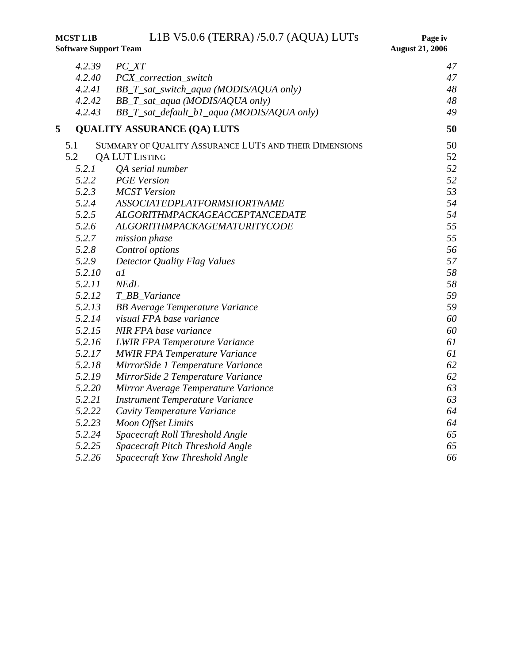**MCST L1B** L1B V5.0.6 (TERRA) /5.0.7 (AQUA) LUTs Page iv <br>Software Support Team August 21, 2006

|   | 4.2.39 | $PC\_XT$                                               | 47 |
|---|--------|--------------------------------------------------------|----|
|   | 4.2.40 | PCX_correction_switch                                  | 47 |
|   | 4.2.41 | BB_T_sat_switch_aqua (MODIS/AQUA only)                 | 48 |
|   | 4.2.42 | BB_T_sat_aqua (MODIS/AQUA only)                        | 48 |
|   | 4.2.43 | BB_T_sat_default_b1_aqua (MODIS/AQUA only)             | 49 |
| 5 |        | <b>QUALITY ASSURANCE (QA) LUTS</b>                     | 50 |
|   | 5.1    | SUMMARY OF QUALITY ASSURANCE LUTS AND THEIR DIMENSIONS | 50 |
|   | 5.2    | <b>QALUTLISTING</b>                                    | 52 |
|   | 5.2.1  | QA serial number                                       | 52 |
|   | 5.2.2  | <b>PGE</b> Version                                     | 52 |
|   | 5.2.3  | <b>MCST</b> Version                                    | 53 |
|   | 5.2.4  | <b>ASSOCIATEDPLATFORMSHORTNAME</b>                     | 54 |
|   | 5.2.5  | ALGORITHMPACKAGEACCEPTANCEDATE                         | 54 |
|   | 5.2.6  | ALGORITHMPACKAGEMATURITYCODE                           | 55 |
|   | 5.2.7  | mission phase                                          | 55 |
|   | 5.2.8  | Control options                                        | 56 |
|   | 5.2.9  | Detector Quality Flag Values                           | 57 |
|   | 5.2.10 | a1                                                     | 58 |
|   | 5.2.11 | <b>NEdL</b>                                            | 58 |
|   | 5.2.12 | T_BB_Variance                                          | 59 |
|   | 5.2.13 | <b>BB</b> Average Temperature Variance                 | 59 |
|   | 5.2.14 | visual FPA base variance                               | 60 |
|   | 5.2.15 | NIR FPA base variance                                  | 60 |
|   | 5.2.16 | <b>LWIR FPA Temperature Variance</b>                   | 61 |
|   | 5.2.17 | <b>MWIR FPA Temperature Variance</b>                   | 61 |
|   | 5.2.18 | MirrorSide 1 Temperature Variance                      | 62 |
|   | 5.2.19 | MirrorSide 2 Temperature Variance                      | 62 |
|   | 5.2.20 | Mirror Average Temperature Variance                    | 63 |
|   | 5.2.21 | <b>Instrument Temperature Variance</b>                 | 63 |
|   | 5.2.22 | Cavity Temperature Variance                            | 64 |
|   | 5.2.23 | <b>Moon Offset Limits</b>                              | 64 |
|   | 5.2.24 | Spacecraft Roll Threshold Angle                        | 65 |
|   | 5.2.25 | Spacecraft Pitch Threshold Angle                       | 65 |
|   | 5.2.26 | Spacecraft Yaw Threshold Angle                         | 66 |

# **Software Support Team**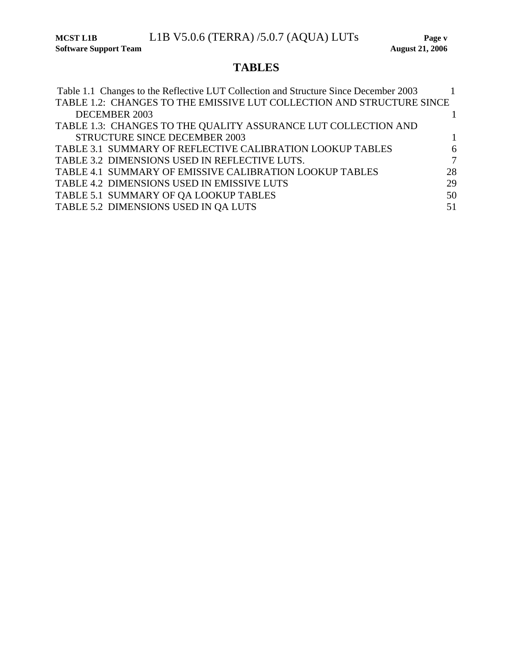**MCST L1B** L1B V5.0.6 (TERRA) /5.0.7 (AQUA) LUTs Page v <br>Software Support Team August 21, 2006

# **TABLES**

| Table 1.1 Changes to the Reflective LUT Collection and Structure Since December 2003 |    |
|--------------------------------------------------------------------------------------|----|
| TABLE 1.2: CHANGES TO THE EMISSIVE LUT COLLECTION AND STRUCTURE SINCE                |    |
| DECEMBER 2003                                                                        |    |
| TABLE 1.3: CHANGES TO THE QUALITY ASSURANCE LUT COLLECTION AND                       |    |
| <b>STRUCTURE SINCE DECEMBER 2003</b>                                                 |    |
| TABLE 3.1 SUMMARY OF REFLECTIVE CALIBRATION LOOKUP TABLES                            | 6  |
| TABLE 3.2 DIMENSIONS USED IN REFLECTIVE LUTS.                                        | 7  |
| TABLE 4.1 SUMMARY OF EMISSIVE CALIBRATION LOOKUP TABLES                              | 28 |
| TABLE 4.2 DIMENSIONS USED IN EMISSIVE LUTS                                           | 29 |
| TABLE 5.1 SUMMARY OF QA LOOKUP TABLES                                                | 50 |
| TABLE 5.2 DIMENSIONS USED IN QA LUTS                                                 | 51 |
|                                                                                      |    |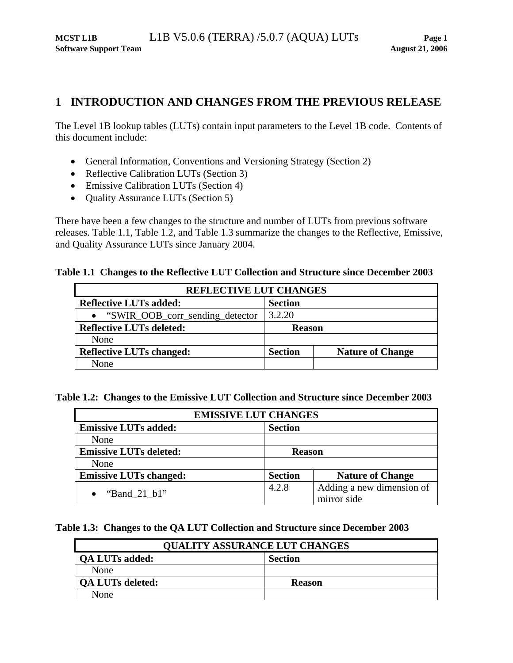## <span id="page-5-0"></span>**1 INTRODUCTION AND CHANGES FROM THE PREVIOUS RELEASE**

The Level 1B lookup tables (LUTs) contain input parameters to the Level 1B code. Contents of this document include:

- General Information, Conventions and Versioning Strategy (Section [2\)](#page-7-1)
- Reflective Calibration LUTs (Section [3\)](#page-10-1)
- Emissive Calibration LUTs (Section [4](#page-32-1))
- Quality Assurance LUTs (Section [5](#page-54-1))

There have been a few changes to the structure and number of LUTs from previous software releases. [Table 1.1,](#page-5-1) [Table 1.2,](#page-5-2) and [Table 1.3](#page-5-3) summarize the changes to the Reflective, Emissive, and Quality Assurance LUTs since January 2004.

## <span id="page-5-1"></span>**Table 1.1 Changes to the Reflective LUT Collection and Structure since December 2003**

| <b>REFLECTIVE LUT CHANGES</b>     |                |                         |  |
|-----------------------------------|----------------|-------------------------|--|
| <b>Reflective LUTs added:</b>     | <b>Section</b> |                         |  |
| • "SWIR_OOB_corr_sending_detector | 3.2.20         |                         |  |
| <b>Reflective LUTs deleted:</b>   | <b>Reason</b>  |                         |  |
| None                              |                |                         |  |
| <b>Reflective LUTs changed:</b>   | <b>Section</b> | <b>Nature of Change</b> |  |
| None                              |                |                         |  |

<span id="page-5-2"></span>**Table 1.2: Changes to the Emissive LUT Collection and Structure since December 2003** 

| <b>EMISSIVE LUT CHANGES</b>   |                |                                          |  |  |
|-------------------------------|----------------|------------------------------------------|--|--|
| <b>Emissive LUTs added:</b>   | <b>Section</b> |                                          |  |  |
| None                          |                |                                          |  |  |
| <b>Emissive LUTs deleted:</b> | <b>Reason</b>  |                                          |  |  |
| None                          |                |                                          |  |  |
| <b>Emissive LUTs changed:</b> | <b>Section</b> | <b>Nature of Change</b>                  |  |  |
| "Band 21 b1"                  | 4.2.8          | Adding a new dimension of<br>mirror side |  |  |

## <span id="page-5-3"></span>**Table 1.3: Changes to the QA LUT Collection and Structure since December 2003**

| <b>QUALITY ASSURANCE LUT CHANGES</b> |                |  |  |  |
|--------------------------------------|----------------|--|--|--|
| <b>QA LUTs added:</b>                | <b>Section</b> |  |  |  |
| None                                 |                |  |  |  |
| <b>QA LUTs deleted:</b>              | <b>Reason</b>  |  |  |  |
| None                                 |                |  |  |  |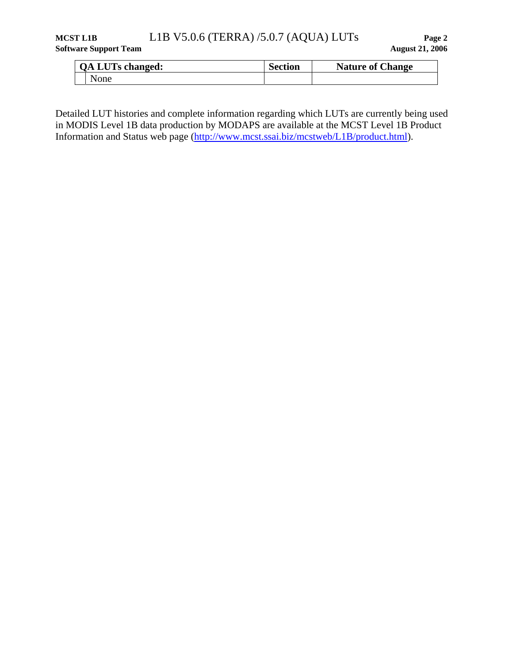## **MCST L1B** L1B V5.0.6 (TERRA) /5.0.7 (AQUA) LUTs **Page 2**

|  | <b>QA LUTs changed:</b> | <b>Section</b> | <b>Nature of Change</b> |
|--|-------------------------|----------------|-------------------------|
|  | None                    |                |                         |

Detailed LUT histories and complete information regarding which LUTs are currently being used in MODIS Level 1B data production by MODAPS are available at the MCST Level 1B Product Information and Status web page (<http://www.mcst.ssai.biz/mcstweb/L1B/product.html>).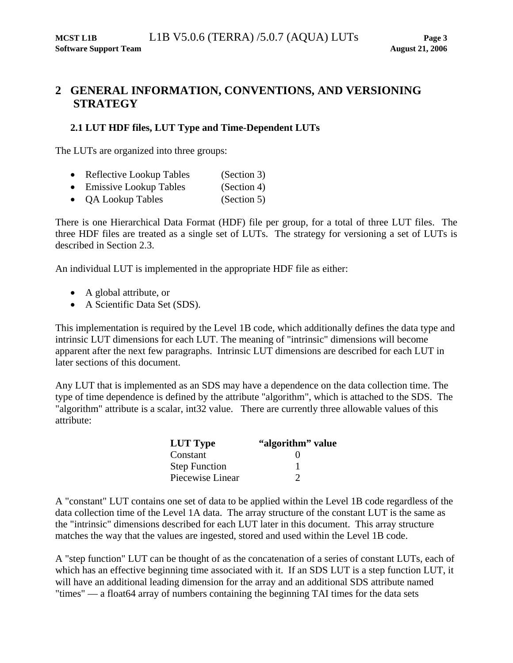## <span id="page-7-1"></span><span id="page-7-0"></span>**2 GENERAL INFORMATION, CONVENTIONS, AND VERSIONING STRATEGY**

## **2.1 LUT HDF files, LUT Type and Time-Dependent LUTs**

The LUTs are organized into three groups:

- Reflective Lookup Tables (Section [3\)](#page-10-1)
- Emissive Lookup Tables (Section [4\)](#page-32-1)
- OA Lookup Tables (Section [5\)](#page-54-1)

There is one Hierarchical Data Format (HDF) file per group, for a total of three LUT files. The three HDF files are treated as a single set of LUTs. The strategy for versioning a set of LUTs is described in Section [2.3](#page-9-1).

An individual LUT is implemented in the appropriate HDF file as either:

- A global attribute, or
- A Scientific Data Set (SDS).

This implementation is required by the Level 1B code, which additionally defines the data type and intrinsic LUT dimensions for each LUT. The meaning of "intrinsic" dimensions will become apparent after the next few paragraphs. Intrinsic LUT dimensions are described for each LUT in later sections of this document.

Any LUT that is implemented as an SDS may have a dependence on the data collection time. The type of time dependence is defined by the attribute "algorithm", which is attached to the SDS. The "algorithm" attribute is a scalar, int32 value. There are currently three allowable values of this attribute:

| <b>LUT Type</b>      | "algorithm" value |
|----------------------|-------------------|
| Constant             | $\mathbf{\Omega}$ |
| <b>Step Function</b> |                   |
| Piecewise Linear     | ∍                 |

A "constant" LUT contains one set of data to be applied within the Level 1B code regardless of the data collection time of the Level 1A data. The array structure of the constant LUT is the same as the "intrinsic" dimensions described for each LUT later in this document. This array structure matches the way that the values are ingested, stored and used within the Level 1B code.

A "step function" LUT can be thought of as the concatenation of a series of constant LUTs, each of which has an effective beginning time associated with it. If an SDS LUT is a step function LUT, it will have an additional leading dimension for the array and an additional SDS attribute named "times" — a float64 array of numbers containing the beginning TAI times for the data sets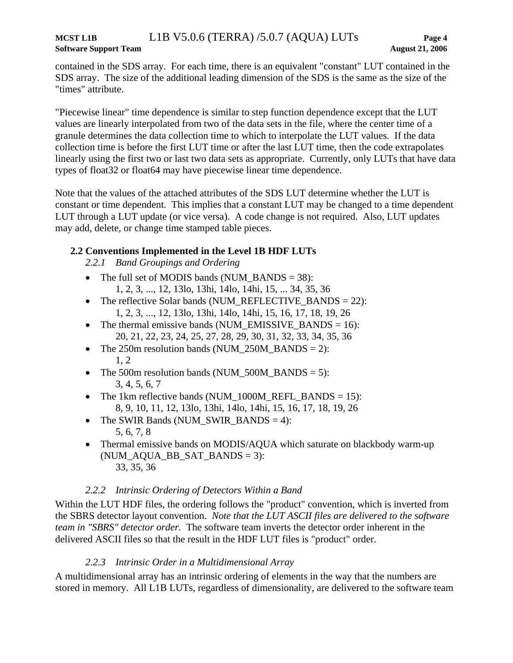<span id="page-8-0"></span>contained in the SDS array. For each time, there is an equivalent "constant" LUT contained in the SDS array. The size of the additional leading dimension of the SDS is the same as the size of the "times" attribute.

"Piecewise linear" time dependence is similar to step function dependence except that the LUT values are linearly interpolated from two of the data sets in the file, where the center time of a granule determines the data collection time to which to interpolate the LUT values. If the data collection time is before the first LUT time or after the last LUT time, then the code extrapolates linearly using the first two or last two data sets as appropriate. Currently, only LUTs that have data types of float32 or float64 may have piecewise linear time dependence.

Note that the values of the attached attributes of the SDS LUT determine whether the LUT is constant or time dependent. This implies that a constant LUT may be changed to a time dependent LUT through a LUT update (or vice versa). A code change is not required. Also, LUT updates may add, delete, or change time stamped table pieces.

## **2.2 Conventions Implemented in the Level 1B HDF LUTs**

*2.2.1 Band Groupings and Ordering* 

- The full set of MODIS bands (NUM\_BANDS = 38): 1, 2, 3, ..., 12, 13lo, 13hi, 14lo, 14hi, 15, ... 34, 35, 36
- The reflective Solar bands (NUM\_REFLECTIVE\_BANDS = 22): 1, 2, 3, ..., 12, 13lo, 13hi, 14lo, 14hi, 15, 16, 17, 18, 19, 26
- The thermal emissive bands (NUM\_EMISSIVE\_BANDS =  $16$ ): 20, 21, 22, 23, 24, 25, 27, 28, 29, 30, 31, 32, 33, 34, 35, 36
- The 250m resolution bands (NUM\_250M\_BANDS = 2): 1, 2
- The 500m resolution bands (NUM\_500M\_BANDS = 5): 3, 4, 5, 6, 7
- The 1km reflective bands (NUM\_1000M\_REFL\_BANDS = 15): 8, 9, 10, 11, 12, 13lo, 13hi, 14lo, 14hi, 15, 16, 17, 18, 19, 26
- The SWIR Bands (NUM\_SWIR\_BANDS = 4): 5, 6, 7, 8
- Thermal emissive bands on MODIS/AQUA which saturate on blackbody warm-up  $(NUM_AQUA_BB_SAT_BANDS = 3):$ 33, 35, 36

## *2.2.2 Intrinsic Ordering of Detectors Within a Band*

Within the LUT HDF files, the ordering follows the "product" convention, which is inverted from the SBRS detector layout convention. *Note that the LUT ASCII files are delivered to the software team in "SBRS" detector order.* The software team inverts the detector order inherent in the delivered ASCII files so that the result in the HDF LUT files is "product" order.

## *2.2.3 Intrinsic Order in a Multidimensional Array*

A multidimensional array has an intrinsic ordering of elements in the way that the numbers are stored in memory. All L1B LUTs, regardless of dimensionality, are delivered to the software team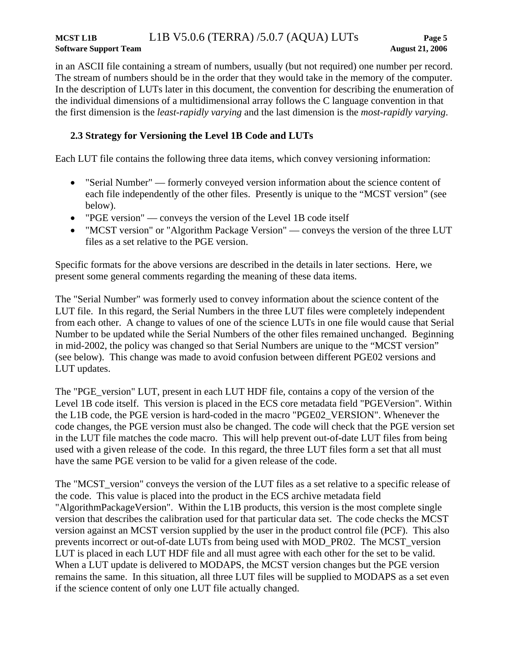#### <span id="page-9-0"></span>**MCST L1B** L1B V5.0.6 (TERRA) /5.0.7 (AQUA) LUTs **Page 5 Software Support Team August 21, 2006**

in an ASCII file containing a stream of numbers, usually (but not required) one number per record. The stream of numbers should be in the order that they would take in the memory of the computer. In the description of LUTs later in this document, the convention for describing the enumeration of the individual dimensions of a multidimensional array follows the C language convention in that the first dimension is the *least-rapidly varying* and the last dimension is the *most-rapidly varying*.

## **2.3 Strategy for Versioning the Level 1B Code and LUTs**

<span id="page-9-1"></span>Each LUT file contains the following three data items, which convey versioning information:

- "Serial Number" formerly conveyed version information about the science content of each file independently of the other files. Presently is unique to the "MCST version" (see below).
- "PGE version" conveys the version of the Level 1B code itself
- "MCST version" or "Algorithm Package Version" conveys the version of the three LUT files as a set relative to the PGE version.

Specific formats for the above versions are described in the details in later sections. Here, we present some general comments regarding the meaning of these data items.

The "Serial Number" was formerly used to convey information about the science content of the LUT file. In this regard, the Serial Numbers in the three LUT files were completely independent from each other. A change to values of one of the science LUTs in one file would cause that Serial Number to be updated while the Serial Numbers of the other files remained unchanged. Beginning in mid-2002, the policy was changed so that Serial Numbers are unique to the "MCST version" (see below). This change was made to avoid confusion between different PGE02 versions and LUT updates.

The "PGE\_version" LUT, present in each LUT HDF file, contains a copy of the version of the Level 1B code itself. This version is placed in the ECS core metadata field "PGEVersion". Within the L1B code, the PGE version is hard-coded in the macro "PGE02\_VERSION". Whenever the code changes, the PGE version must also be changed. The code will check that the PGE version set in the LUT file matches the code macro. This will help prevent out-of-date LUT files from being used with a given release of the code. In this regard, the three LUT files form a set that all must have the same PGE version to be valid for a given release of the code.

The "MCST\_version" conveys the version of the LUT files as a set relative to a specific release of the code. This value is placed into the product in the ECS archive metadata field "AlgorithmPackageVersion". Within the L1B products, this version is the most complete single version that describes the calibration used for that particular data set. The code checks the MCST version against an MCST version supplied by the user in the product control file (PCF). This also prevents incorrect or out-of-date LUTs from being used with MOD\_PR02. The MCST\_version LUT is placed in each LUT HDF file and all must agree with each other for the set to be valid. When a LUT update is delivered to MODAPS, the MCST version changes but the PGE version remains the same. In this situation, all three LUT files will be supplied to MODAPS as a set even if the science content of only one LUT file actually changed.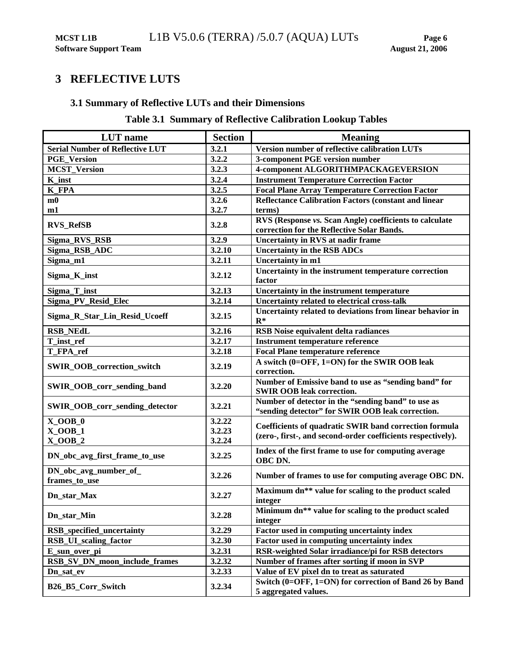## <span id="page-10-1"></span><span id="page-10-0"></span>**3 REFLECTIVE LUTS**

## **3.1 Summary of Reflective LUTs and their Dimensions**

## **Table 3.1 Summary of Reflective Calibration Lookup Tables**

| <b>LUT</b> name                        | <b>Section</b>   | <b>Meaning</b>                                                                                                         |
|----------------------------------------|------------------|------------------------------------------------------------------------------------------------------------------------|
| <b>Serial Number of Reflective LUT</b> | 3.2.1            | Version number of reflective calibration LUTs                                                                          |
| <b>PGE Version</b>                     | 3.2.2            | 3-component PGE version number                                                                                         |
| <b>MCST_Version</b>                    | 3.2.3            | 4-component ALGORITHMPACKAGEVERSION                                                                                    |
| K inst                                 | 3.2.4            | <b>Instrument Temperature Correction Factor</b>                                                                        |
| <b>K_FPA</b>                           | 3.2.5            | <b>Focal Plane Array Temperature Correction Factor</b>                                                                 |
| m0                                     | 3.2.6            | <b>Reflectance Calibration Factors (constant and linear</b>                                                            |
| m1                                     | 3.2.7            | terms)                                                                                                                 |
| <b>RVS_RefSB</b>                       | 3.2.8            | RVS (Response vs. Scan Angle) coefficients to calculate<br>correction for the Reflective Solar Bands.                  |
| Sigma_RVS_RSB                          | 3.2.9            | <b>Uncertainty in RVS at nadir frame</b>                                                                               |
| Sigma_RSB_ADC                          | 3.2.10           | <b>Uncertainty in the RSB ADCs</b>                                                                                     |
| Sigma_m1                               | 3.2.11           | Uncertainty in m1                                                                                                      |
| Sigma_K_inst                           | 3.2.12           | Uncertainty in the instrument temperature correction<br>factor                                                         |
| Sigma_T_inst                           | 3.2.13           | Uncertainty in the instrument temperature                                                                              |
| Sigma_PV_Resid_Elec                    | 3.2.14           | Uncertainty related to electrical cross-talk                                                                           |
| Sigma_R_Star_Lin_Resid_Ucoeff          | 3.2.15           | Uncertainty related to deviations from linear behavior in<br>$R^*$                                                     |
| <b>RSB_NEdL</b>                        | 3.2.16           | <b>RSB</b> Noise equivalent delta radiances                                                                            |
| T_inst_ref                             | 3.2.17           | <b>Instrument temperature reference</b>                                                                                |
| T_FPA_ref                              | 3.2.18           | <b>Focal Plane temperature reference</b>                                                                               |
| SWIR_OOB_correction_switch             | 3.2.19           | A switch (0=OFF, 1=ON) for the SWIR OOB leak<br>correction.                                                            |
| SWIR_OOB_corr_sending_band             | 3.2.20           | Number of Emissive band to use as "sending band" for<br><b>SWIR OOB leak correction.</b>                               |
| SWIR_OOB_corr_sending_detector         | 3.2.21           | Number of detector in the "sending band" to use as<br>"sending detector" for SWIR OOB leak correction.                 |
| $X_0OB_0$<br>$X_0OB_1$                 | 3.2.22<br>3.2.23 | Coefficients of quadratic SWIR band correction formula<br>(zero-, first-, and second-order coefficients respectively). |
| $X_0OB_2$                              | 3.2.24           |                                                                                                                        |
| DN_obc_avg_first_frame_to_use          | 3.2.25           | Index of the first frame to use for computing average<br>OBC DN.                                                       |
| DN_obc_avg_number_of_<br>frames_to_use | 3.2.26           | Number of frames to use for computing average OBC DN.                                                                  |
| Dn_star_Max                            | 3.2.27           | Maximum dn** value for scaling to the product scaled<br>integer                                                        |
| Dn_star_Min                            | 3.2.28           | Minimum dn** value for scaling to the product scaled<br>integer                                                        |
| RSB_specified_uncertainty              | 3.2.29           | Factor used in computing uncertainty index                                                                             |
| RSB_UI_scaling_factor                  | 3.2.30           | Factor used in computing uncertainty index                                                                             |
| E_sun_over_pi                          | 3.2.31           | RSR-weighted Solar irradiance/pi for RSB detectors                                                                     |
| RSB_SV_DN_moon_include_frames          | 3.2.32           | Number of frames after sorting if moon in SVP                                                                          |
| Dn_sat_ev                              | 3.2.33           | Value of EV pixel dn to treat as saturated                                                                             |
| <b>B26 B5 Corr Switch</b>              | 3.2.34           | Switch (0=OFF, 1=ON) for correction of Band 26 by Band<br>5 aggregated values.                                         |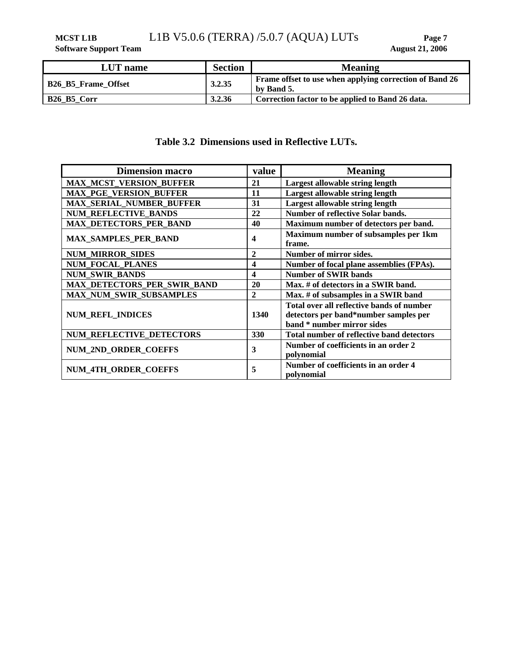<span id="page-11-0"></span>**MCST L1B** L1B V5.0.6 (TERRA) /5.0.7 (AQUA) LUTs Page 7<br>Software Support Team August 21, 2006

**Software Support Team** 

| <b>LUT</b> name            | <b>Section</b> | <b>Meaning</b>                                                        |
|----------------------------|----------------|-----------------------------------------------------------------------|
| <b>B26 B5 Frame Offset</b> | 3.2.35         | Frame offset to use when applying correction of Band 26<br>by Band 5. |
| B26 B5 Corr                | 3.2.36         | Correction factor to be applied to Band 26 data.                      |

## **Table 3.2 Dimensions used in Reflective LUTs.**

| <b>Dimension macro</b>          | value        | <b>Meaning</b>                                                                                                   |
|---------------------------------|--------------|------------------------------------------------------------------------------------------------------------------|
| <b>MAX_MCST_VERSION_BUFFER</b>  | 21           | Largest allowable string length                                                                                  |
| <b>MAX PGE VERSION BUFFER</b>   | 11           | Largest allowable string length                                                                                  |
| <b>MAX_SERIAL_NUMBER_BUFFER</b> | 31           | Largest allowable string length                                                                                  |
| <b>NUM REFLECTIVE BANDS</b>     | 22           | <b>Number of reflective Solar bands.</b>                                                                         |
| <b>MAX_DETECTORS_PER_BAND</b>   | 40           | Maximum number of detectors per band.                                                                            |
| <b>MAX_SAMPLES_PER_BAND</b>     | 4            | Maximum number of subsamples per 1km<br>frame.                                                                   |
| <b>NUM_MIRROR_SIDES</b>         | $\mathbf{2}$ | Number of mirror sides.                                                                                          |
| <b>NUM_FOCAL_PLANES</b>         | 4            | Number of focal plane assemblies (FPAs).                                                                         |
| <b>NUM SWIR BANDS</b>           | 4            | <b>Number of SWIR bands</b>                                                                                      |
| MAX_DETECTORS_PER_SWIR_BAND     | 20           | Max. # of detectors in a SWIR band.                                                                              |
| <b>MAX NUM SWIR SUBSAMPLES</b>  | $\mathbf{2}$ | Max. # of subsamples in a SWIR band                                                                              |
| <b>NUM REFL INDICES</b>         | 1340         | Total over all reflective bands of number<br>detectors per band*number samples per<br>band * number mirror sides |
| <b>NUM REFLECTIVE DETECTORS</b> | 330          | Total number of reflective band detectors                                                                        |
| <b>NUM 2ND ORDER COEFFS</b>     | 3            | Number of coefficients in an order 2<br>polynomial                                                               |
| NUM_4TH_ORDER_COEFFS            | 5            | Number of coefficients in an order 4<br>polynomial                                                               |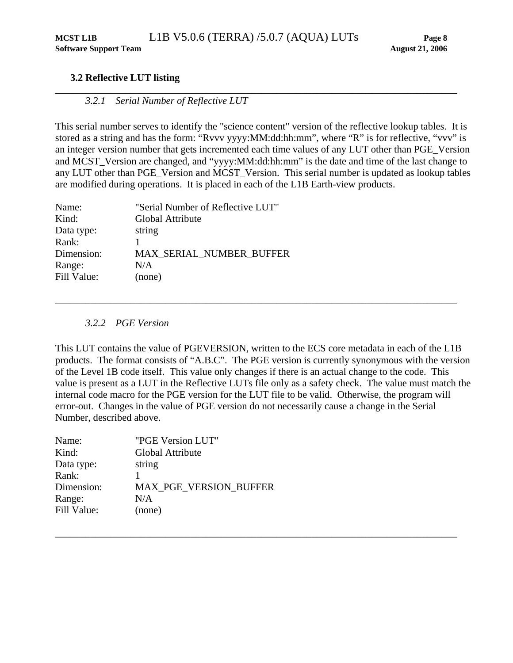## <span id="page-12-0"></span>**3.2 Reflective LUT listing**

## *3.2.1 Serial Number of Reflective LUT*

This serial number serves to identify the "science content" version of the reflective lookup tables. It is stored as a string and has the form: "Rvvv yyyy:MM:dd:hh:mm", where "R" is for reflective, "vvv" is an integer version number that gets incremented each time values of any LUT other than PGE\_Version and MCST\_Version are changed, and "yyyy:MM:dd:hh:mm" is the date and time of the last change to any LUT other than PGE\_Version and MCST\_Version. This serial number is updated as lookup tables are modified during operations. It is placed in each of the L1B Earth-view products.

| "Serial Number of Reflective LUT" |
|-----------------------------------|
| Global Attribute                  |
| string                            |
|                                   |
| MAX SERIAL_NUMBER_BUFFER          |
| N/A                               |
| (none)                            |
|                                   |

## *3.2.2 PGE Version*

<span id="page-12-1"></span>This LUT contains the value of PGEVERSION, written to the ECS core metadata in each of the L1B products. The format consists of "A.B.C". The PGE version is currently synonymous with the version of the Level 1B code itself. This value only changes if there is an actual change to the code. This value is present as a LUT in the Reflective LUTs file only as a safety check. The value must match the internal code macro for the PGE version for the LUT file to be valid. Otherwise, the program will error-out. Changes in the value of PGE version do not necessarily cause a change in the Serial Number, described above.

\_\_\_\_\_\_\_\_\_\_\_\_\_\_\_\_\_\_\_\_\_\_\_\_\_\_\_\_\_\_\_\_\_\_\_\_\_\_\_\_\_\_\_\_\_\_\_\_\_\_\_\_\_\_\_\_\_\_\_\_\_\_\_\_\_\_\_\_\_\_\_\_\_\_\_\_\_\_\_\_

| Name:       | "PGE Version LUT"             |
|-------------|-------------------------------|
| Kind:       | Global Attribute              |
| Data type:  | string                        |
| Rank:       |                               |
| Dimension:  | <b>MAX PGE VERSION BUFFER</b> |
| Range:      | N/A                           |
| Fill Value: | (none)                        |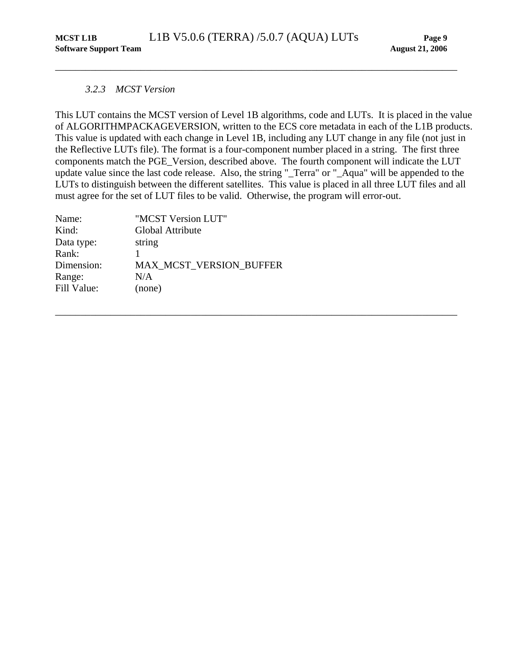## <span id="page-13-0"></span>*3.2.3 MCST Version*

<span id="page-13-1"></span>This LUT contains the MCST version of Level 1B algorithms, code and LUTs. It is placed in the value of ALGORITHMPACKAGEVERSION, written to the ECS core metadata in each of the L1B products. This value is updated with each change in Level 1B, including any LUT change in any file (not just in the Reflective LUTs file). The format is a four-component number placed in a string. The first three components match the PGE\_Version, described above. The fourth component will indicate the LUT update value since the last code release. Also, the string "\_Terra" or "\_Aqua" will be appended to the LUTs to distinguish between the different satellites. This value is placed in all three LUT files and all must agree for the set of LUT files to be valid. Otherwise, the program will error-out.

| Name:       | "MCST Version LUT"             |
|-------------|--------------------------------|
| Kind:       | Global Attribute               |
| Data type:  | string                         |
| Rank:       |                                |
| Dimension:  | <b>MAX MCST VERSION BUFFER</b> |
| Range:      | N/A                            |
| Fill Value: | (none)                         |
|             |                                |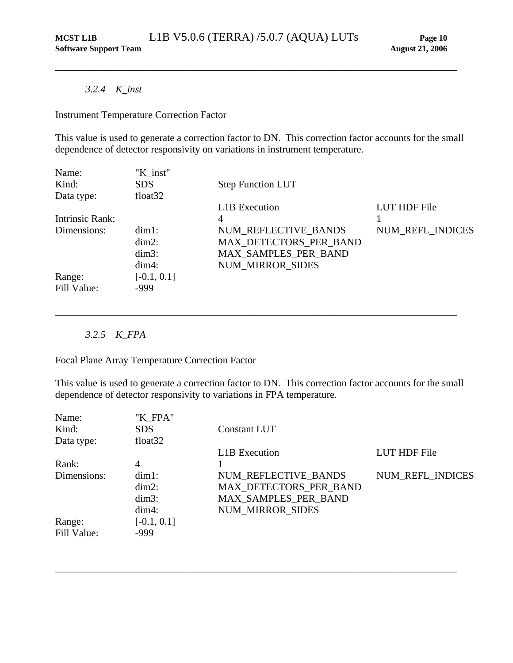## *3.2.4 K\_inst*

Instrument Temperature Correction Factor

This value is used to generate a correction factor to DN. This correction factor accounts for the small dependence of detector responsivity on variations in instrument temperature.

<span id="page-14-0"></span>\_\_\_\_\_\_\_\_\_\_\_\_\_\_\_\_\_\_\_\_\_\_\_\_\_\_\_\_\_\_\_\_\_\_\_\_\_\_\_\_\_\_\_\_\_\_\_\_\_\_\_\_\_\_\_\_\_\_\_\_\_\_\_\_\_\_\_\_\_\_\_\_\_\_\_\_\_\_\_\_

| Name:           | "K inst"            |                          |                  |
|-----------------|---------------------|--------------------------|------------------|
| Kind:           | <b>SDS</b>          | <b>Step Function LUT</b> |                  |
| Data type:      | float <sub>32</sub> |                          |                  |
|                 |                     | <b>L1B</b> Execution     | LUT HDF File     |
| Intrinsic Rank: |                     | 4                        |                  |
| Dimensions:     | $dim1$ :            | NUM REFLECTIVE BANDS     | NUM_REFL_INDICES |
|                 | $dim2$ :            | MAX DETECTORS PER BAND   |                  |
|                 | $dim3$ :            | MAX_SAMPLES_PER_BAND     |                  |
|                 | $dim4$ :            | <b>NUM MIRROR SIDES</b>  |                  |
| Range:          | $[-0.1, 0.1]$       |                          |                  |
| Fill Value:     | $-999$              |                          |                  |

## *3.2.5 K\_FPA*

Focal Plane Array Temperature Correction Factor

This value is used to generate a correction factor to DN. This correction factor accounts for the small dependence of detector responsivity to variations in FPA temperature.

\_\_\_\_\_\_\_\_\_\_\_\_\_\_\_\_\_\_\_\_\_\_\_\_\_\_\_\_\_\_\_\_\_\_\_\_\_\_\_\_\_\_\_\_\_\_\_\_\_\_\_\_\_\_\_\_\_\_\_\_\_\_\_\_\_\_\_\_\_\_\_\_\_\_\_\_\_\_\_\_

| Name:       | "K FPA"       |                         |                  |
|-------------|---------------|-------------------------|------------------|
| Kind:       | <b>SDS</b>    | Constant LUT            |                  |
| Data type:  | float $32$    |                         |                  |
|             |               | <b>L1B</b> Execution    | LUT HDF File     |
| Rank:       | 4             |                         |                  |
| Dimensions: | $dim1$ :      | NUM REFLECTIVE BANDS    | NUM REFL INDICES |
|             | $dim2$ :      | MAX_DETECTORS_PER_BAND  |                  |
|             | $dim3$ :      | MAX_SAMPLES_PER_BAND    |                  |
|             | $dim4$ :      | <b>NUM MIRROR SIDES</b> |                  |
| Range:      | $[-0.1, 0.1]$ |                         |                  |
| Fill Value: | $-999$        |                         |                  |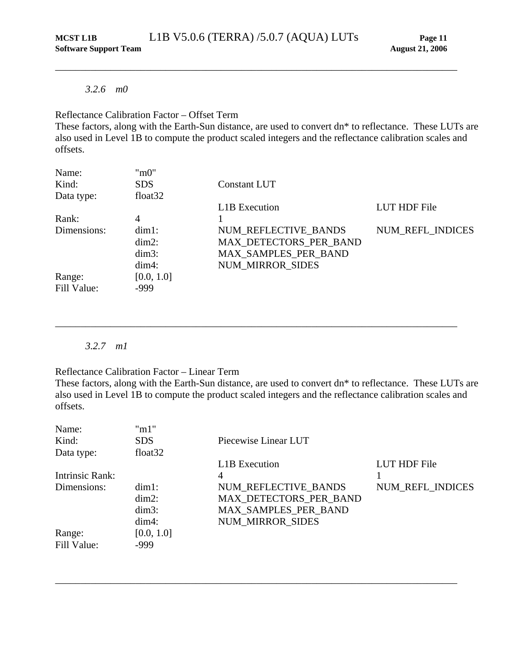#### <span id="page-15-0"></span>*3.2.6 m0*

## Reflectance Calibration Factor – Offset Term

These factors, along with the Earth-Sun distance, are used to convert dn\* to reflectance. These LUTs are also used in Level 1B to compute the product scaled integers and the reflectance calibration scales and offsets.

| Name:       | "m0"       |                             |                  |
|-------------|------------|-----------------------------|------------------|
| Kind:       | <b>SDS</b> | Constant LUT                |                  |
| Data type:  | float $32$ |                             |                  |
|             |            | <b>L1B</b> Execution        | LUT HDF File     |
| Rank:       | 4          |                             |                  |
| Dimensions: | $dim1$ :   | NUM REFLECTIVE BANDS        | NUM_REFL_INDICES |
|             | $dim2$ :   | MAX_DETECTORS_PER_BAND      |                  |
|             | $dim3$ :   | <b>MAX SAMPLES PER BAND</b> |                  |
|             | $dim4$ :   | <b>NUM MIRROR SIDES</b>     |                  |
| Range:      | [0.0, 1.0] |                             |                  |
| Fill Value: | $-999$     |                             |                  |

## *3.2.7 m1*

Reflectance Calibration Factor – Linear Term

These factors, along with the Earth-Sun distance, are used to convert dn\* to reflectance. These LUTs are also used in Level 1B to compute the product scaled integers and the reflectance calibration scales and offsets.

\_\_\_\_\_\_\_\_\_\_\_\_\_\_\_\_\_\_\_\_\_\_\_\_\_\_\_\_\_\_\_\_\_\_\_\_\_\_\_\_\_\_\_\_\_\_\_\_\_\_\_\_\_\_\_\_\_\_\_\_\_\_\_\_\_\_\_\_\_\_\_\_\_\_\_\_\_\_\_\_

| Name:           | "m1"                |                         |                  |
|-----------------|---------------------|-------------------------|------------------|
| Kind:           | <b>SDS</b>          | Piecewise Linear LUT    |                  |
| Data type:      | float <sub>32</sub> |                         |                  |
|                 |                     | <b>L1B</b> Execution    | LUT HDF File     |
| Intrinsic Rank: |                     | 4                       |                  |
| Dimensions:     | $dim1$ :            | NUM REFLECTIVE BANDS    | NUM_REFL_INDICES |
|                 | $dim2$ :            | MAX_DETECTORS_PER_BAND  |                  |
|                 | $dim3$ :            | MAX_SAMPLES_PER_BAND    |                  |
|                 | $dim4$ :            | <b>NUM MIRROR SIDES</b> |                  |
| Range:          | [0.0, 1.0]          |                         |                  |
| Fill Value:     | $-999$              |                         |                  |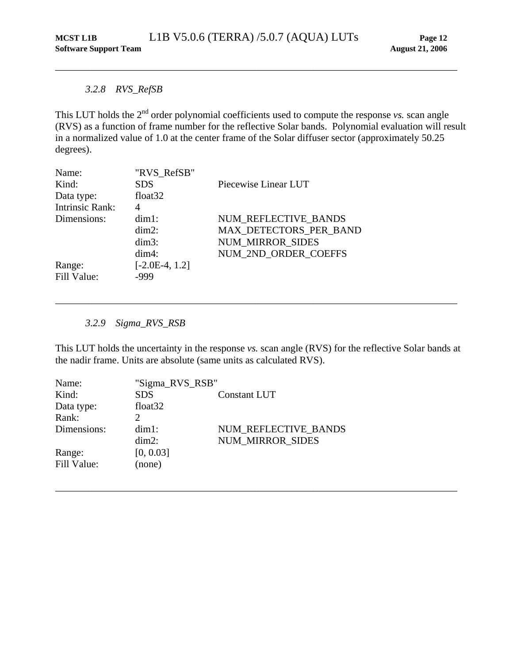## <span id="page-16-0"></span>*3.2.8 RVS\_RefSB*

This LUT holds the 2<sup>nd</sup> order polynomial coefficients used to compute the response *vs*. scan angle (RVS) as a function of frame number for the reflective Solar bands. Polynomial evaluation will result in a normalized value of 1.0 at the center frame of the Solar diffuser sector (approximately 50.25 degrees).

| Name:<br>Kind:<br>Data type: | "RVS RefSB"<br><b>SDS</b><br>float $32$ | Piecewise Linear LUT    |
|------------------------------|-----------------------------------------|-------------------------|
| <b>Intrinsic Rank:</b>       | 4                                       |                         |
| Dimensions:                  | $dim1$ :                                | NUM REFLECTIVE BANDS    |
|                              | $dim2$ :                                | MAX DETECTORS PER BAND  |
|                              | $dim3$ :                                | <b>NUM MIRROR SIDES</b> |
|                              | $dim4$ :                                | NUM 2ND ORDER COEFFS    |
| Range:<br>Fill Value:        | $[-2.0E-4, 1.2]$<br>-999                |                         |

*3.2.9 Sigma\_RVS\_RSB* 

This LUT holds the uncertainty in the response *vs.* scan angle (RVS) for the reflective Solar bands at the nadir frame. Units are absolute (same units as calculated RVS).

\_\_\_\_\_\_\_\_\_\_\_\_\_\_\_\_\_\_\_\_\_\_\_\_\_\_\_\_\_\_\_\_\_\_\_\_\_\_\_\_\_\_\_\_\_\_\_\_\_\_\_\_\_\_\_\_\_\_\_\_\_\_\_\_\_\_\_\_\_\_\_\_\_\_\_\_\_\_\_\_

| Name:       | "Sigma_RVS_RSB"     |                         |
|-------------|---------------------|-------------------------|
| Kind:       | <b>SDS</b>          | <b>Constant LUT</b>     |
| Data type:  | float <sub>32</sub> |                         |
| Rank:       |                     |                         |
| Dimensions: | $dim1$ :            | NUM REFLECTIVE BANDS    |
|             | $dim2$ :            | <b>NUM MIRROR SIDES</b> |
| Range:      | [0, 0.03]           |                         |
| Fill Value: | (none)              |                         |
|             |                     |                         |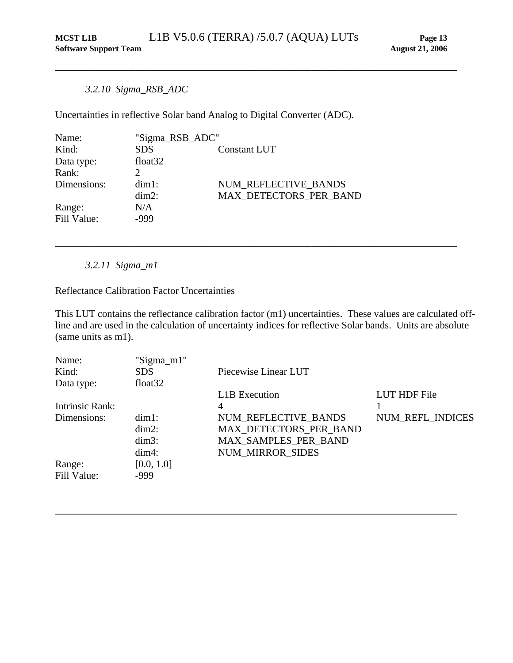## <span id="page-17-0"></span>*3.2.10 Sigma\_RSB\_ADC*

Uncertainties in reflective Solar band Analog to Digital Converter (ADC).

| Name:       | "Sigma_RSB_ADC"     |                        |
|-------------|---------------------|------------------------|
| Kind:       | <b>SDS</b>          | Constant LUT           |
| Data type:  | float <sub>32</sub> |                        |
| Rank:       |                     |                        |
| Dimensions: | $dim1$ :            | NUM REFLECTIVE BANDS   |
|             | $dim2$ :            | MAX DETECTORS PER BAND |
| Range:      | N/A                 |                        |
| Fill Value: | -999                |                        |

*3.2.11 Sigma\_m1* 

Reflectance Calibration Factor Uncertainties

This LUT contains the reflectance calibration factor (m1) uncertainties. These values are calculated offline and are used in the calculation of uncertainty indices for reflective Solar bands. Units are absolute (same units as m1).

\_\_\_\_\_\_\_\_\_\_\_\_\_\_\_\_\_\_\_\_\_\_\_\_\_\_\_\_\_\_\_\_\_\_\_\_\_\_\_\_\_\_\_\_\_\_\_\_\_\_\_\_\_\_\_\_\_\_\_\_\_\_\_\_\_\_\_\_\_\_\_\_\_\_\_\_\_\_\_\_

| Name:           | "Sigma_m1" |                         |                  |
|-----------------|------------|-------------------------|------------------|
| Kind:           | SDS.       | Piecewise Linear LUT    |                  |
| Data type:      | float $32$ |                         |                  |
|                 |            | <b>L1B</b> Execution    | LUT HDF File     |
| Intrinsic Rank: |            | 4                       |                  |
| Dimensions:     | $dim1$ :   | NUM REFLECTIVE BANDS    | NUM_REFL_INDICES |
|                 | $dim2$ :   | MAX DETECTORS PER BAND  |                  |
|                 | $dim3$ :   | MAX SAMPLES PER BAND    |                  |
|                 | $dim4$ :   | <b>NUM MIRROR SIDES</b> |                  |
| Range:          | [0.0, 1.0] |                         |                  |
| Fill Value:     | $-999$     |                         |                  |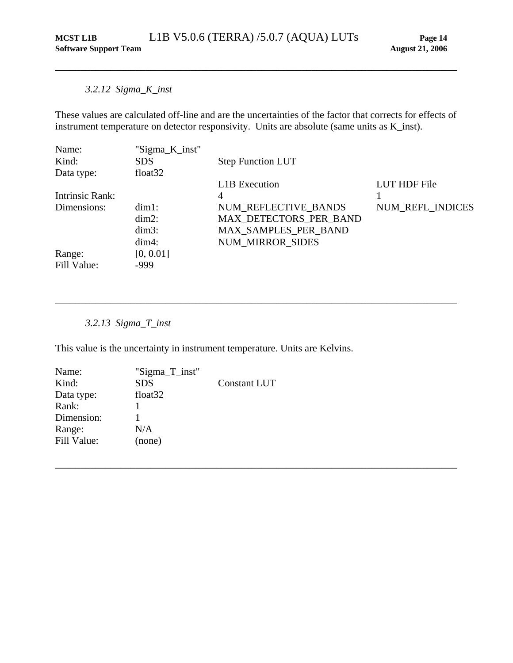## *3.2.12 Sigma\_K\_inst*

These values are calculated off-line and are the uncertainties of the factor that corrects for effects of instrument temperature on detector responsivity. Units are absolute (same units as K\_inst).

<span id="page-18-0"></span>\_\_\_\_\_\_\_\_\_\_\_\_\_\_\_\_\_\_\_\_\_\_\_\_\_\_\_\_\_\_\_\_\_\_\_\_\_\_\_\_\_\_\_\_\_\_\_\_\_\_\_\_\_\_\_\_\_\_\_\_\_\_\_\_\_\_\_\_\_\_\_\_\_\_\_\_\_\_\_\_

| Name:           | "Sigma_K_inst"      |                          |                     |
|-----------------|---------------------|--------------------------|---------------------|
| Kind:           | <b>SDS</b>          | <b>Step Function LUT</b> |                     |
| Data type:      | float <sub>32</sub> |                          |                     |
|                 |                     | L1B Execution            | <b>LUT HDF File</b> |
| Intrinsic Rank: |                     | 4                        |                     |
| Dimensions:     | $dim1$ :            | NUM REFLECTIVE BANDS     | NUM_REFL_INDICES    |
|                 | $dim2$ :            | MAX_DETECTORS_PER_BAND   |                     |
|                 | $dim3$ :            | MAX_SAMPLES_PER_BAND     |                     |
|                 | $dim4$ :            | <b>NUM MIRROR SIDES</b>  |                     |
| Range:          | [0, 0.01]           |                          |                     |
| Fill Value:     | $-999$              |                          |                     |

\_\_\_\_\_\_\_\_\_\_\_\_\_\_\_\_\_\_\_\_\_\_\_\_\_\_\_\_\_\_\_\_\_\_\_\_\_\_\_\_\_\_\_\_\_\_\_\_\_\_\_\_\_\_\_\_\_\_\_\_\_\_\_\_\_\_\_\_\_\_\_\_\_\_\_\_\_\_\_\_

\_\_\_\_\_\_\_\_\_\_\_\_\_\_\_\_\_\_\_\_\_\_\_\_\_\_\_\_\_\_\_\_\_\_\_\_\_\_\_\_\_\_\_\_\_\_\_\_\_\_\_\_\_\_\_\_\_\_\_\_\_\_\_\_\_\_\_\_\_\_\_\_\_\_\_\_\_\_\_\_

## *3.2.13 Sigma\_T\_inst*

This value is the uncertainty in instrument temperature. Units are Kelvins.

| Name:       | "Sigma_T_inst"      |                     |
|-------------|---------------------|---------------------|
| Kind:       | <b>SDS</b>          | <b>Constant LUT</b> |
| Data type:  | float <sub>32</sub> |                     |
| Rank:       |                     |                     |
| Dimension:  |                     |                     |
| Range:      | N/A                 |                     |
| Fill Value: | (none)              |                     |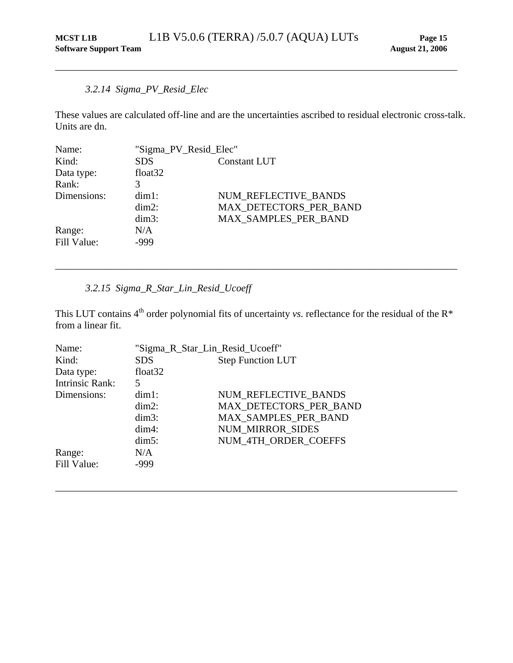## *3.2.14 Sigma\_PV\_Resid\_Elec*

These values are calculated off-line and are the uncertainties ascribed to residual electronic cross-talk. Units are dn.

<span id="page-19-0"></span>\_\_\_\_\_\_\_\_\_\_\_\_\_\_\_\_\_\_\_\_\_\_\_\_\_\_\_\_\_\_\_\_\_\_\_\_\_\_\_\_\_\_\_\_\_\_\_\_\_\_\_\_\_\_\_\_\_\_\_\_\_\_\_\_\_\_\_\_\_\_\_\_\_\_\_\_\_\_\_\_

| Name:       | "Sigma_PV_Resid_Elec" |                        |
|-------------|-----------------------|------------------------|
| Kind:       | <b>SDS</b>            | Constant LUT           |
| Data type:  | float <sub>32</sub>   |                        |
| Rank:       |                       |                        |
| Dimensions: | $dim1$ :              | NUM REFLECTIVE BANDS   |
|             | $dim2$ :              | MAX DETECTORS PER BAND |
|             | $dim3$ :              | MAX SAMPLES PER BAND   |
| Range:      | N/A                   |                        |
| Fill Value: | -999                  |                        |

## *3.2.15 Sigma\_R\_Star\_Lin\_Resid\_Ucoeff*

This LUT contains  $4<sup>th</sup>$  order polynomial fits of uncertainty *vs.* reflectance for the residual of the  $R*$ from a linear fit.

\_\_\_\_\_\_\_\_\_\_\_\_\_\_\_\_\_\_\_\_\_\_\_\_\_\_\_\_\_\_\_\_\_\_\_\_\_\_\_\_\_\_\_\_\_\_\_\_\_\_\_\_\_\_\_\_\_\_\_\_\_\_\_\_\_\_\_\_\_\_\_\_\_\_\_\_\_\_\_\_

| Name:                  | "Sigma_R_Star_Lin_Resid_Ucoeff"        |                         |
|------------------------|----------------------------------------|-------------------------|
| Kind:                  | <b>Step Function LUT</b><br><b>SDS</b> |                         |
| Data type:             | float <sub>32</sub>                    |                         |
| <b>Intrinsic Rank:</b> | 5                                      |                         |
| Dimensions:            | $dim1$ :                               | NUM REFLECTIVE BANDS    |
|                        | $dim2$ :                               | MAX DETECTORS PER BAND  |
|                        | $dim3$ :                               | MAX SAMPLES PER BAND    |
|                        | $dim4$ :                               | <b>NUM MIRROR SIDES</b> |
|                        | $dim5$ :                               | NUM 4TH ORDER COEFFS    |
| Range:                 | N/A                                    |                         |
| Fill Value:            | -999                                   |                         |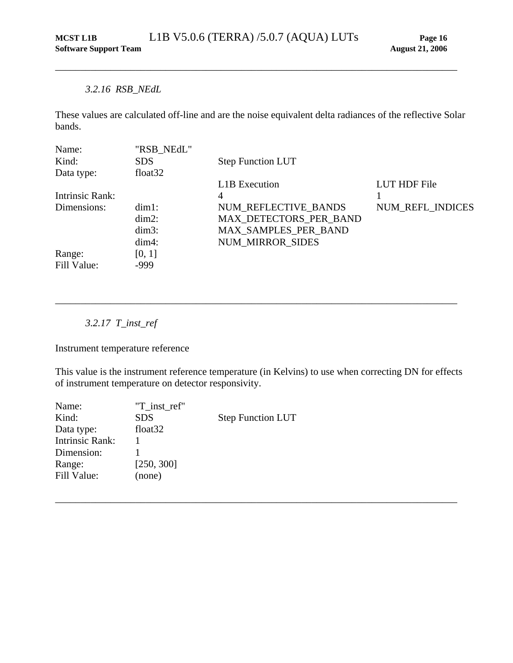## <span id="page-20-0"></span>*3.2.16 RSB\_NEdL*

These values are calculated off-line and are the noise equivalent delta radiances of the reflective Solar bands.

| Name:           | "RSB_NEdL"          |                          |                  |
|-----------------|---------------------|--------------------------|------------------|
| Kind:           | SDS.                | <b>Step Function LUT</b> |                  |
| Data type:      | float <sub>32</sub> |                          |                  |
|                 |                     | L1B Execution            | LUT HDF File     |
| Intrinsic Rank: |                     | 4                        |                  |
| Dimensions:     | $dim1$ :            | NUM REFLECTIVE BANDS     | NUM_REFL_INDICES |
|                 | $dim2$ :            | MAX DETECTORS PER BAND   |                  |
|                 | $dim3$ :            | MAX_SAMPLES_PER_BAND     |                  |
|                 | $dim4$ :            | <b>NUM MIRROR SIDES</b>  |                  |
| Range:          | [0, 1]              |                          |                  |
| Fill Value:     | $-999$              |                          |                  |

*3.2.17 T\_inst\_ref* 

Instrument temperature reference

This value is the instrument reference temperature (in Kelvins) to use when correcting DN for effects of instrument temperature on detector responsivity.

\_\_\_\_\_\_\_\_\_\_\_\_\_\_\_\_\_\_\_\_\_\_\_\_\_\_\_\_\_\_\_\_\_\_\_\_\_\_\_\_\_\_\_\_\_\_\_\_\_\_\_\_\_\_\_\_\_\_\_\_\_\_\_\_\_\_\_\_\_\_\_\_\_\_\_\_\_\_\_\_

| Name:                  | "T inst ref"        |                          |
|------------------------|---------------------|--------------------------|
| Kind:                  | <b>SDS</b>          | <b>Step Function LUT</b> |
| Data type:             | float <sub>32</sub> |                          |
| <b>Intrinsic Rank:</b> |                     |                          |
| Dimension:             |                     |                          |
| Range:                 | [250, 300]          |                          |
| Fill Value:            | (none)              |                          |
|                        |                     |                          |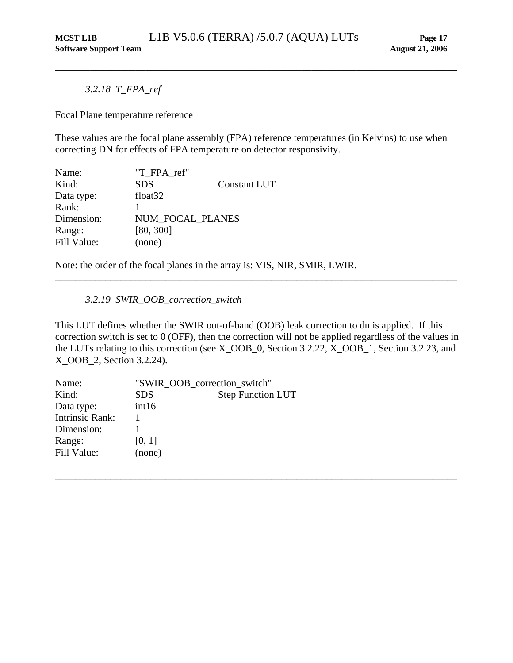<span id="page-21-0"></span>*3.2.18 T\_FPA\_ref* 

Focal Plane temperature reference

These values are the focal plane assembly (FPA) reference temperatures (in Kelvins) to use when correcting DN for effects of FPA temperature on detector responsivity.

| Name:       | "T FPA ref"         |                     |
|-------------|---------------------|---------------------|
| Kind:       | <b>SDS</b>          | <b>Constant LUT</b> |
| Data type:  | float <sub>32</sub> |                     |
| Rank:       |                     |                     |
| Dimension:  | NUM FOCAL PLANES    |                     |
| Range:      | [80, 300]           |                     |
| Fill Value: | (none)              |                     |

Note: the order of the focal planes in the array is: VIS, NIR, SMIR, LWIR.

*3.2.19 SWIR\_OOB\_correction\_switch* 

This LUT defines whether the SWIR out-of-band (OOB) leak correction to dn is applied. If this correction switch is set to 0 (OFF), then the correction will not be applied regardless of the values in the LUTs relating to this correction (see X\_OOB\_0, Section 3.2.22, X\_OOB\_1, Section 3.2.23, and X\_OOB\_2, Section 3.2.24).

\_\_\_\_\_\_\_\_\_\_\_\_\_\_\_\_\_\_\_\_\_\_\_\_\_\_\_\_\_\_\_\_\_\_\_\_\_\_\_\_\_\_\_\_\_\_\_\_\_\_\_\_\_\_\_\_\_\_\_\_\_\_\_\_\_\_\_\_\_\_\_\_\_\_\_\_\_\_\_\_

| Name:                  | "SWIR_OOB_correction_switch" |                          |
|------------------------|------------------------------|--------------------------|
| Kind:                  | <b>SDS</b>                   | <b>Step Function LUT</b> |
| Data type:             | int16                        |                          |
| <b>Intrinsic Rank:</b> |                              |                          |
| Dimension:             |                              |                          |
| Range:                 | [0, 1]                       |                          |
| Fill Value:            | (none)                       |                          |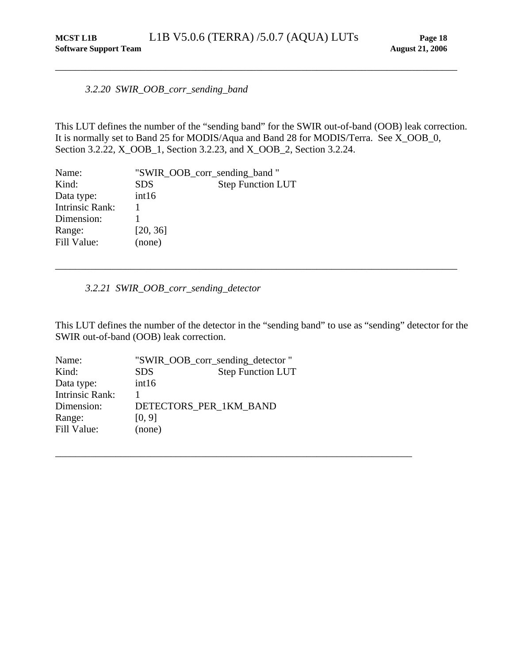<span id="page-22-0"></span>*3.2.20 SWIR\_OOB\_corr\_sending\_band* 

<span id="page-22-1"></span>This LUT defines the number of the "sending band" for the SWIR out-of-band (OOB) leak correction. It is normally set to Band 25 for MODIS/Aqua and Band 28 for MODIS/Terra. See X\_OOB\_0, Section 3.2.22, X\_OOB\_1, Section 3.2.23, and X\_OOB\_2, Section 3.2.24.

| Name:                  | "SWIR_OOB_corr_sending_band" |                          |
|------------------------|------------------------------|--------------------------|
| Kind:                  | <b>SDS</b>                   | <b>Step Function LUT</b> |
| Data type:             | int16                        |                          |
| <b>Intrinsic Rank:</b> |                              |                          |
| Dimension:             |                              |                          |
| Range:                 | [20, 36]                     |                          |
| Fill Value:            | (none)                       |                          |

## *3.2.21 SWIR\_OOB\_corr\_sending\_detector*

This LUT defines the number of the detector in the "sending band" to use as "sending" detector for the SWIR out-of-band (OOB) leak correction.

\_\_\_\_\_\_\_\_\_\_\_\_\_\_\_\_\_\_\_\_\_\_\_\_\_\_\_\_\_\_\_\_\_\_\_\_\_\_\_\_\_\_\_\_\_\_\_\_\_\_\_\_\_\_\_\_\_\_\_\_\_\_\_\_\_\_\_\_\_\_\_

| Name:                  | "SWIR_OOB_corr_sending_detector" |                          |
|------------------------|----------------------------------|--------------------------|
| Kind:                  | <b>SDS</b>                       | <b>Step Function LUT</b> |
| Data type:             | int16                            |                          |
| <b>Intrinsic Rank:</b> |                                  |                          |
| Dimension:             | DETECTORS_PER_1KM_BAND           |                          |
| Range:                 | [0, 9]                           |                          |
| Fill Value:            | (none)                           |                          |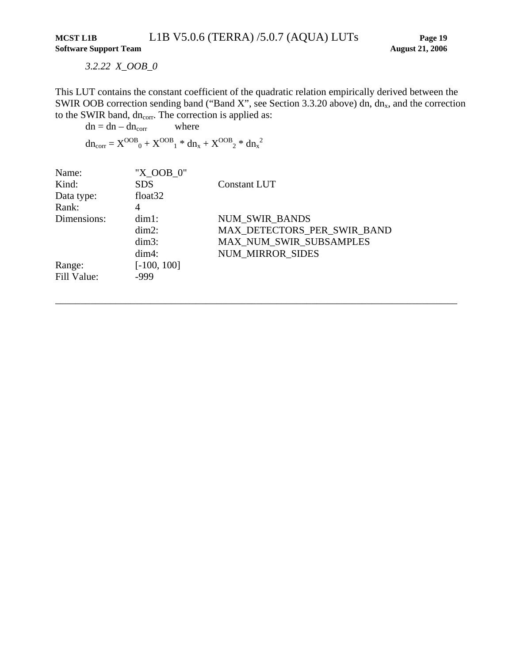*3.2.22 X\_OOB\_0* 

<span id="page-23-1"></span><span id="page-23-0"></span>This LUT contains the constant coefficient of the quadratic relation empirically derived between the SWIR OOB correction sending band ("Band X", see Section [3.3.20](#page-22-1) above) dn, dn<sub>x</sub>, and the correction to the SWIR band, dn<sub>corr</sub>. The correction is applied as:

\_\_\_\_\_\_\_\_\_\_\_\_\_\_\_\_\_\_\_\_\_\_\_\_\_\_\_\_\_\_\_\_\_\_\_\_\_\_\_\_\_\_\_\_\_\_\_\_\_\_\_\_\_\_\_\_\_\_\_\_\_\_\_\_\_\_\_\_\_\_\_\_\_\_\_\_\_\_\_\_

 $dn = dn - dn_{corr}$  where

 $dn_{corr} = X^{OOB}{}_{0} + X^{OOB}{}_{1} * dn_{x} + X^{OOB}{}_{2} * dn_{x}^{2}$ 

| Name:       | "X OOB 0"           |                             |
|-------------|---------------------|-----------------------------|
| Kind:       | <b>SDS</b>          | Constant LUT                |
| Data type:  | float <sub>32</sub> |                             |
| Rank:       | 4                   |                             |
| Dimensions: | $dim1$ :            | <b>NUM SWIR BANDS</b>       |
|             | $dim2$ :            | MAX DETECTORS PER SWIR BAND |
|             | $dim3$ :            | MAX_NUM_SWIR_SUBSAMPLES     |
|             | $dim4$ :            | <b>NUM MIRROR SIDES</b>     |
| Range:      | $[-100, 100]$       |                             |
| Fill Value: | -999                |                             |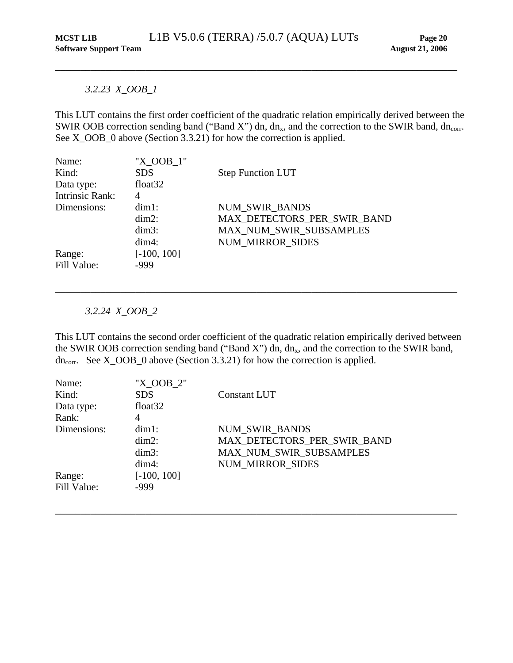## <span id="page-24-0"></span>*3.2.23 X\_OOB\_1*

This LUT contains the first order coefficient of the quadratic relation empirically derived between the SWIR OOB correction sending band ("Band X") dn, dn<sub>x</sub>, and the correction to the SWIR band, dn<sub>corr</sub>. See X\_OOB\_0 above (Section [3.3.21\)](#page-23-1) for how the correction is applied.

| Name:           | "X OOB 1"           |                             |
|-----------------|---------------------|-----------------------------|
| Kind:           | <b>SDS</b>          | <b>Step Function LUT</b>    |
| Data type:      | float <sub>32</sub> |                             |
| Intrinsic Rank: | 4                   |                             |
| Dimensions:     | $dim1$ :            | NUM_SWIR_BANDS              |
|                 | $dim2$ :            | MAX DETECTORS PER SWIR BAND |
|                 | $dim3$ :            | MAX_NUM_SWIR_SUBSAMPLES     |
|                 | $dim4$ :            | <b>NUM MIRROR SIDES</b>     |
| Range:          | $[-100, 100]$       |                             |
| Fill Value:     | -999                |                             |

## *3.2.24 X\_OOB\_2*

This LUT contains the second order coefficient of the quadratic relation empirically derived between the SWIR OOB correction sending band ("Band X") dn,  $dn<sub>x</sub>$ , and the correction to the SWIR band,  $dn_{\text{corr}}$ . See X\_OOB\_0 above (Section [3.3.21\)](#page-23-1) for how the correction is applied.

\_\_\_\_\_\_\_\_\_\_\_\_\_\_\_\_\_\_\_\_\_\_\_\_\_\_\_\_\_\_\_\_\_\_\_\_\_\_\_\_\_\_\_\_\_\_\_\_\_\_\_\_\_\_\_\_\_\_\_\_\_\_\_\_\_\_\_\_\_\_\_\_\_\_\_\_\_\_\_\_

| Name:       | "X OOB 2"           |                             |
|-------------|---------------------|-----------------------------|
| Kind:       | <b>SDS</b>          | Constant LUT                |
| Data type:  | float <sub>32</sub> |                             |
| Rank:       | 4                   |                             |
| Dimensions: | $dim1$ :            | <b>NUM SWIR BANDS</b>       |
|             | $dim2$ :            | MAX_DETECTORS_PER_SWIR_BAND |
|             | $dim3$ :            | MAX_NUM_SWIR_SUBSAMPLES     |
|             | $dim4$ :            | <b>NUM MIRROR SIDES</b>     |
| Range:      | $[-100, 100]$       |                             |
| Fill Value: | -999                |                             |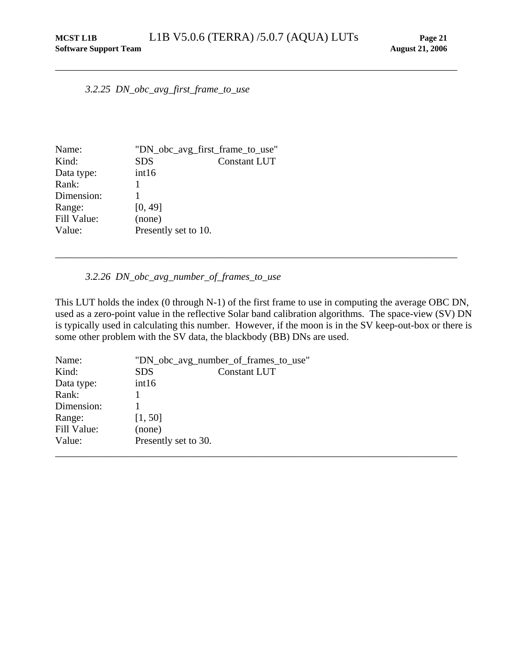<span id="page-25-0"></span>*3.2.25 DN\_obc\_avg\_first\_frame\_to\_use* 

| Name:       | "DN_obc_avg_first_frame_to_use" |                     |
|-------------|---------------------------------|---------------------|
| Kind:       | <b>SDS</b>                      | <b>Constant LUT</b> |
| Data type:  | int16                           |                     |
| Rank:       |                                 |                     |
| Dimension:  |                                 |                     |
| Range:      | [0, 49]                         |                     |
| Fill Value: | (none)                          |                     |
| Value:      | Presently set to 10.            |                     |

#### *3.2.26 DN\_obc\_avg\_number\_of\_frames\_to\_use*

This LUT holds the index (0 through N-1) of the first frame to use in computing the average OBC DN, used as a zero-point value in the reflective Solar band calibration algorithms. The space-view (SV) DN is typically used in calculating this number. However, if the moon is in the SV keep-out-box or there is some other problem with the SV data, the blackbody (BB) DNs are used.

| Name:       | "DN_obc_avg_number_of_frames_to_use" |  |  |
|-------------|--------------------------------------|--|--|
| Kind:       | <b>SDS</b><br><b>Constant LUT</b>    |  |  |
| Data type:  | int16                                |  |  |
| Rank:       |                                      |  |  |
| Dimension:  |                                      |  |  |
| Range:      | [1, 50]                              |  |  |
| Fill Value: | (none)                               |  |  |
| Value:      | Presently set to 30.                 |  |  |
|             |                                      |  |  |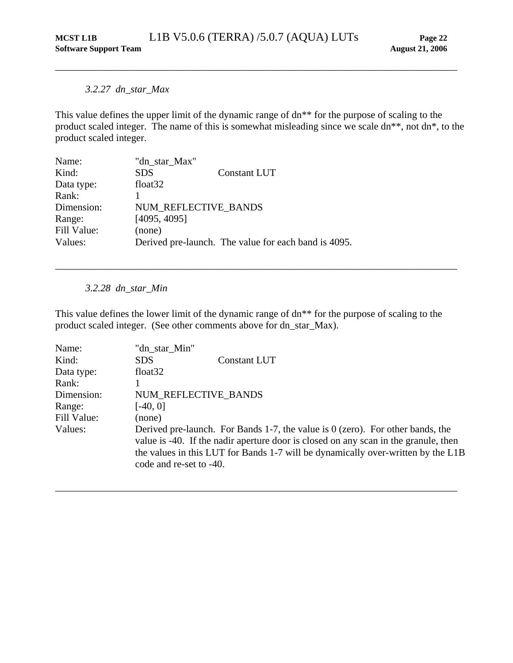## <span id="page-26-0"></span>*3.2.27 dn\_star\_Max*

This value defines the upper limit of the dynamic range of dn\*\* for the purpose of scaling to the product scaled integer. The name of this is somewhat misleading since we scale dn\*\*, not dn\*, to the product scaled integer.

| Name:       | "dn star Max"        |                                                      |
|-------------|----------------------|------------------------------------------------------|
| Kind:       | <b>SDS</b>           | <b>Constant LUT</b>                                  |
| Data type:  | float <sub>32</sub>  |                                                      |
| Rank:       |                      |                                                      |
| Dimension:  | NUM REFLECTIVE BANDS |                                                      |
| Range:      | [4095, 4095]         |                                                      |
| Fill Value: | (none)               |                                                      |
| Values:     |                      | Derived pre-launch. The value for each band is 4095. |

*3.2.28 dn\_star\_Min* 

This value defines the lower limit of the dynamic range of dn\*\* for the purpose of scaling to the product scaled integer. (See other comments above for dn\_star\_Max).

\_\_\_\_\_\_\_\_\_\_\_\_\_\_\_\_\_\_\_\_\_\_\_\_\_\_\_\_\_\_\_\_\_\_\_\_\_\_\_\_\_\_\_\_\_\_\_\_\_\_\_\_\_\_\_\_\_\_\_\_\_\_\_\_\_\_\_\_\_\_\_\_\_\_\_\_\_\_\_\_

| Name:       | "dn star Min"                                                                                                                                                                                                                                                                          |
|-------------|----------------------------------------------------------------------------------------------------------------------------------------------------------------------------------------------------------------------------------------------------------------------------------------|
| Kind:       | <b>SDS</b><br><b>Constant LUT</b>                                                                                                                                                                                                                                                      |
| Data type:  | float <sub>32</sub>                                                                                                                                                                                                                                                                    |
| Rank:       |                                                                                                                                                                                                                                                                                        |
| Dimension:  | NUM REFLECTIVE BANDS                                                                                                                                                                                                                                                                   |
| Range:      | $[-40, 0]$                                                                                                                                                                                                                                                                             |
| Fill Value: | (none)                                                                                                                                                                                                                                                                                 |
| Values:     | Derived pre-launch. For Bands 1-7, the value is $0$ (zero). For other bands, the<br>value is -40. If the nadir aperture door is closed on any scan in the granule, then<br>the values in this LUT for Bands 1-7 will be dynamically over-written by the L1B<br>code and re-set to -40. |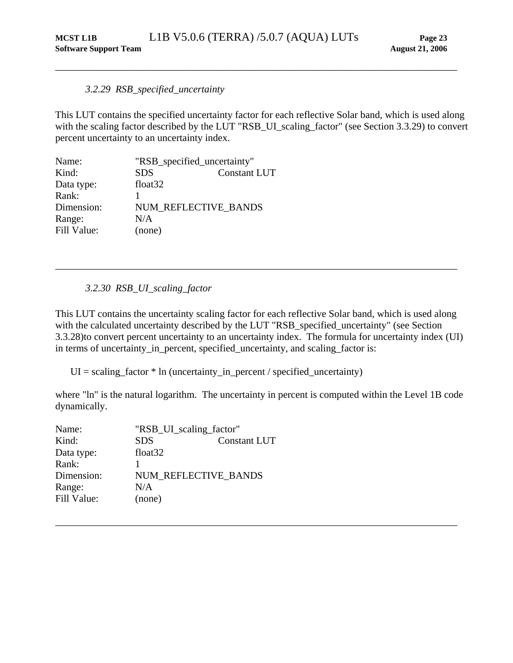#### *3.2.29 RSB\_specified\_uncertainty*

This LUT contains the specified uncertainty factor for each reflective Solar band, which is used along with the scaling factor described by the LUT "RSB\_UI\_scaling\_factor" (see Section [3.3.29](#page-27-1)) to convert percent uncertainty to an uncertainty index.

<span id="page-27-2"></span><span id="page-27-0"></span>\_\_\_\_\_\_\_\_\_\_\_\_\_\_\_\_\_\_\_\_\_\_\_\_\_\_\_\_\_\_\_\_\_\_\_\_\_\_\_\_\_\_\_\_\_\_\_\_\_\_\_\_\_\_\_\_\_\_\_\_\_\_\_\_\_\_\_\_\_\_\_\_\_\_\_\_\_\_\_\_

| Name:       | "RSB_specified_uncertainty" |                     |
|-------------|-----------------------------|---------------------|
| Kind:       | <b>SDS</b>                  | <b>Constant LUT</b> |
| Data type:  | float <sub>32</sub>         |                     |
| Rank:       |                             |                     |
| Dimension:  | NUM REFLECTIVE BANDS        |                     |
| Range:      | N/A                         |                     |
| Fill Value: | (none)                      |                     |

#### *3.2.30 RSB\_UI\_scaling\_factor*

This LUT contains the uncertainty scaling factor for each reflective Solar band, which is used along with the calculated uncertainty described by the LUT "RSB\_specified\_uncertainty" (see Section [3.3.28](#page-27-2))to convert percent uncertainty to an uncertainty index. The formula for uncertainty index (UI) in terms of uncertainty\_in\_percent, specified\_uncertainty, and scaling\_factor is:

<span id="page-27-1"></span>\_\_\_\_\_\_\_\_\_\_\_\_\_\_\_\_\_\_\_\_\_\_\_\_\_\_\_\_\_\_\_\_\_\_\_\_\_\_\_\_\_\_\_\_\_\_\_\_\_\_\_\_\_\_\_\_\_\_\_\_\_\_\_\_\_\_\_\_\_\_\_\_\_\_\_\_\_\_\_\_

 $UI = scaling_factor * In (uncertainty_in_pereent / specified_uncertainty)$ 

where "ln" is the natural logarithm. The uncertainty in percent is computed within the Level 1B code dynamically.

| Name:       | "RSB_UI_scaling_factor" |                     |
|-------------|-------------------------|---------------------|
| Kind:       | <b>SDS</b>              | <b>Constant LUT</b> |
| Data type:  | float <sub>32</sub>     |                     |
| Rank:       |                         |                     |
| Dimension:  | NUM REFLECTIVE BANDS    |                     |
| Range:      | N/A                     |                     |
| Fill Value: | (none)                  |                     |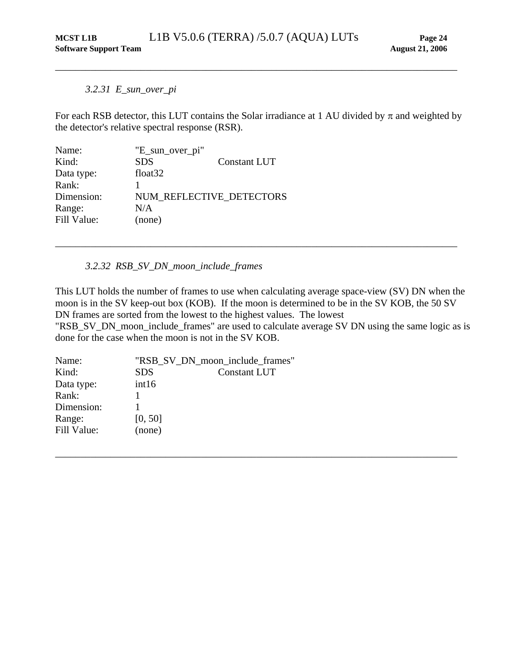#### *3.2.31 E\_sun\_over\_pi*

For each RSB detector, this LUT contains the Solar irradiance at 1 AU divided by  $\pi$  and weighted by the detector's relative spectral response (RSR).

<span id="page-28-0"></span>\_\_\_\_\_\_\_\_\_\_\_\_\_\_\_\_\_\_\_\_\_\_\_\_\_\_\_\_\_\_\_\_\_\_\_\_\_\_\_\_\_\_\_\_\_\_\_\_\_\_\_\_\_\_\_\_\_\_\_\_\_\_\_\_\_\_\_\_\_\_\_\_\_\_\_\_\_\_\_\_

| "E_sun_over_pi"          |              |
|--------------------------|--------------|
| <b>SDS</b>               | Constant LUT |
| float <sub>32</sub>      |              |
|                          |              |
| NUM REFLECTIVE_DETECTORS |              |
| N/A                      |              |
| (none)                   |              |
|                          |              |

#### *3.2.32 RSB\_SV\_DN\_moon\_include\_frames*

This LUT holds the number of frames to use when calculating average space-view (SV) DN when the moon is in the SV keep-out box (KOB). If the moon is determined to be in the SV KOB, the 50 SV DN frames are sorted from the lowest to the highest values. The lowest

\_\_\_\_\_\_\_\_\_\_\_\_\_\_\_\_\_\_\_\_\_\_\_\_\_\_\_\_\_\_\_\_\_\_\_\_\_\_\_\_\_\_\_\_\_\_\_\_\_\_\_\_\_\_\_\_\_\_\_\_\_\_\_\_\_\_\_\_\_\_\_\_\_\_\_\_\_\_\_\_

"RSB\_SV\_DN\_moon\_include\_frames" are used to calculate average SV DN using the same logic as is done for the case when the moon is not in the SV KOB.

| Name:       |            | "RSB_SV_DN_moon_include_frames" |
|-------------|------------|---------------------------------|
| Kind:       | <b>SDS</b> | Constant LUT                    |
| Data type:  | int16      |                                 |
| Rank:       |            |                                 |
| Dimension:  |            |                                 |
| Range:      | [0, 50]    |                                 |
| Fill Value: | (none)     |                                 |
|             |            |                                 |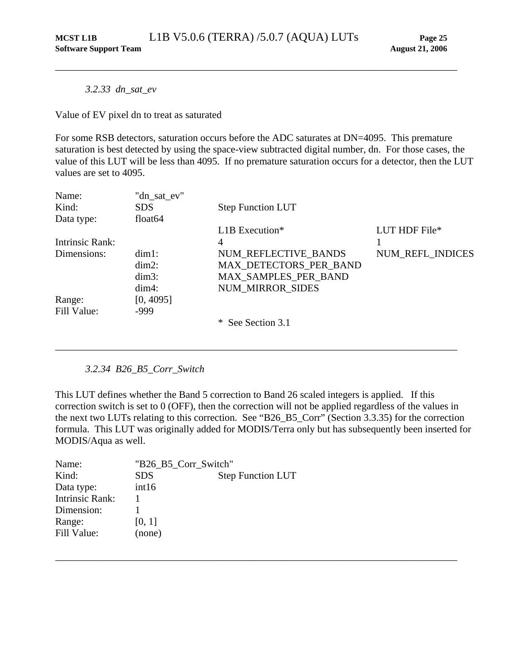<span id="page-29-0"></span>*3.2.33 dn\_sat\_ev* 

Value of EV pixel dn to treat as saturated

For some RSB detectors, saturation occurs before the ADC saturates at DN=4095. This premature saturation is best detected by using the space-view subtracted digital number, dn. For those cases, the value of this LUT will be less than 4095. If no premature saturation occurs for a detector, then the LUT values are set to 4095.

| Name:           | "dn_sat_ev"         |                          |                  |
|-----------------|---------------------|--------------------------|------------------|
| Kind:           | <b>SDS</b>          | <b>Step Function LUT</b> |                  |
| Data type:      | float <sub>64</sub> |                          |                  |
|                 |                     | $L1B$ Execution*         | LUT HDF File*    |
| Intrinsic Rank: |                     | 4                        |                  |
| Dimensions:     | $dim1$ :            | NUM REFLECTIVE BANDS     | NUM REFL INDICES |
|                 | $dim2$ :            | MAX DETECTORS PER BAND   |                  |
|                 | $dim3$ :            | MAX_SAMPLES_PER_BAND     |                  |
|                 | $dim4$ :            | <b>NUM MIRROR SIDES</b>  |                  |
| Range:          | [0, 4095]           |                          |                  |
| Fill Value:     | $-999$              |                          |                  |
|                 |                     | * See Section 3.1        |                  |

*3.2.34 B26\_B5\_Corr\_Switch* 

This LUT defines whether the Band 5 correction to Band 26 scaled integers is applied. If this correction switch is set to 0 (OFF), then the correction will not be applied regardless of the values in the next two LUTs relating to this correction. See "B26\_B5\_Corr" (Section [3.3.35](#page-31-1)) for the correction formula. This LUT was originally added for MODIS/Terra only but has subsequently been inserted for MODIS/Aqua as well.

\_\_\_\_\_\_\_\_\_\_\_\_\_\_\_\_\_\_\_\_\_\_\_\_\_\_\_\_\_\_\_\_\_\_\_\_\_\_\_\_\_\_\_\_\_\_\_\_\_\_\_\_\_\_\_\_\_\_\_\_\_\_\_\_\_\_\_\_\_\_\_\_\_\_\_\_\_\_\_\_

| Name:                  | "B26 B5 Corr Switch" |                          |
|------------------------|----------------------|--------------------------|
| Kind:                  | <b>SDS</b>           | <b>Step Function LUT</b> |
| Data type:             | int16                |                          |
| <b>Intrinsic Rank:</b> |                      |                          |
| Dimension:             |                      |                          |
| Range:                 | [0, 1]               |                          |
| Fill Value:            | (none)               |                          |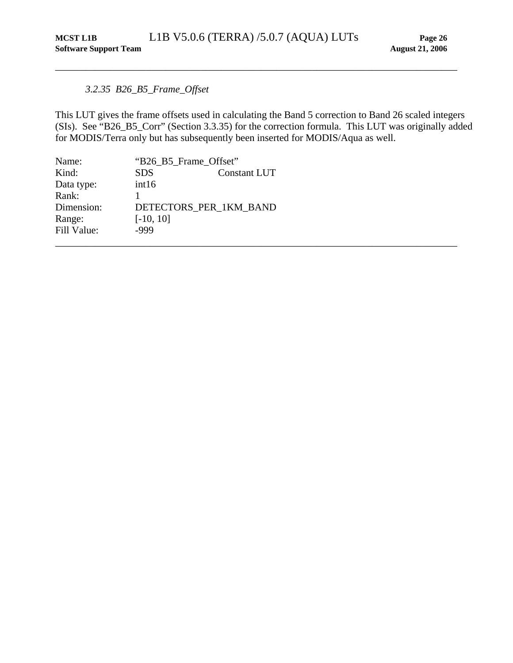## <span id="page-30-0"></span>*3.2.35 B26\_B5\_Frame\_Offset*

This LUT gives the frame offsets used in calculating the Band 5 correction to Band 26 scaled integers (SIs). See "B26\_B5\_Corr" (Section [3.3.35](#page-31-1)) for the correction formula. This LUT was originally added for MODIS/Terra only but has subsequently been inserted for MODIS/Aqua as well.

| Name:       | "B26_B5_Frame_Offset" |                        |  |
|-------------|-----------------------|------------------------|--|
| Kind:       | <b>SDS</b>            | Constant LUT           |  |
| Data type:  | int16                 |                        |  |
| Rank:       |                       |                        |  |
| Dimension:  |                       | DETECTORS_PER_1KM_BAND |  |
| Range:      | $[-10, 10]$           |                        |  |
| Fill Value: | -999                  |                        |  |
|             |                       |                        |  |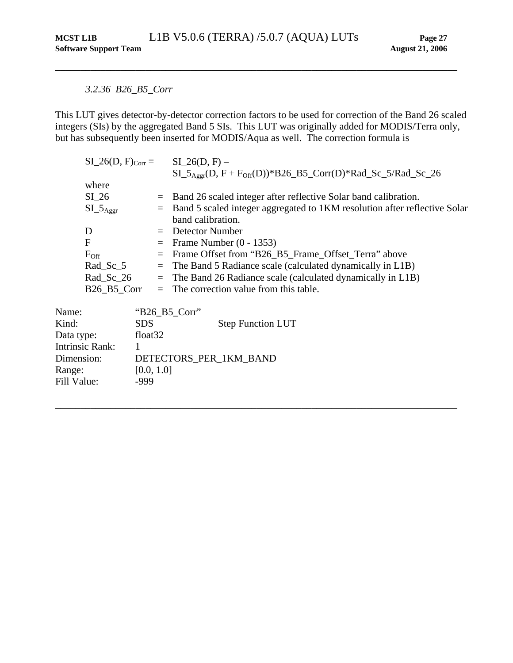## <span id="page-31-0"></span>*3.2.36 B26\_B5\_Corr*

<span id="page-31-1"></span>This LUT gives detector-by-detector correction factors to be used for correction of the Band 26 scaled integers (SIs) by the aggregated Band 5 SIs. This LUT was originally added for MODIS/Terra only, but has subsequently been inserted for MODIS/Aqua as well. The correction formula is

|                        |                     | $SI_26(D, F)_{Corr} = SI_26(D, F) -$                                                   |
|------------------------|---------------------|----------------------------------------------------------------------------------------|
|                        |                     | $SL_5$ <sub>Aggr</sub> (D, F + F <sub>Off</sub> (D))*B26_B5_Corr(D)*Rad_Sc_5/Rad_Sc_26 |
| where                  |                     |                                                                                        |
| $SI_26$                |                     | $=$ Band 26 scaled integer after reflective Solar band calibration.                    |
| $SI_{Aggr}$            | $=$                 | Band 5 scaled integer aggregated to 1KM resolution after reflective Solar              |
|                        |                     | band calibration.                                                                      |
| D                      |                     | $=$ Detector Number                                                                    |
| F                      |                     | $=$ Frame Number (0 - 1353)                                                            |
| $F_{\rm Off}$          | $=$                 | Frame Offset from "B26_B5_Frame_Offset_Terra" above                                    |
| $Rad_Sc_5$             | $\equiv$            | The Band 5 Radiance scale (calculated dynamically in L1B)                              |
| $Rad_Sc_26$            |                     | $=$ The Band 26 Radiance scale (calculated dynamically in L1B)                         |
| B26 B5 Corr            |                     | $=$ The correction value from this table.                                              |
| Name:                  | " $B26\_B5_Corr$ "  |                                                                                        |
| Kind:                  | <b>SDS</b>          | <b>Step Function LUT</b>                                                               |
| Data type:             | float <sub>32</sub> |                                                                                        |
| <b>Intrinsic Rank:</b> | 1                   |                                                                                        |
| Dimension:             |                     | DETECTORS_PER_1KM_BAND                                                                 |
| Range:                 | [0.0, 1.0]          |                                                                                        |
| Fill Value:            | -999                |                                                                                        |
|                        |                     |                                                                                        |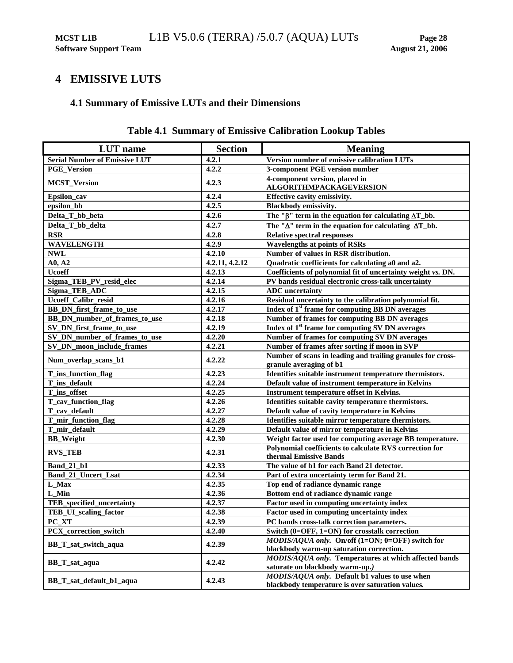## <span id="page-32-1"></span><span id="page-32-0"></span>**4 EMISSIVE LUTS**

## **4.1 Summary of Emissive LUTs and their Dimensions**

| <b>LUT</b> name                      | <b>Section</b> | <b>Meaning</b>                                                                                     |
|--------------------------------------|----------------|----------------------------------------------------------------------------------------------------|
| <b>Serial Number of Emissive LUT</b> | 4.2.1          | Version number of emissive calibration LUTs                                                        |
| <b>PGE_Version</b>                   | 4.2.2          | 3-component PGE version number                                                                     |
| <b>MCST_Version</b>                  | 4.2.3          | 4-component version, placed in<br>ALGORITHMPACKAGEVERSION                                          |
| Epsilon_cav                          | 4.2.4          | Effective cavity emissivity.                                                                       |
| epsilon_bb                           | 4.2.5          | Blackbody emissivity.                                                                              |
| Delta_T_bb_beta                      | 4.2.6          | The " $\beta$ " term in the equation for calculating $\Delta T_b$ bb.                              |
| Delta_T_bb_delta                     | 4.2.7          | The " $\Delta$ " term in the equation for calculating $\Delta T_b$ bb.                             |
| <b>RSR</b>                           | 4.2.8          | <b>Relative spectral responses</b>                                                                 |
| <b>WAVELENGTH</b>                    | 4.2.9          | <b>Wavelengths at points of RSRs</b>                                                               |
| <b>NWL</b>                           | 4.2.10         | Number of values in RSR distribution.                                                              |
| A0, A2                               | 4.2.11, 4.2.12 | Quadratic coefficients for calculating a0 and a2.                                                  |
| <b>Ucoeff</b>                        | 4.2.13         | Coefficients of polynomial fit of uncertainty weight vs. DN.                                       |
| Sigma_TEB_PV_resid_elec              | 4.2.14         | PV bands residual electronic cross-talk uncertainty                                                |
| Sigma_TEB_ADC                        | 4.2.15         | <b>ADC</b> uncertainty                                                                             |
| Ucoeff_Calibr_resid                  | 4.2.16         | Residual uncertainty to the calibration polynomial fit.                                            |
| BB_DN_first_frame_to_use             | 4.2.17         | Index of 1 <sup>st</sup> frame for computing BB DN averages                                        |
| BB DN number of frames to use        | 4.2.18         | Number of frames for computing BB DN averages                                                      |
| SV_DN_first_frame_to_use             | 4.2.19         | Index of 1 <sup>st</sup> frame for computing SV DN averages                                        |
| SV_DN_number_of_frames_to_use        | 4.2.20         | Number of frames for computing SV DN averages                                                      |
| SV_DN_moon_include_frames            | 4.2.21         | Number of frames after sorting if moon in SVP                                                      |
| Num_overlap_scans_b1                 | 4.2.22         | Number of scans in leading and trailing granules for cross-<br>granule averaging of b1             |
| T_ins_function_flag                  | 4.2.23         | Identifies suitable instrument temperature thermistors.                                            |
| T_ins_default                        | 4.2.24         | Default value of instrument temperature in Kelvins                                                 |
| T_ins_offset                         | 4.2.25         | Instrument temperature offset in Kelvins.                                                          |
| T_cav_function_flag                  | 4.2.26         | Identifies suitable cavity temperature thermistors.                                                |
| T_cav_default                        | 4.2.27         | Default value of cavity temperature in Kelvins                                                     |
| T_mir_function_flag                  | 4.2.28         | Identifies suitable mirror temperature thermistors.                                                |
| T_mir_default                        | 4.2.29         | Default value of mirror temperature in Kelvins                                                     |
| <b>BB_Weight</b>                     | 4.2.30         | Weight factor used for computing average BB temperature.                                           |
| <b>RVS_TEB</b>                       | 4.2.31         | Polynomial coefficients to calculate RVS correction for<br>thermal Emissive Bands                  |
| <b>Band_21_b1</b>                    | 4.2.33         | The value of b1 for each Band 21 detector.                                                         |
| Band_21_Uncert_Lsat                  | 4.2.34         | Part of extra uncertainty term for Band 21.                                                        |
| L_Max                                | 4.2.35         | Top end of radiance dynamic range                                                                  |
| L_Min                                | 4.2.36         | Bottom end of radiance dynamic range                                                               |
| TEB_specified_uncertainty            | 4.2.37         | Factor used in computing uncertainty index                                                         |
| TEB_UI_scaling_factor                | 4.2.38         | Factor used in computing uncertainty index                                                         |
| PC_XT                                | 4.2.39         | PC bands cross-talk correction parameters.                                                         |
| PCX_correction_switch                | 4.2.40         | Switch (0=OFF, 1=ON) for crosstalk correction                                                      |
| BB_T_sat_switch_aqua                 | 4.2.39         | MODIS/AQUA only. On/off (1=ON; 0=OFF) switch for<br>blackbody warm-up saturation correction.       |
| BB T sat aqua                        | 4.2.42         | MODIS/AQUA only. Temperatures at which affected bands<br>saturate on blackbody warm-up.)           |
| BB_T_sat_default_b1_aqua             | 4.2.43         | MODIS/AQUA only. Default b1 values to use when<br>blackbody temperature is over saturation values. |

## **Table 4.1 Summary of Emissive Calibration Lookup Tables**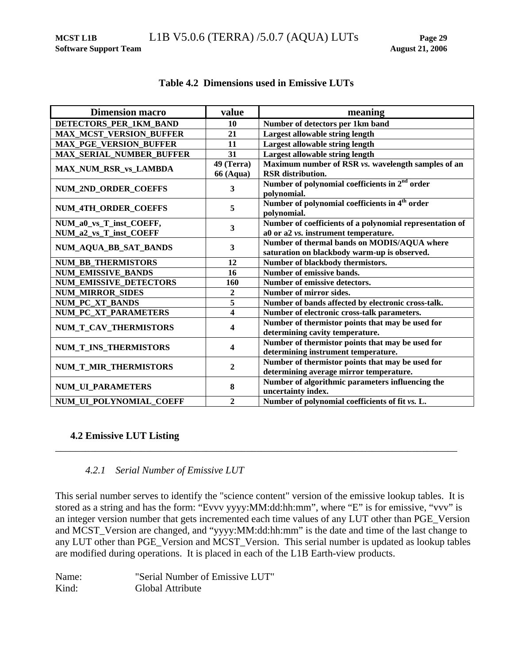<span id="page-33-0"></span>

| <b>Dimension macro</b>          | value                   | meaning                                                                                     |
|---------------------------------|-------------------------|---------------------------------------------------------------------------------------------|
| DETECTORS PER 1KM BAND          | 10                      | Number of detectors per 1km band                                                            |
| <b>MAX_MCST_VERSION_BUFFER</b>  | 21                      | <b>Largest allowable string length</b>                                                      |
| <b>MAX_PGE_VERSION_BUFFER</b>   | 11                      | Largest allowable string length                                                             |
| <b>MAX_SERIAL_NUMBER_BUFFER</b> | 31                      | Largest allowable string length                                                             |
|                                 | 49 (Terra)              | Maximum number of RSR vs. wavelength samples of an                                          |
| <b>MAX_NUM_RSR_vs_LAMBDA</b>    | <b>66 (Aqua)</b>        | <b>RSR</b> distribution.                                                                    |
| NUM_2ND_ORDER_COEFFS            | $\overline{\mathbf{3}}$ | Number of polynomial coefficients in 2 <sup>nd</sup> order<br>polynomial.                   |
| <b>NUM 4TH ORDER COEFFS</b>     | 5                       | Number of polynomial coefficients in 4 <sup>th</sup> order<br>polynomial.                   |
| NUM_a0_vs_T_inst_COEFF,         | 3                       | Number of coefficients of a polynomial representation of                                    |
| NUM_a2_vs_T_inst_COEFF          |                         | a0 or a2 vs. instrument temperature.                                                        |
| NUM_AQUA_BB_SAT_BANDS           | 3                       | Number of thermal bands on MODIS/AQUA where<br>saturation on blackbody warm-up is observed. |
| <b>NUM BB THERMISTORS</b>       | 12                      | Number of blackbody thermistors.                                                            |
| <b>NUM_EMISSIVE_BANDS</b>       | 16                      | Number of emissive bands.                                                                   |
| <b>NUM EMISSIVE DETECTORS</b>   | 160                     | Number of emissive detectors.                                                               |
| <b>NUM_MIRROR_SIDES</b>         | $\overline{2}$          | Number of mirror sides.                                                                     |
| <b>NUM PC XT BANDS</b>          | $\overline{5}$          | Number of bands affected by electronic cross-talk.                                          |
| NUM_PC_XT_PARAMETERS            | $\overline{\mathbf{4}}$ | Number of electronic cross-talk parameters.                                                 |
|                                 |                         | Number of thermistor points that may be used for                                            |
| NUM_T_CAV_THERMISTORS           | 4                       | determining cavity temperature.                                                             |
| NUM_T_INS_THERMISTORS           | 4                       | Number of thermistor points that may be used for                                            |
|                                 |                         | determining instrument temperature.                                                         |
| NUM_T_MIR_THERMISTORS           | $\boldsymbol{2}$        | Number of thermistor points that may be used for                                            |
|                                 |                         | determining average mirror temperature.                                                     |
| <b>NUM_UL_PARAMETERS</b>        | 8                       | Number of algorithmic parameters influencing the<br>uncertainty index.                      |
| NUM_UI_POLYNOMIAL_COEFF         | $\overline{2}$          | Number of polynomial coefficients of fit vs. L.                                             |

## **Table 4.2 Dimensions used in Emissive LUTs**

## **4.2 Emissive LUT Listing**

## *4.2.1 Serial Number of Emissive LUT*

This serial number serves to identify the "science content" version of the emissive lookup tables. It is stored as a string and has the form: "Evvv yyyy:MM:dd:hh:mm", where "E" is for emissive, "vvv" is an integer version number that gets incremented each time values of any LUT other than PGE\_Version and MCST\_Version are changed, and "yyyy:MM:dd:hh:mm" is the date and time of the last change to any LUT other than PGE\_Version and MCST\_Version. This serial number is updated as lookup tables are modified during operations. It is placed in each of the L1B Earth-view products.

<span id="page-33-1"></span>\_\_\_\_\_\_\_\_\_\_\_\_\_\_\_\_\_\_\_\_\_\_\_\_\_\_\_\_\_\_\_\_\_\_\_\_\_\_\_\_\_\_\_\_\_\_\_\_\_\_\_\_\_\_\_\_\_\_\_\_\_\_\_\_\_\_\_\_\_\_\_\_\_\_\_\_\_\_\_\_

Name: "Serial Number of Emissive LUT" Kind: Global Attribute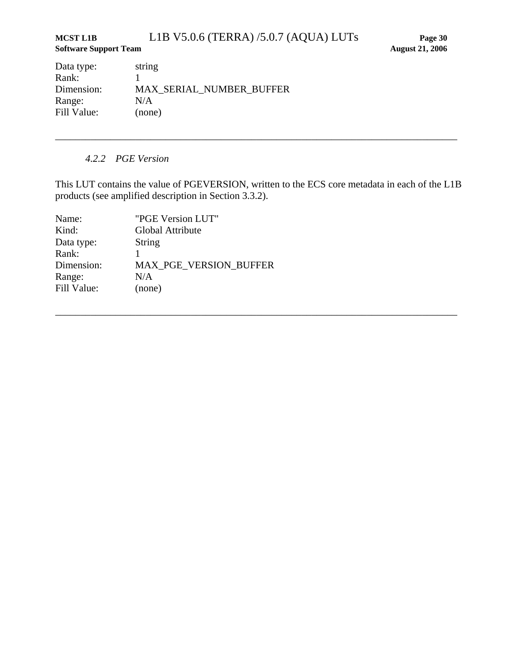## <span id="page-34-0"></span>**MCST L1B** L1B V5.0.6 (TERRA) /5.0.7 (AQUA) LUTs **Page 30 Software Support Team August 21, 2006**

Data type: string Rank: 1 Dimension: MAX\_SERIAL\_NUMBER\_BUFFER Range: N/A Fill Value: (none)

## *4.2.2 PGE Version*

<span id="page-34-1"></span>This LUT contains the value of PGEVERSION, written to the ECS core metadata in each of the L1B products (see amplified description in Section [3.3.2](#page-12-1)).

\_\_\_\_\_\_\_\_\_\_\_\_\_\_\_\_\_\_\_\_\_\_\_\_\_\_\_\_\_\_\_\_\_\_\_\_\_\_\_\_\_\_\_\_\_\_\_\_\_\_\_\_\_\_\_\_\_\_\_\_\_\_\_\_\_\_\_\_\_\_\_\_\_\_\_\_\_\_\_\_

| Name:       | "PGE Version LUT"             |
|-------------|-------------------------------|
| Kind:       | Global Attribute              |
| Data type:  | <b>String</b>                 |
| Rank:       |                               |
| Dimension:  | <b>MAX PGE VERSION BUFFER</b> |
| Range:      | N/A                           |
| Fill Value: | (none)                        |
|             |                               |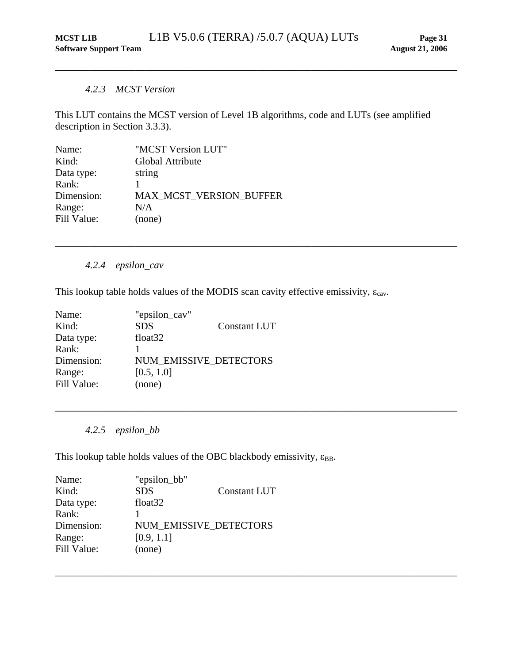#### *4.2.3 MCST Version*

<span id="page-35-1"></span>This LUT contains the MCST version of Level 1B algorithms, code and LUTs (see amplified description in Section [3.3.3\)](#page-13-1).

<span id="page-35-0"></span>\_\_\_\_\_\_\_\_\_\_\_\_\_\_\_\_\_\_\_\_\_\_\_\_\_\_\_\_\_\_\_\_\_\_\_\_\_\_\_\_\_\_\_\_\_\_\_\_\_\_\_\_\_\_\_\_\_\_\_\_\_\_\_\_\_\_\_\_\_\_\_\_\_\_\_\_\_\_\_\_

<span id="page-35-2"></span>\_\_\_\_\_\_\_\_\_\_\_\_\_\_\_\_\_\_\_\_\_\_\_\_\_\_\_\_\_\_\_\_\_\_\_\_\_\_\_\_\_\_\_\_\_\_\_\_\_\_\_\_\_\_\_\_\_\_\_\_\_\_\_\_\_\_\_\_\_\_\_\_\_\_\_\_\_\_\_\_

<span id="page-35-3"></span>\_\_\_\_\_\_\_\_\_\_\_\_\_\_\_\_\_\_\_\_\_\_\_\_\_\_\_\_\_\_\_\_\_\_\_\_\_\_\_\_\_\_\_\_\_\_\_\_\_\_\_\_\_\_\_\_\_\_\_\_\_\_\_\_\_\_\_\_\_\_\_\_\_\_\_\_\_\_\_\_

\_\_\_\_\_\_\_\_\_\_\_\_\_\_\_\_\_\_\_\_\_\_\_\_\_\_\_\_\_\_\_\_\_\_\_\_\_\_\_\_\_\_\_\_\_\_\_\_\_\_\_\_\_\_\_\_\_\_\_\_\_\_\_\_\_\_\_\_\_\_\_\_\_\_\_\_\_\_\_\_

| Name:       | "MCST Version LUT"             |
|-------------|--------------------------------|
| Kind:       | Global Attribute               |
| Data type:  | string                         |
| Rank:       |                                |
| Dimension:  | <b>MAX MCST VERSION BUFFER</b> |
| Range:      | N/A                            |
| Fill Value: | (none)                         |
|             |                                |

## *4.2.4 epsilon\_cav*

This lookup table holds values of the MODIS scan cavity effective emissivity,  $\varepsilon_{\text{cav}}$ .

| Name:       | "epsilon_cav"          |                     |
|-------------|------------------------|---------------------|
| Kind:       | <b>SDS</b>             | <b>Constant LUT</b> |
| Data type:  | float <sub>32</sub>    |                     |
| Rank:       |                        |                     |
| Dimension:  | NUM EMISSIVE DETECTORS |                     |
| Range:      | [0.5, 1.0]             |                     |
| Fill Value: | (none)                 |                     |

*4.2.5 epsilon\_bb* 

This lookup table holds values of the OBC blackbody emissivity,  $\varepsilon_{BB}$ .

| Name:       | "epsilon_bb"                  |                     |
|-------------|-------------------------------|---------------------|
| Kind:       | <b>SDS</b>                    | <b>Constant LUT</b> |
| Data type:  | float <sub>32</sub>           |                     |
| Rank:       |                               |                     |
| Dimension:  | <b>NUM EMISSIVE DETECTORS</b> |                     |
| Range:      | [0.9, 1.1]                    |                     |
| Fill Value: | (none)                        |                     |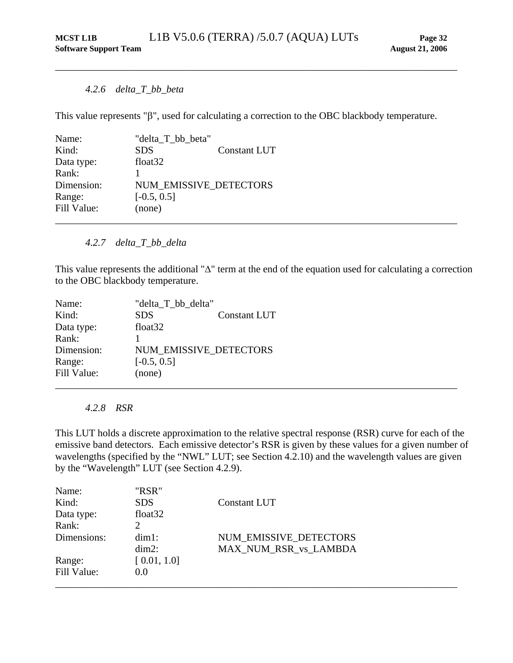#### *4.2.6 delta\_T\_bb\_beta*

This value represents "β", used for calculating a correction to the OBC blackbody temperature.

<span id="page-36-2"></span><span id="page-36-0"></span>\_\_\_\_\_\_\_\_\_\_\_\_\_\_\_\_\_\_\_\_\_\_\_\_\_\_\_\_\_\_\_\_\_\_\_\_\_\_\_\_\_\_\_\_\_\_\_\_\_\_\_\_\_\_\_\_\_\_\_\_\_\_\_\_\_\_\_\_\_\_\_\_\_\_\_\_\_\_\_\_

| Name:       | "delta_T_bb_beta"   |                        |  |
|-------------|---------------------|------------------------|--|
| Kind:       | <b>SDS</b>          | Constant LUT           |  |
| Data type:  | float <sub>32</sub> |                        |  |
| Rank:       |                     |                        |  |
| Dimension:  |                     | NUM_EMISSIVE_DETECTORS |  |
| Range:      | $[-0.5, 0.5]$       |                        |  |
| Fill Value: | (none)              |                        |  |
|             |                     |                        |  |

#### *4.2.7 delta\_T\_bb\_delta*

<span id="page-36-3"></span>This value represents the additional "Δ" term at the end of the equation used for calculating a correction to the OBC blackbody temperature.

| Name:       | "delta_T_bb_delta" |                        |  |
|-------------|--------------------|------------------------|--|
| Kind:       | <b>SDS</b>         | <b>Constant LUT</b>    |  |
| Data type:  | float $32$         |                        |  |
| Rank:       |                    |                        |  |
| Dimension:  |                    | NUM EMISSIVE DETECTORS |  |
| Range:      | $[-0.5, 0.5]$      |                        |  |
| Fill Value: | (none)             |                        |  |
|             |                    |                        |  |

#### *4.2.8 RSR*

<span id="page-36-1"></span>This LUT holds a discrete approximation to the relative spectral response (RSR) curve for each of the emissive band detectors. Each emissive detector's RSR is given by these values for a given number of wavelengths (specified by the "NWL" LUT; see Section [4.2.10\)](#page-37-2) and the wavelength values are given by the "Wavelength" LUT (see Section [4.2.9\)](#page-37-1).

| Name:       | "RSR"       |                        |
|-------------|-------------|------------------------|
| Kind:       | <b>SDS</b>  | Constant LUT           |
| Data type:  | float $32$  |                        |
| Rank:       |             |                        |
| Dimensions: | $dim1$ :    | NUM EMISSIVE DETECTORS |
|             | $dim2$ :    | MAX NUM RSR vs LAMBDA  |
| Range:      | [0.01, 1.0] |                        |
| Fill Value: | 0.0         |                        |
|             |             |                        |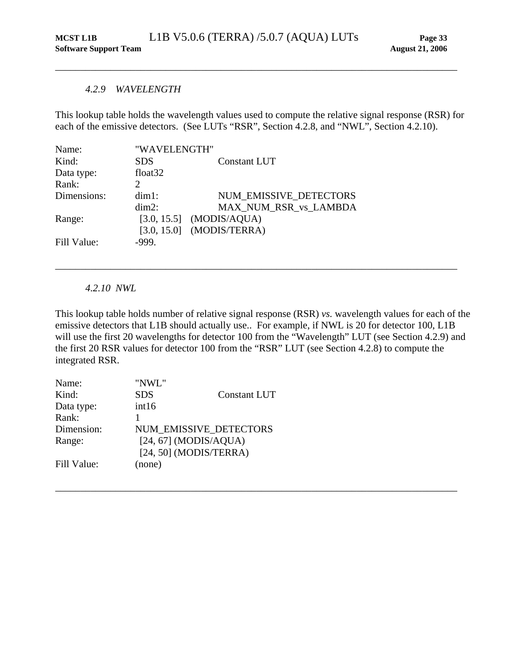#### *4.2.9 WAVELENGTH*

This lookup table holds the wavelength values used to compute the relative signal response (RSR) for each of the emissive detectors. (See LUTs "RSR", Section [4.2.8,](#page-36-1) and "NWL", Section [4.2.10\)](#page-37-2).

<span id="page-37-1"></span><span id="page-37-0"></span>\_\_\_\_\_\_\_\_\_\_\_\_\_\_\_\_\_\_\_\_\_\_\_\_\_\_\_\_\_\_\_\_\_\_\_\_\_\_\_\_\_\_\_\_\_\_\_\_\_\_\_\_\_\_\_\_\_\_\_\_\_\_\_\_\_\_\_\_\_\_\_\_\_\_\_\_\_\_\_\_

| "WAVELENGTH"        |                             |
|---------------------|-----------------------------|
| <b>SDS</b>          | Constant LUT                |
| float <sub>32</sub> |                             |
|                     |                             |
| $dim1$ :            | NUM EMISSIVE DETECTORS      |
| $dim2$ :            | MAX NUM_RSR_vs_LAMBDA       |
|                     | $[3.0, 15.5]$ (MODIS/AQUA)  |
|                     | $[3.0, 15.0]$ (MODIS/TERRA) |
| $-999.$             |                             |
|                     |                             |

*4.2.10 NWL* 

<span id="page-37-2"></span>This lookup table holds number of relative signal response (RSR) *vs.* wavelength values for each of the emissive detectors that L1B should actually use.. For example, if NWL is 20 for detector 100, L1B will use the first 20 wavelengths for detector 100 from the "Wavelength" LUT (see Section [4.2.9](#page-37-1)) and the first 20 RSR values for detector 100 from the "RSR" LUT (see Section [4.2.8\)](#page-36-1) to compute the integrated RSR.

\_\_\_\_\_\_\_\_\_\_\_\_\_\_\_\_\_\_\_\_\_\_\_\_\_\_\_\_\_\_\_\_\_\_\_\_\_\_\_\_\_\_\_\_\_\_\_\_\_\_\_\_\_\_\_\_\_\_\_\_\_\_\_\_\_\_\_\_\_\_\_\_\_\_\_\_\_\_\_\_

| Name:       | "NWL"                    |                     |
|-------------|--------------------------|---------------------|
| Kind:       | <b>SDS</b>               | <b>Constant LUT</b> |
| Data type:  | int16                    |                     |
| Rank:       |                          |                     |
| Dimension:  | NUM EMISSIVE DETECTORS   |                     |
| Range:      | $[24, 67]$ (MODIS/AQUA)  |                     |
|             | $[24, 50]$ (MODIS/TERRA) |                     |
| Fill Value: | (none)                   |                     |
|             |                          |                     |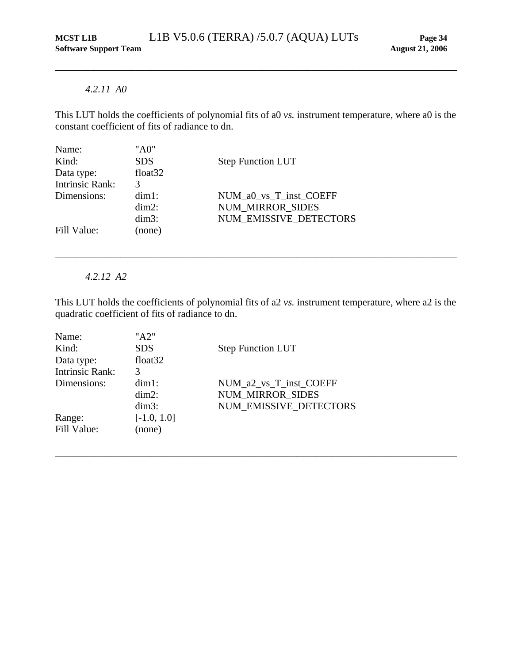#### *4.2.11 A0*

<span id="page-38-1"></span>This LUT holds the coefficients of polynomial fits of a0 *vs.* instrument temperature, where a0 is the constant coefficient of fits of radiance to dn.

<span id="page-38-0"></span>\_\_\_\_\_\_\_\_\_\_\_\_\_\_\_\_\_\_\_\_\_\_\_\_\_\_\_\_\_\_\_\_\_\_\_\_\_\_\_\_\_\_\_\_\_\_\_\_\_\_\_\_\_\_\_\_\_\_\_\_\_\_\_\_\_\_\_\_\_\_\_\_\_\_\_\_\_\_\_\_

| "A0"                |                          |
|---------------------|--------------------------|
| <b>SDS</b>          | <b>Step Function LUT</b> |
| float <sub>32</sub> |                          |
| 3                   |                          |
| $dim1$ :            | NUM_a0_vs_T_inst_COEFF   |
| $dim2$ :            | <b>NUM MIRROR SIDES</b>  |
| $dim3$ :            | NUM EMISSIVE DETECTORS   |
| (none)              |                          |
|                     |                          |

*4.2.12 A2* 

<span id="page-38-2"></span>This LUT holds the coefficients of polynomial fits of a2 *vs.* instrument temperature, where a2 is the quadratic coefficient of fits of radiance to dn.

\_\_\_\_\_\_\_\_\_\_\_\_\_\_\_\_\_\_\_\_\_\_\_\_\_\_\_\_\_\_\_\_\_\_\_\_\_\_\_\_\_\_\_\_\_\_\_\_\_\_\_\_\_\_\_\_\_\_\_\_\_\_\_\_\_\_\_\_\_\_\_\_\_\_\_\_\_\_\_\_

| Name:                  | "A2"                |                          |
|------------------------|---------------------|--------------------------|
| Kind:                  | <b>SDS</b>          | <b>Step Function LUT</b> |
| Data type:             | float <sub>32</sub> |                          |
| <b>Intrinsic Rank:</b> | 3                   |                          |
| Dimensions:            | $dim1$ :            | NUM_a2_vs_T_inst_COEFF   |
|                        | $dim2$ :            | <b>NUM MIRROR SIDES</b>  |
|                        | $dim3$ :            | NUM EMISSIVE DETECTORS   |
| Range:                 | $[-1.0, 1.0]$       |                          |
| Fill Value:            | (none)              |                          |
|                        |                     |                          |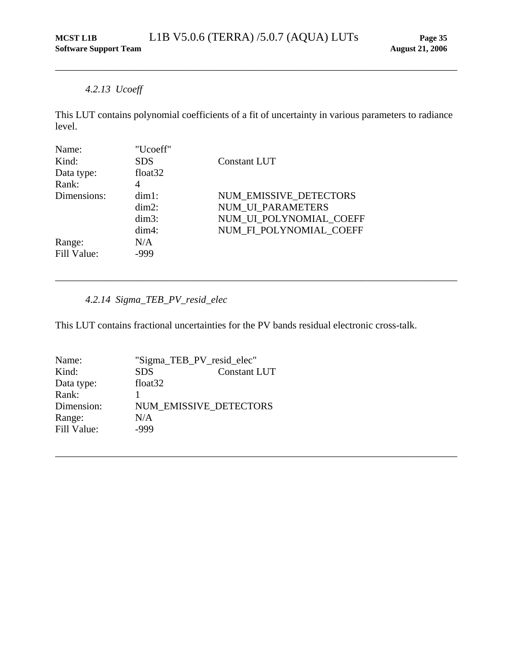## *4.2.13 Ucoeff*

<span id="page-39-1"></span>This LUT contains polynomial coefficients of a fit of uncertainty in various parameters to radiance level.

<span id="page-39-0"></span>\_\_\_\_\_\_\_\_\_\_\_\_\_\_\_\_\_\_\_\_\_\_\_\_\_\_\_\_\_\_\_\_\_\_\_\_\_\_\_\_\_\_\_\_\_\_\_\_\_\_\_\_\_\_\_\_\_\_\_\_\_\_\_\_\_\_\_\_\_\_\_\_\_\_\_\_\_\_\_\_

| Name:       | "Ucoeff"            |                          |
|-------------|---------------------|--------------------------|
| Kind:       | <b>SDS</b>          | <b>Constant LUT</b>      |
| Data type:  | float <sub>32</sub> |                          |
| Rank:       | 4                   |                          |
| Dimensions: | $dim1$ :            | NUM EMISSIVE DETECTORS   |
|             | $dim2$ :            | <b>NUM UI PARAMETERS</b> |
|             | $dim3$ :            | NUM UI POLYNOMIAL COEFF  |
|             | $dim4$ :            | NUM_FI_POLYNOMIAL_COEFF  |
| Range:      | N/A                 |                          |
| Fill Value: | -999                |                          |

## *4.2.14 Sigma\_TEB\_PV\_resid\_elec*

This LUT contains fractional uncertainties for the PV bands residual electronic cross-talk.

<span id="page-39-2"></span>\_\_\_\_\_\_\_\_\_\_\_\_\_\_\_\_\_\_\_\_\_\_\_\_\_\_\_\_\_\_\_\_\_\_\_\_\_\_\_\_\_\_\_\_\_\_\_\_\_\_\_\_\_\_\_\_\_\_\_\_\_\_\_\_\_\_\_\_\_\_\_\_\_\_\_\_\_\_\_\_

| Name:       | "Sigma_TEB_PV_resid_elec"         |
|-------------|-----------------------------------|
| Kind:       | <b>SDS</b><br><b>Constant LUT</b> |
| Data type:  | float <sub>32</sub>               |
| Rank:       |                                   |
| Dimension:  | NUM EMISSIVE DETECTORS            |
| Range:      | N/A                               |
| Fill Value: | $-999$                            |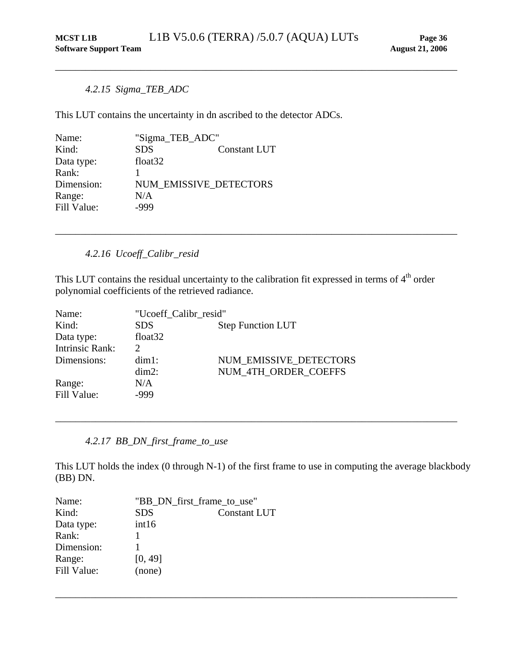## <span id="page-40-0"></span>*4.2.15 Sigma\_TEB\_ADC*

<span id="page-40-1"></span>This LUT contains the uncertainty in dn ascribed to the detector ADCs.

| Name:       | "Sigma_TEB_ADC"               |                     |
|-------------|-------------------------------|---------------------|
| Kind:       | <b>SDS</b>                    | <b>Constant LUT</b> |
| Data type:  | float <sub>32</sub>           |                     |
| Rank:       |                               |                     |
| Dimension:  | <b>NUM EMISSIVE DETECTORS</b> |                     |
| Range:      | N/A                           |                     |
| Fill Value: | -999                          |                     |

## *4.2.16 Ucoeff\_Calibr\_resid*

<span id="page-40-2"></span>This LUT contains the residual uncertainty to the calibration fit expressed in terms of  $4<sup>th</sup>$  order polynomial coefficients of the retrieved radiance.

\_\_\_\_\_\_\_\_\_\_\_\_\_\_\_\_\_\_\_\_\_\_\_\_\_\_\_\_\_\_\_\_\_\_\_\_\_\_\_\_\_\_\_\_\_\_\_\_\_\_\_\_\_\_\_\_\_\_\_\_\_\_\_\_\_\_\_\_\_\_\_\_\_\_\_\_\_\_\_\_

| Name:                  | "Ucoeff Calibr resid"       |                          |  |
|------------------------|-----------------------------|--------------------------|--|
| Kind:                  | <b>SDS</b>                  | <b>Step Function LUT</b> |  |
| Data type:             | float <sub>32</sub>         |                          |  |
| <b>Intrinsic Rank:</b> | $\mathcal{D}_{\mathcal{L}}$ |                          |  |
| Dimensions:            | $dim1$ :                    | NUM EMISSIVE DETECTORS   |  |
|                        | $dim2$ :                    | NUM 4TH ORDER COEFFS     |  |
| Range:                 | N/A                         |                          |  |
| Fill Value:            | -999                        |                          |  |
|                        |                             |                          |  |

*4.2.17 BB\_DN\_first\_frame\_to\_use* 

<span id="page-40-3"></span>This LUT holds the index (0 through N-1) of the first frame to use in computing the average blackbody (BB) DN.

\_\_\_\_\_\_\_\_\_\_\_\_\_\_\_\_\_\_\_\_\_\_\_\_\_\_\_\_\_\_\_\_\_\_\_\_\_\_\_\_\_\_\_\_\_\_\_\_\_\_\_\_\_\_\_\_\_\_\_\_\_\_\_\_\_\_\_\_\_\_\_\_\_\_\_\_\_\_\_\_

| "BB_DN_first_frame_to_use" |                     |
|----------------------------|---------------------|
| <b>SDS</b>                 | <b>Constant LUT</b> |
| int16                      |                     |
|                            |                     |
|                            |                     |
| [0, 49]                    |                     |
| (none)                     |                     |
|                            |                     |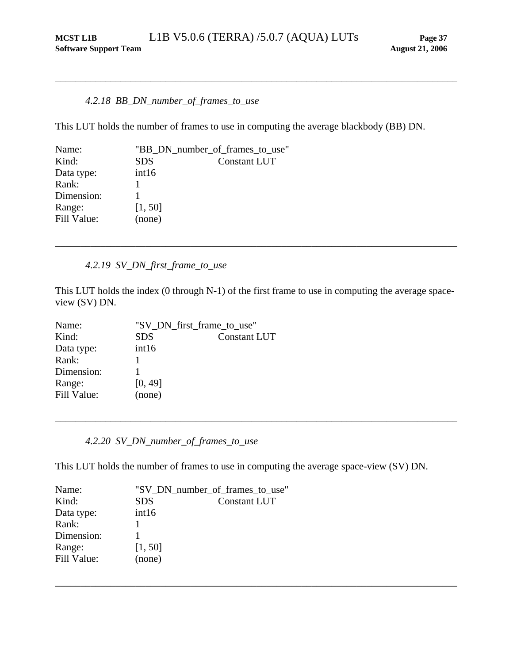#### *4.2.18 BB\_DN\_number\_of\_frames\_to\_use*

This LUT holds the number of frames to use in computing the average blackbody (BB) DN.

<span id="page-41-1"></span><span id="page-41-0"></span>\_\_\_\_\_\_\_\_\_\_\_\_\_\_\_\_\_\_\_\_\_\_\_\_\_\_\_\_\_\_\_\_\_\_\_\_\_\_\_\_\_\_\_\_\_\_\_\_\_\_\_\_\_\_\_\_\_\_\_\_\_\_\_\_\_\_\_\_\_\_\_\_\_\_\_\_\_\_\_\_

| Name:       | "BB_DN_number_of_frames_to_use" |                     |
|-------------|---------------------------------|---------------------|
| Kind:       | <b>SDS</b>                      | <b>Constant LUT</b> |
| Data type:  | int16                           |                     |
| Rank:       |                                 |                     |
| Dimension:  |                                 |                     |
| Range:      | [1, 50]                         |                     |
| Fill Value: | (none)                          |                     |
|             |                                 |                     |

#### *4.2.19 SV\_DN\_first\_frame\_to\_use*

<span id="page-41-2"></span>This LUT holds the index (0 through N-1) of the first frame to use in computing the average spaceview (SV) DN.

\_\_\_\_\_\_\_\_\_\_\_\_\_\_\_\_\_\_\_\_\_\_\_\_\_\_\_\_\_\_\_\_\_\_\_\_\_\_\_\_\_\_\_\_\_\_\_\_\_\_\_\_\_\_\_\_\_\_\_\_\_\_\_\_\_\_\_\_\_\_\_\_\_\_\_\_\_\_\_\_

| Name:       | "SV_DN_first_frame_to_use" |                     |  |
|-------------|----------------------------|---------------------|--|
| Kind:       | <b>SDS</b>                 | <b>Constant LUT</b> |  |
| Data type:  | int16                      |                     |  |
| Rank:       |                            |                     |  |
| Dimension:  |                            |                     |  |
| Range:      | [0, 49]                    |                     |  |
| Fill Value: | (none)                     |                     |  |

*4.2.20 SV\_DN\_number\_of\_frames\_to\_use* 

<span id="page-41-3"></span>This LUT holds the number of frames to use in computing the average space-view (SV) DN.

\_\_\_\_\_\_\_\_\_\_\_\_\_\_\_\_\_\_\_\_\_\_\_\_\_\_\_\_\_\_\_\_\_\_\_\_\_\_\_\_\_\_\_\_\_\_\_\_\_\_\_\_\_\_\_\_\_\_\_\_\_\_\_\_\_\_\_\_\_\_\_\_\_\_\_\_\_\_\_\_

| Name:       | "SV_DN_number_of_frames_to_use" |                     |
|-------------|---------------------------------|---------------------|
| Kind:       | <b>SDS</b>                      | <b>Constant LUT</b> |
| Data type:  | int16                           |                     |
| Rank:       |                                 |                     |
| Dimension:  |                                 |                     |
| Range:      | [1, 50]                         |                     |
| Fill Value: | (none)                          |                     |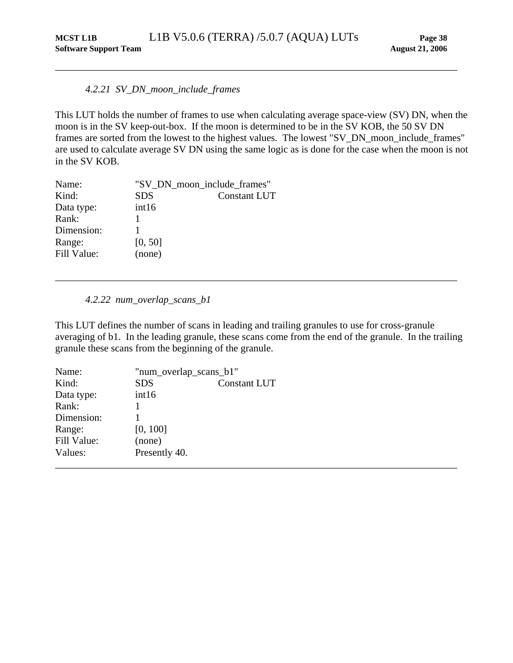## <span id="page-42-0"></span>*4.2.21 SV\_DN\_moon\_include\_frames*

<span id="page-42-1"></span>This LUT holds the number of frames to use when calculating average space-view (SV) DN, when the moon is in the SV keep-out-box. If the moon is determined to be in the SV KOB, the 50 SV DN frames are sorted from the lowest to the highest values. The lowest "SV\_DN\_moon\_include\_frames" are used to calculate average SV DN using the same logic as is done for the case when the moon is not in the SV KOB.

| Name:       |            | "SV_DN_moon_include_frames" |
|-------------|------------|-----------------------------|
| Kind:       | <b>SDS</b> | <b>Constant LUT</b>         |
| Data type:  | int16      |                             |
| Rank:       |            |                             |
| Dimension:  |            |                             |
| Range:      | [0, 50]    |                             |
| Fill Value: | (none)     |                             |
|             |            |                             |

#### *4.2.22 num\_overlap\_scans\_b1*

<span id="page-42-2"></span>This LUT defines the number of scans in leading and trailing granules to use for cross-granule averaging of b1. In the leading granule, these scans come from the end of the granule. In the trailing granule these scans from the beginning of the granule.

| Name:       | "num_overlap_scans_b1" |                     |  |
|-------------|------------------------|---------------------|--|
| Kind:       | <b>SDS</b>             | <b>Constant LUT</b> |  |
| Data type:  | int16                  |                     |  |
| Rank:       |                        |                     |  |
| Dimension:  |                        |                     |  |
| Range:      | [0, 100]               |                     |  |
| Fill Value: | (none)                 |                     |  |
| Values:     | Presently 40.          |                     |  |
|             |                        |                     |  |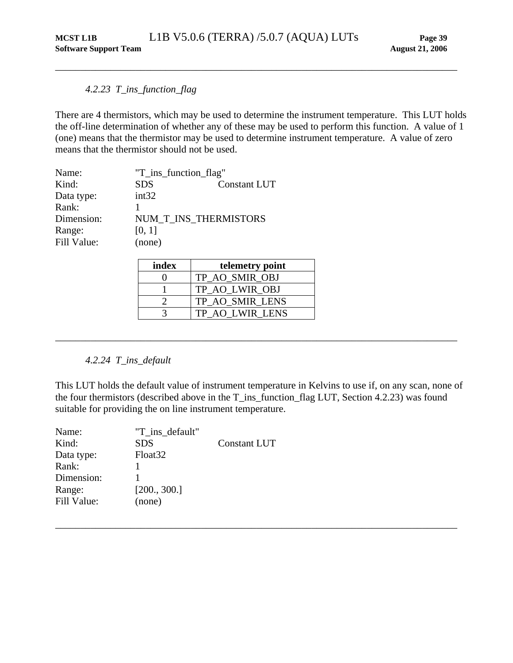## <span id="page-43-0"></span>*4.2.23 T\_ins\_function\_flag*

<span id="page-43-1"></span>There are 4 thermistors, which may be used to determine the instrument temperature. This LUT holds the off-line determination of whether any of these may be used to perform this function. A value of 1 (one) means that the thermistor may be used to determine instrument temperature. A value of zero means that the thermistor should not be used.

| Name:       | "T_ins_function_flag" |                     |
|-------------|-----------------------|---------------------|
| Kind:       | <b>SDS</b>            | <b>Constant LUT</b> |
| Data type:  | int32                 |                     |
| Rank:       |                       |                     |
| Dimension:  | NUM T INS THERMISTORS |                     |
| Range:      | [0, 1]                |                     |
| Fill Value: | (none)                |                     |

| index | telemetry point |
|-------|-----------------|
|       | TP AO SMIR OBJ  |
|       | TP AO LWIR OBJ  |
|       | TP AO SMIR LENS |
|       | TP AO LWIR LENS |

## *4.2.24 T\_ins\_default*

<span id="page-43-2"></span>This LUT holds the default value of instrument temperature in Kelvins to use if, on any scan, none of the four thermistors (described above in the T\_ins\_function\_flag LUT, Section [4.2.23](#page-43-1)) was found suitable for providing the on line instrument temperature.

\_\_\_\_\_\_\_\_\_\_\_\_\_\_\_\_\_\_\_\_\_\_\_\_\_\_\_\_\_\_\_\_\_\_\_\_\_\_\_\_\_\_\_\_\_\_\_\_\_\_\_\_\_\_\_\_\_\_\_\_\_\_\_\_\_\_\_\_\_\_\_\_\_\_\_\_\_\_\_\_

| Name:       | "T ins default"     |                     |
|-------------|---------------------|---------------------|
| Kind:       | <b>SDS</b>          | <b>Constant LUT</b> |
| Data type:  | Float <sub>32</sub> |                     |
| Rank:       |                     |                     |
| Dimension:  |                     |                     |
| Range:      | [200., 300.]        |                     |
| Fill Value: | (none)              |                     |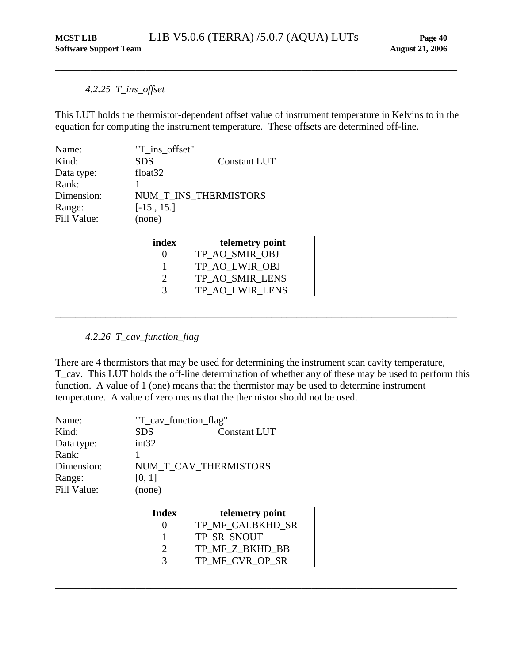## *4.2.25 T\_ins\_offset*

This LUT holds the thermistor-dependent offset value of instrument temperature in Kelvins to in the equation for computing the instrument temperature. These offsets are determined off-line.

<span id="page-44-1"></span><span id="page-44-0"></span>\_\_\_\_\_\_\_\_\_\_\_\_\_\_\_\_\_\_\_\_\_\_\_\_\_\_\_\_\_\_\_\_\_\_\_\_\_\_\_\_\_\_\_\_\_\_\_\_\_\_\_\_\_\_\_\_\_\_\_\_\_\_\_\_\_\_\_\_\_\_\_\_\_\_\_\_\_\_\_\_

| Name:       | "T ins offset"        |              |
|-------------|-----------------------|--------------|
| Kind:       | <b>SDS</b>            | Constant LUT |
| Data type:  | float $32$            |              |
| Rank:       |                       |              |
| Dimension:  | NUM T INS THERMISTORS |              |
| Range:      | $[-15., 15.]$         |              |
| Fill Value: | (none)                |              |

| index | telemetry point |
|-------|-----------------|
|       | TP AO SMIR OBJ  |
|       | TP AO LWIR OBJ  |
|       | TP AO SMIR LENS |
|       | TP AO LWIR LENS |

## *4.2.26 T\_cav\_function\_flag*

There are 4 thermistors that may be used for determining the instrument scan cavity temperature, T\_cav. This LUT holds the off-line determination of whether any of these may be used to perform this function. A value of 1 (one) means that the thermistor may be used to determine instrument temperature. A value of zero means that the thermistor should not be used.

<span id="page-44-2"></span>\_\_\_\_\_\_\_\_\_\_\_\_\_\_\_\_\_\_\_\_\_\_\_\_\_\_\_\_\_\_\_\_\_\_\_\_\_\_\_\_\_\_\_\_\_\_\_\_\_\_\_\_\_\_\_\_\_\_\_\_\_\_\_\_\_\_\_\_\_\_\_\_\_\_\_\_\_\_\_\_

| Name:       | "T_cav_function_flag" |              |
|-------------|-----------------------|--------------|
| Kind:       | <b>SDS</b>            | Constant LUT |
| Data type:  | int32                 |              |
| Rank:       |                       |              |
| Dimension:  | NUM T CAV THERMISTORS |              |
| Range:      | [0, 1]                |              |
| Fill Value: | (none)                |              |

| <b>Index</b> | telemetry point  |
|--------------|------------------|
|              | TP MF CALBKHD SR |
|              | TP SR SNOUT      |
|              | TP MF Z BKHD BB  |
|              | TP MF CVR OP SR  |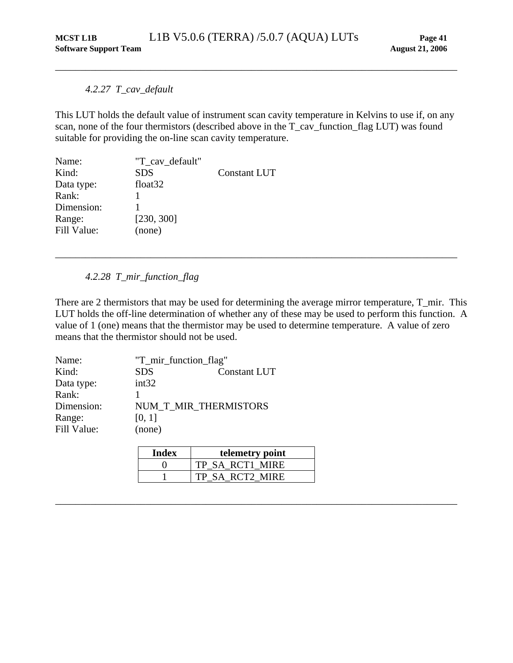## *4.2.27 T\_cav\_default*

This LUT holds the default value of instrument scan cavity temperature in Kelvins to use if, on any scan, none of the four thermistors (described above in the T\_cav\_function\_flag LUT) was found suitable for providing the on-line scan cavity temperature.

<span id="page-45-1"></span><span id="page-45-0"></span>\_\_\_\_\_\_\_\_\_\_\_\_\_\_\_\_\_\_\_\_\_\_\_\_\_\_\_\_\_\_\_\_\_\_\_\_\_\_\_\_\_\_\_\_\_\_\_\_\_\_\_\_\_\_\_\_\_\_\_\_\_\_\_\_\_\_\_\_\_\_\_\_\_\_\_\_\_\_\_\_

| Name:       | "T cav default"     |                     |
|-------------|---------------------|---------------------|
| Kind:       | <b>SDS</b>          | <b>Constant LUT</b> |
| Data type:  | float <sub>32</sub> |                     |
| Rank:       |                     |                     |
| Dimension:  |                     |                     |
| Range:      | [230, 300]          |                     |
| Fill Value: | (none)              |                     |

*4.2.28 T\_mir\_function\_flag* 

There are 2 thermistors that may be used for determining the average mirror temperature, T\_mir. This LUT holds the off-line determination of whether any of these may be used to perform this function. A value of 1 (one) means that the thermistor may be used to determine temperature. A value of zero means that the thermistor should not be used.

<span id="page-45-2"></span>\_\_\_\_\_\_\_\_\_\_\_\_\_\_\_\_\_\_\_\_\_\_\_\_\_\_\_\_\_\_\_\_\_\_\_\_\_\_\_\_\_\_\_\_\_\_\_\_\_\_\_\_\_\_\_\_\_\_\_\_\_\_\_\_\_\_\_\_\_\_\_\_\_\_\_\_\_\_\_\_

| Name:       |            | "T_mir_function_flag" |  |
|-------------|------------|-----------------------|--|
| Kind:       | <b>SDS</b> | <b>Constant LUT</b>   |  |
| Data type:  | int32      |                       |  |
| Rank:       |            |                       |  |
| Dimension:  |            | NUM T MIR THERMISTORS |  |
| Range:      | [0, 1]     |                       |  |
| Fill Value: | (none)     |                       |  |

| Index | telemetry point |
|-------|-----------------|
|       | TP SA RCT1 MIRE |
|       | TP SA RCT2 MIRE |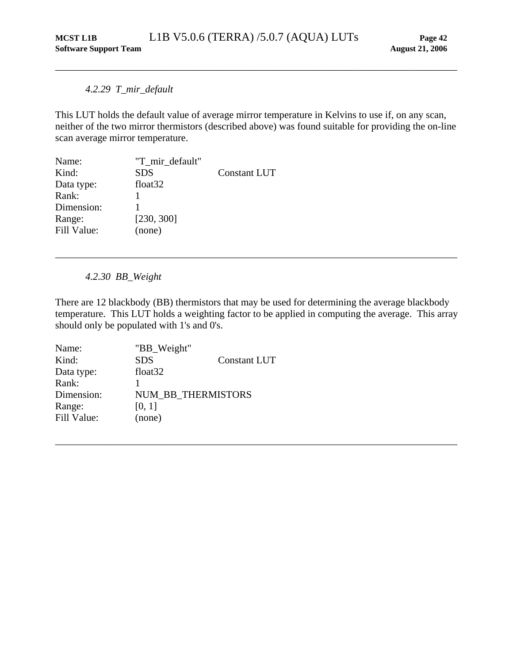## *4.2.29 T\_mir\_default*

This LUT holds the default value of average mirror temperature in Kelvins to use if, on any scan, neither of the two mirror thermistors (described above) was found suitable for providing the on-line scan average mirror temperature.

<span id="page-46-1"></span><span id="page-46-0"></span>\_\_\_\_\_\_\_\_\_\_\_\_\_\_\_\_\_\_\_\_\_\_\_\_\_\_\_\_\_\_\_\_\_\_\_\_\_\_\_\_\_\_\_\_\_\_\_\_\_\_\_\_\_\_\_\_\_\_\_\_\_\_\_\_\_\_\_\_\_\_\_\_\_\_\_\_\_\_\_\_

| Name:       | "T mir default"     |                     |
|-------------|---------------------|---------------------|
| Kind:       | <b>SDS</b>          | <b>Constant LUT</b> |
| Data type:  | float <sub>32</sub> |                     |
| Rank:       |                     |                     |
| Dimension:  |                     |                     |
| Range:      | [230, 300]          |                     |
| Fill Value: | (none)              |                     |

*4.2.30 BB\_Weight* 

<span id="page-46-2"></span>There are 12 blackbody (BB) thermistors that may be used for determining the average blackbody temperature. This LUT holds a weighting factor to be applied in computing the average. This array should only be populated with 1's and 0's.

\_\_\_\_\_\_\_\_\_\_\_\_\_\_\_\_\_\_\_\_\_\_\_\_\_\_\_\_\_\_\_\_\_\_\_\_\_\_\_\_\_\_\_\_\_\_\_\_\_\_\_\_\_\_\_\_\_\_\_\_\_\_\_\_\_\_\_\_\_\_\_\_\_\_\_\_\_\_\_\_

| Name:       | "BB_Weight"         |                     |
|-------------|---------------------|---------------------|
| Kind:       | <b>SDS</b>          | <b>Constant LUT</b> |
| Data type:  | float <sub>32</sub> |                     |
| Rank:       |                     |                     |
| Dimension:  | NUM_BB_THERMISTORS  |                     |
| Range:      | [0, 1]              |                     |
| Fill Value: | (none)              |                     |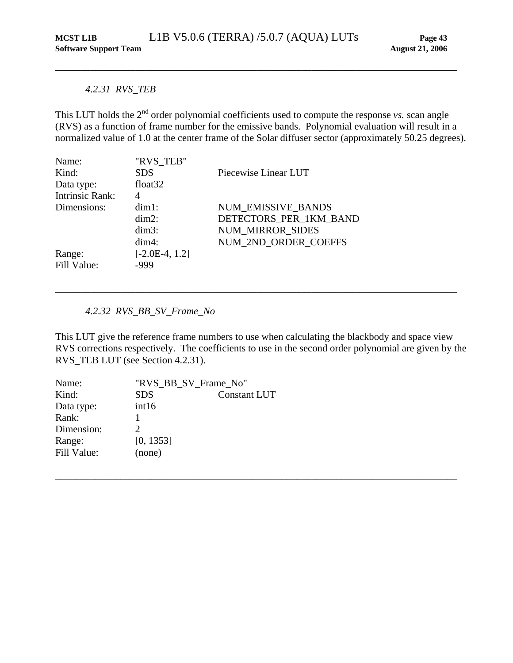#### <span id="page-47-0"></span>*4.2.31 RVS\_TEB*

<span id="page-47-1"></span>This LUT holds the 2<sup>nd</sup> order polynomial coefficients used to compute the response *vs*. scan angle (RVS) as a function of frame number for the emissive bands. Polynomial evaluation will result in a normalized value of 1.0 at the center frame of the Solar diffuser sector (approximately 50.25 degrees).

| Name:                  | "RVS TEB"        |                         |
|------------------------|------------------|-------------------------|
| Kind:                  | <b>SDS</b>       | Piecewise Linear LUT    |
| Data type:             | float $32$       |                         |
| <b>Intrinsic Rank:</b> | 4                |                         |
| Dimensions:            | $dim1$ :         | NUM EMISSIVE_BANDS      |
|                        | $dim2$ :         | DETECTORS PER 1KM BAND  |
|                        | $dim3$ :         | <b>NUM MIRROR SIDES</b> |
|                        | $dim4$ :         | NUM_2ND_ORDER_COEFFS    |
| Range:                 | $[-2.0E-4, 1.2]$ |                         |
| Fill Value:            | -999             |                         |

## *4.2.32 RVS\_BB\_SV\_Frame\_No*

This LUT give the reference frame numbers to use when calculating the blackbody and space view RVS corrections respectively. The coefficients to use in the second order polynomial are given by the RVS\_TEB LUT (see Section [4.2.31\)](#page-47-1).

\_\_\_\_\_\_\_\_\_\_\_\_\_\_\_\_\_\_\_\_\_\_\_\_\_\_\_\_\_\_\_\_\_\_\_\_\_\_\_\_\_\_\_\_\_\_\_\_\_\_\_\_\_\_\_\_\_\_\_\_\_\_\_\_\_\_\_\_\_\_\_\_\_\_\_\_\_\_\_\_

| Name:       | "RVS BB SV Frame No"        |                     |
|-------------|-----------------------------|---------------------|
| Kind:       | <b>SDS</b>                  | <b>Constant LUT</b> |
| Data type:  | int16                       |                     |
| Rank:       |                             |                     |
| Dimension:  | $\mathcal{D}_{\mathcal{L}}$ |                     |
| Range:      | [0, 1353]                   |                     |
| Fill Value: | (none)                      |                     |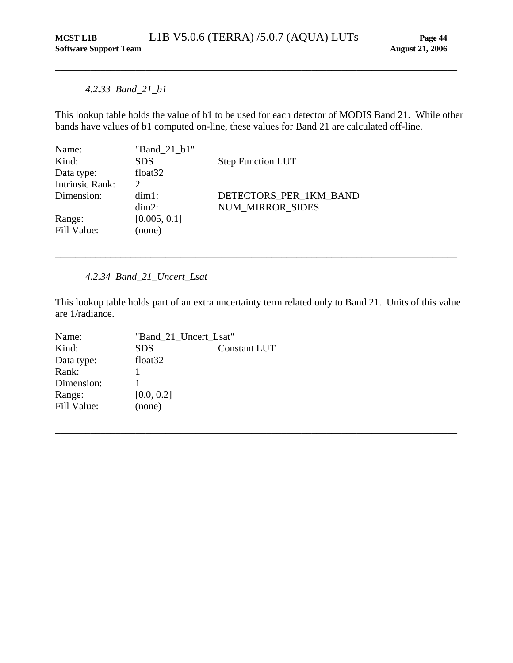## *4.2.33 Band\_21\_b1*

<span id="page-48-1"></span>This lookup table holds the value of b1 to be used for each detector of MODIS Band 21. While other bands have values of b1 computed on-line, these values for Band 21 are calculated off-line.

<span id="page-48-0"></span>\_\_\_\_\_\_\_\_\_\_\_\_\_\_\_\_\_\_\_\_\_\_\_\_\_\_\_\_\_\_\_\_\_\_\_\_\_\_\_\_\_\_\_\_\_\_\_\_\_\_\_\_\_\_\_\_\_\_\_\_\_\_\_\_\_\_\_\_\_\_\_\_\_\_\_\_\_\_\_\_

| "Band 21 b1"                |                          |
|-----------------------------|--------------------------|
| <b>SDS</b>                  | <b>Step Function LUT</b> |
| float $32$                  |                          |
| $\mathcal{D}_{\mathcal{L}}$ |                          |
| $dim1$ :                    | DETECTORS PER 1KM BAND   |
| $dim2$ :                    | <b>NUM MIRROR SIDES</b>  |
| [0.005, 0.1]                |                          |
| (none)                      |                          |
|                             |                          |

*4.2.34 Band\_21\_Uncert\_Lsat* 

<span id="page-48-2"></span>This lookup table holds part of an extra uncertainty term related only to Band 21. Units of this value are 1/radiance.

\_\_\_\_\_\_\_\_\_\_\_\_\_\_\_\_\_\_\_\_\_\_\_\_\_\_\_\_\_\_\_\_\_\_\_\_\_\_\_\_\_\_\_\_\_\_\_\_\_\_\_\_\_\_\_\_\_\_\_\_\_\_\_\_\_\_\_\_\_\_\_\_\_\_\_\_\_\_\_\_

| Name:       | "Band_21_Uncert_Lsat" |                     |
|-------------|-----------------------|---------------------|
| Kind:       | <b>SDS</b>            | <b>Constant LUT</b> |
| Data type:  | float <sub>32</sub>   |                     |
| Rank:       |                       |                     |
| Dimension:  |                       |                     |
| Range:      | [0.0, 0.2]            |                     |
| Fill Value: | (none)                |                     |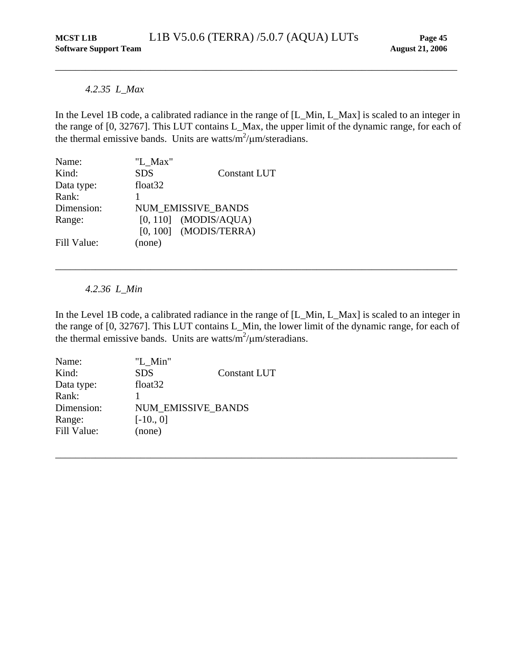## *4.2.35 L\_Max*

<span id="page-49-1"></span>In the Level 1B code, a calibrated radiance in the range of [L\_Min, L\_Max] is scaled to an integer in the range of [0, 32767]. This LUT contains L\_Max, the upper limit of the dynamic range, for each of the thermal emissive bands. Units are watts/ $m^2/\mu m/s$  teradians.

<span id="page-49-0"></span>\_\_\_\_\_\_\_\_\_\_\_\_\_\_\_\_\_\_\_\_\_\_\_\_\_\_\_\_\_\_\_\_\_\_\_\_\_\_\_\_\_\_\_\_\_\_\_\_\_\_\_\_\_\_\_\_\_\_\_\_\_\_\_\_\_\_\_\_\_\_\_\_\_\_\_\_\_\_\_\_

| Name:       | "L Max"             |                           |
|-------------|---------------------|---------------------------|
| Kind:       | <b>SDS</b>          | <b>Constant LUT</b>       |
| Data type:  | float <sub>32</sub> |                           |
| Rank:       |                     |                           |
| Dimension:  |                     | <b>NUM EMISSIVE BANDS</b> |
| Range:      |                     | $[0, 110]$ (MODIS/AQUA)   |
|             |                     | $[0, 100]$ (MODIS/TERRA)  |
| Fill Value: | (none)              |                           |

*4.2.36 L\_Min* 

<span id="page-49-2"></span>In the Level 1B code, a calibrated radiance in the range of [L\_Min, L\_Max] is scaled to an integer in the range of [0, 32767]. This LUT contains L\_Min, the lower limit of the dynamic range, for each of the thermal emissive bands. Units are watts/ $m^2/\mu m/s$  teradians.

\_\_\_\_\_\_\_\_\_\_\_\_\_\_\_\_\_\_\_\_\_\_\_\_\_\_\_\_\_\_\_\_\_\_\_\_\_\_\_\_\_\_\_\_\_\_\_\_\_\_\_\_\_\_\_\_\_\_\_\_\_\_\_\_\_\_\_\_\_\_\_\_\_\_\_\_\_\_\_\_

| Name:       | "L Min"                   |                     |
|-------------|---------------------------|---------------------|
| Kind:       | <b>SDS</b>                | <b>Constant LUT</b> |
| Data type:  | float <sub>32</sub>       |                     |
| Rank:       |                           |                     |
| Dimension:  | <b>NUM EMISSIVE BANDS</b> |                     |
| Range:      | $[-10., 0]$               |                     |
| Fill Value: | (none)                    |                     |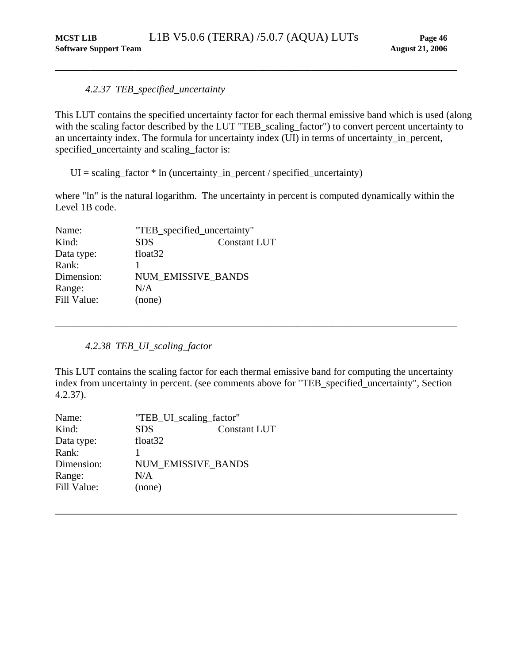## *4.2.37 TEB\_specified\_uncertainty*

This LUT contains the specified uncertainty factor for each thermal emissive band which is used (along with the scaling factor described by the LUT "TEB\_scaling\_factor") to convert percent uncertainty to an uncertainty index. The formula for uncertainty index (UI) in terms of uncertainty\_in\_percent, specified\_uncertainty and scaling\_factor is:

<span id="page-50-1"></span><span id="page-50-0"></span>\_\_\_\_\_\_\_\_\_\_\_\_\_\_\_\_\_\_\_\_\_\_\_\_\_\_\_\_\_\_\_\_\_\_\_\_\_\_\_\_\_\_\_\_\_\_\_\_\_\_\_\_\_\_\_\_\_\_\_\_\_\_\_\_\_\_\_\_\_\_\_\_\_\_\_\_\_\_\_\_

 $UI = scaling_factor * ln (uncertainty_in_pereent / specified_uncertainty)$ 

where "ln" is the natural logarithm. The uncertainty in percent is computed dynamically within the Level 1B code.

| Name:       | "TEB_specified_uncertainty" |                     |
|-------------|-----------------------------|---------------------|
| Kind:       | <b>SDS</b>                  | <b>Constant LUT</b> |
| Data type:  | float <sub>32</sub>         |                     |
| Rank:       |                             |                     |
| Dimension:  |                             | NUM EMISSIVE BANDS  |
| Range:      | N/A                         |                     |
| Fill Value: | (none)                      |                     |
|             |                             |                     |

*4.2.38 TEB\_UI\_scaling\_factor* 

<span id="page-50-2"></span>This LUT contains the scaling factor for each thermal emissive band for computing the uncertainty index from uncertainty in percent. (see comments above for "TEB\_specified\_uncertainty", Section [4.2.37](#page-50-1)).

\_\_\_\_\_\_\_\_\_\_\_\_\_\_\_\_\_\_\_\_\_\_\_\_\_\_\_\_\_\_\_\_\_\_\_\_\_\_\_\_\_\_\_\_\_\_\_\_\_\_\_\_\_\_\_\_\_\_\_\_\_\_\_\_\_\_\_\_\_\_\_\_\_\_\_\_\_\_\_\_

| Name:       | "TEB_UI_scaling_factor" |                     |
|-------------|-------------------------|---------------------|
| Kind:       | <b>SDS</b>              | <b>Constant LUT</b> |
| Data type:  | float <sub>32</sub>     |                     |
| Rank:       |                         |                     |
| Dimension:  |                         | NUM EMISSIVE BANDS  |
| Range:      | N/A                     |                     |
| Fill Value: | (none)                  |                     |
|             |                         |                     |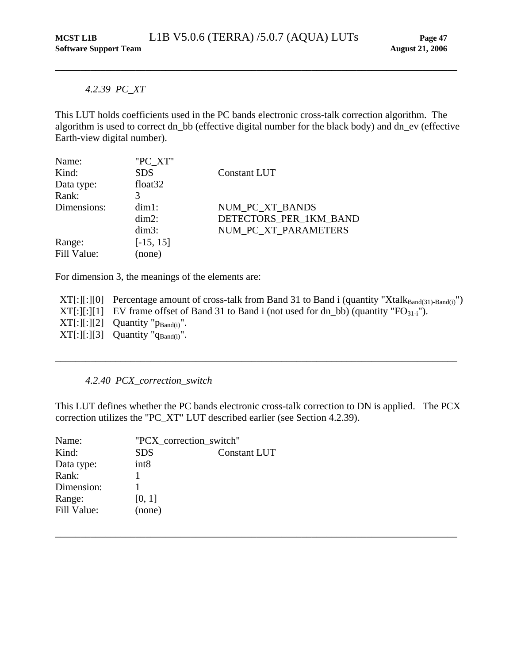## <span id="page-51-0"></span>*4.2.39 PC\_XT*

<span id="page-51-1"></span>This LUT holds coefficients used in the PC bands electronic cross-talk correction algorithm. The algorithm is used to correct dn\_bb (effective digital number for the black body) and dn\_ev (effective Earth-view digital number).

| Name:       | "PC XT"     |                        |
|-------------|-------------|------------------------|
| Kind:       | <b>SDS</b>  | Constant LUT           |
| Data type:  | float $32$  |                        |
| Rank:       |             |                        |
| Dimensions: | $dim1$ :    | NUM PC XT BANDS        |
|             | $dim2$ :    | DETECTORS PER 1KM BAND |
|             | $dim3$ :    | NUM PC XT PARAMETERS   |
| Range:      | $[-15, 15]$ |                        |
| Fill Value: | (none)      |                        |

For dimension 3, the meanings of the elements are:

 $XT[:][:][0]$  Percentage amount of cross-talk from Band 31 to Band i (quantity "Xtalk $_{Band(31)- Band(i)}$ ")  $XT[:][:][1]$  EV frame offset of Band 31 to Band i (not used for dn\_bb) (quantity " $FO_{31-i}$ ").  $XT[:][:][2]$  Quantity " $p_{Band(i)}$ ".  $XT[:][:][3]$  Quantity " $q_{Band(i)}$ ".

<span id="page-51-2"></span>\_\_\_\_\_\_\_\_\_\_\_\_\_\_\_\_\_\_\_\_\_\_\_\_\_\_\_\_\_\_\_\_\_\_\_\_\_\_\_\_\_\_\_\_\_\_\_\_\_\_\_\_\_\_\_\_\_\_\_\_\_\_\_\_\_\_\_\_\_\_\_\_\_\_\_\_\_\_\_\_

## *4.2.40 PCX\_correction\_switch*

This LUT defines whether the PC bands electronic cross-talk correction to DN is applied. The PCX correction utilizes the "PC\_XT" LUT described earlier (see Section [4.2.39\)](#page-51-1).

| Name:       |                  | "PCX correction switch" |  |
|-------------|------------------|-------------------------|--|
| Kind:       | <b>SDS</b>       | <b>Constant LUT</b>     |  |
| Data type:  | int <sub>8</sub> |                         |  |
| Rank:       |                  |                         |  |
| Dimension:  |                  |                         |  |
| Range:      | [0, 1]           |                         |  |
| Fill Value: | (none)           |                         |  |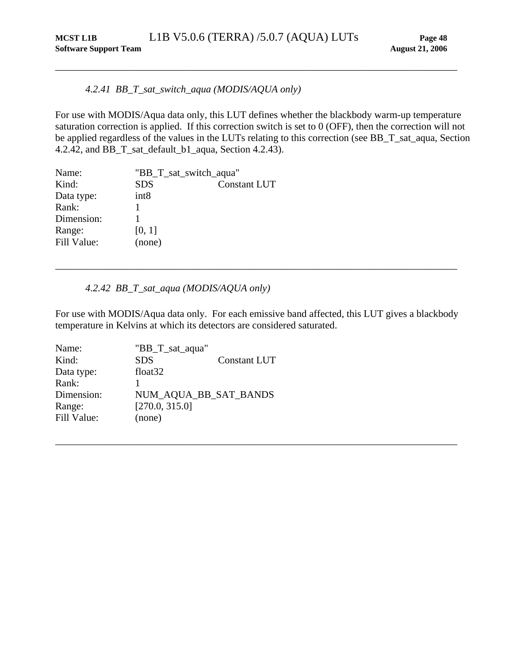## *4.2.41 BB\_T\_sat\_switch\_aqua (MODIS/AQUA only)*

For use with MODIS/Aqua data only, this LUT defines whether the blackbody warm-up temperature saturation correction is applied. If this correction switch is set to 0 (OFF), then the correction will not be applied regardless of the values in the LUTs relating to this correction (see BB\_T\_sat\_aqua, Section [4.2.42](#page-52-2), and BB\_T\_sat\_default\_b1\_aqua, Section [4.2.43\)](#page-53-1).

<span id="page-52-1"></span><span id="page-52-0"></span>\_\_\_\_\_\_\_\_\_\_\_\_\_\_\_\_\_\_\_\_\_\_\_\_\_\_\_\_\_\_\_\_\_\_\_\_\_\_\_\_\_\_\_\_\_\_\_\_\_\_\_\_\_\_\_\_\_\_\_\_\_\_\_\_\_\_\_\_\_\_\_\_\_\_\_\_\_\_\_\_

| Name:       | "BB_T_sat_switch_aqua" |                     |
|-------------|------------------------|---------------------|
| Kind:       | <b>SDS</b>             | <b>Constant LUT</b> |
| Data type:  | int8                   |                     |
| Rank:       |                        |                     |
| Dimension:  |                        |                     |
| Range:      | [0, 1]                 |                     |
| Fill Value: | (none)                 |                     |
|             |                        |                     |

## *4.2.42 BB\_T\_sat\_aqua (MODIS/AQUA only)*

<span id="page-52-2"></span>For use with MODIS/Aqua data only. For each emissive band affected, this LUT gives a blackbody temperature in Kelvins at which its detectors are considered saturated.

\_\_\_\_\_\_\_\_\_\_\_\_\_\_\_\_\_\_\_\_\_\_\_\_\_\_\_\_\_\_\_\_\_\_\_\_\_\_\_\_\_\_\_\_\_\_\_\_\_\_\_\_\_\_\_\_\_\_\_\_\_\_\_\_\_\_\_\_\_\_\_\_\_\_\_\_\_\_\_\_

| Name:       | "BB_T_sat_aqua"       |                     |
|-------------|-----------------------|---------------------|
| Kind:       | <b>SDS</b>            | <b>Constant LUT</b> |
| Data type:  | float <sub>32</sub>   |                     |
| Rank:       |                       |                     |
| Dimension:  | NUM_AQUA_BB_SAT_BANDS |                     |
| Range:      | [270.0, 315.0]        |                     |
| Fill Value: | (none)                |                     |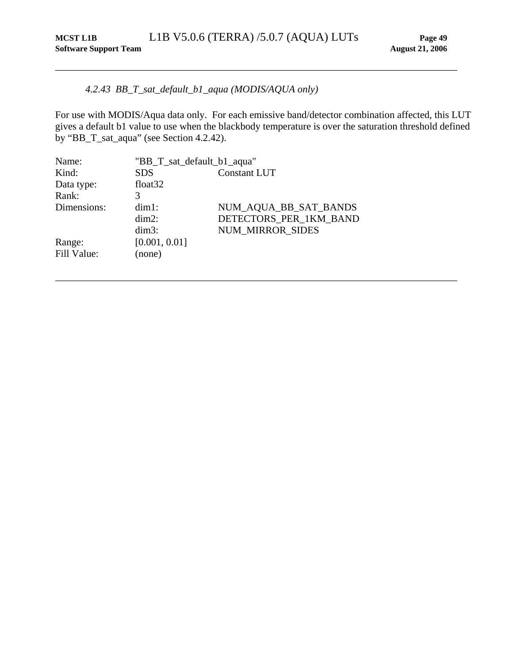## <span id="page-53-0"></span>*4.2.43 BB\_T\_sat\_default\_b1\_aqua (MODIS/AQUA only)*

<span id="page-53-1"></span>For use with MODIS/Aqua data only. For each emissive band/detector combination affected, this LUT gives a default b1 value to use when the blackbody temperature is over the saturation threshold defined by "BB\_T\_sat\_aqua" (see Section [4.2.42](#page-52-2)).

| Name:       | "BB_T_sat_default_b1_aqua" |                         |
|-------------|----------------------------|-------------------------|
| Kind:       | <b>SDS</b>                 | <b>Constant LUT</b>     |
| Data type:  | float <sub>32</sub>        |                         |
| Rank:       | 3                          |                         |
| Dimensions: | $dim1$ :                   | NUM_AQUA_BB_SAT_BANDS   |
|             | $dim2$ :                   | DETECTORS_PER_1KM_BAND  |
|             | $dim3$ :                   | <b>NUM MIRROR SIDES</b> |
| Range:      | [0.001, 0.01]              |                         |
| Fill Value: | (none)                     |                         |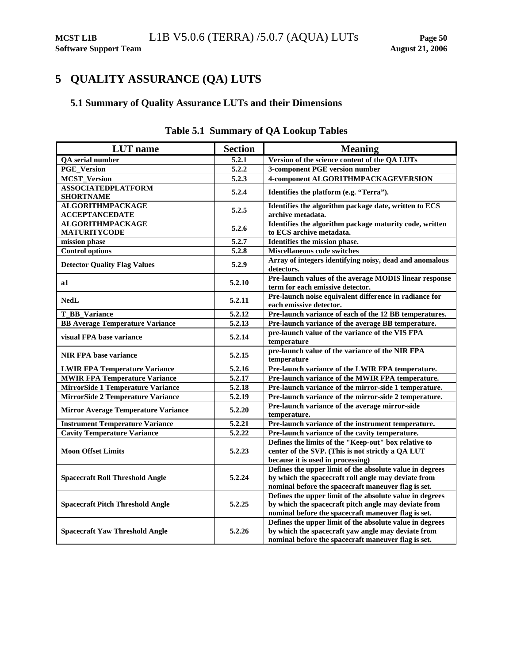## <span id="page-54-1"></span><span id="page-54-0"></span>**5 QUALITY ASSURANCE (QA) LUTS**

## **5.1 Summary of Quality Assurance LUTs and their Dimensions**

| <b>LUT</b> name                                  | <b>Section</b>     | <b>Meaning</b>                                                                                                                                                          |
|--------------------------------------------------|--------------------|-------------------------------------------------------------------------------------------------------------------------------------------------------------------------|
| <b>QA</b> serial number                          | 5.2.1              | Version of the science content of the QA LUTs                                                                                                                           |
| <b>PGE_Version</b>                               | $\overline{5.2.2}$ | <b>3-component PGE version number</b>                                                                                                                                   |
| <b>MCST_Version</b>                              | 5.2.3              | 4-component ALGORITHMPACKAGEVERSION                                                                                                                                     |
| <b>ASSOCIATEDPLATFORM</b><br><b>SHORTNAME</b>    | 5.2.4              | Identifies the platform (e.g. "Terra").                                                                                                                                 |
| <b>ALGORITHMPACKAGE</b><br><b>ACCEPTANCEDATE</b> | 5.2.5              | Identifies the algorithm package date, written to ECS<br>archive metadata.                                                                                              |
| <b>ALGORITHMPACKAGE</b><br><b>MATURITYCODE</b>   | 5.2.6              | Identifies the algorithm package maturity code, written<br>to ECS archive metadata.                                                                                     |
| mission phase                                    | 5.2.7              | Identifies the mission phase.                                                                                                                                           |
| <b>Control options</b>                           | 5.2.8              | <b>Miscellaneous code switches</b>                                                                                                                                      |
| <b>Detector Quality Flag Values</b>              | 5.2.9              | Array of integers identifying noisy, dead and anomalous<br>detectors.                                                                                                   |
| a1                                               | 5.2.10             | Pre-launch values of the average MODIS linear response<br>term for each emissive detector.                                                                              |
| <b>NedL</b>                                      | 5.2.11             | Pre-launch noise equivalent difference in radiance for<br>each emissive detector.                                                                                       |
| T_BB_Variance                                    | 5.2.12             | Pre-launch variance of each of the 12 BB temperatures.                                                                                                                  |
| <b>BB Average Temperature Variance</b>           | 5.2.13             | Pre-launch variance of the average BB temperature.                                                                                                                      |
| visual FPA base variance                         | 5.2.14             | pre-launch value of the variance of the VIS FPA<br>temperature                                                                                                          |
| <b>NIR FPA base variance</b>                     | 5.2.15             | pre-launch value of the variance of the NIR FPA<br>temperature                                                                                                          |
| <b>LWIR FPA Temperature Variance</b>             | 5.2.16             | Pre-launch variance of the LWIR FPA temperature.                                                                                                                        |
| <b>MWIR FPA Temperature Variance</b>             | 5.2.17             | Pre-launch variance of the MWIR FPA temperature.                                                                                                                        |
| <b>MirrorSide 1 Temperature Variance</b>         | 5.2.18             | Pre-launch variance of the mirror-side 1 temperature.                                                                                                                   |
| <b>MirrorSide 2 Temperature Variance</b>         | 5.2.19             | Pre-launch variance of the mirror-side 2 temperature.                                                                                                                   |
| <b>Mirror Average Temperature Variance</b>       | 5.2.20             | Pre-launch variance of the average mirror-side<br>temperature.                                                                                                          |
| <b>Instrument Temperature Variance</b>           | 5.2.21             | Pre-launch variance of the instrument temperature.                                                                                                                      |
| <b>Cavity Temperature Variance</b>               | 5.2.22             | Pre-launch variance of the cavity temperature.                                                                                                                          |
| <b>Moon Offset Limits</b>                        | 5.2.23             | Defines the limits of the "Keep-out" box relative to<br>center of the SVP. (This is not strictly a QA LUT<br>because it is used in processing)                          |
| <b>Spacecraft Roll Threshold Angle</b>           | 5.2.24             | Defines the upper limit of the absolute value in degrees<br>by which the spacecraft roll angle may deviate from<br>nominal before the spacecraft maneuver flag is set.  |
| <b>Spacecraft Pitch Threshold Angle</b>          | 5.2.25             | Defines the upper limit of the absolute value in degrees<br>by which the spacecraft pitch angle may deviate from<br>nominal before the spacecraft maneuver flag is set. |
| <b>Spacecraft Yaw Threshold Angle</b>            | 5.2.26             | Defines the upper limit of the absolute value in degrees<br>by which the spacecraft yaw angle may deviate from<br>nominal before the spacecraft maneuver flag is set.   |

## **Table 5.1 Summary of QA Lookup Tables**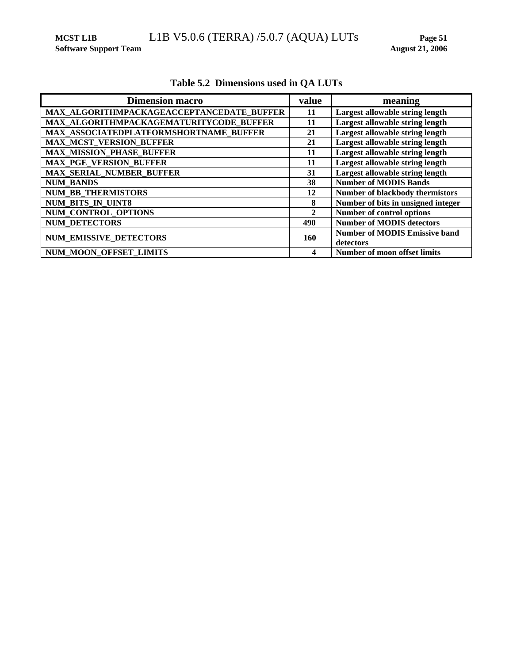<span id="page-55-0"></span>MCST L1B L1B V5.0.6 (TERRA) /5.0.7 (AQUA) LUTs Page 51 **Page 51 Page 51 August 21, 2006** 

**Software Support Team** 

| <b>Dimension macro</b>                    | value        | meaning                                |
|-------------------------------------------|--------------|----------------------------------------|
| MAX ALGORITHMPACKAGEACCEPTANCEDATE BUFFER | 11           | Largest allowable string length        |
| MAX ALGORITHMPACKAGEMATURITYCODE BUFFER   | 11           | Largest allowable string length        |
| MAX ASSOCIATEDPLATFORMSHORTNAME BUFFER    | 21           | Largest allowable string length        |
| <b>MAX MCST VERSION BUFFER</b>            | 21           | Largest allowable string length        |
| <b>MAX MISSION PHASE BUFFER</b>           | 11           | Largest allowable string length        |
| <b>MAX_PGE_VERSION_BUFFER</b>             | 11           | Largest allowable string length        |
| <b>MAX SERIAL NUMBER BUFFER</b>           | 31           | Largest allowable string length        |
| <b>NUM BANDS</b>                          | 38           | <b>Number of MODIS Bands</b>           |
| <b>NUM BB THERMISTORS</b>                 | 12           | <b>Number of blackbody thermistors</b> |
| <b>NUM BITS IN UINT8</b>                  | 8            | Number of bits in unsigned integer     |
| NUM CONTROL OPTIONS                       | $\mathbf{2}$ | <b>Number of control options</b>       |
| <b>NUM DETECTORS</b>                      | 490          | <b>Number of MODIS detectors</b>       |
| <b>NUM EMISSIVE DETECTORS</b>             | 160          | <b>Number of MODIS Emissive band</b>   |
|                                           |              | detectors                              |
| <b>NUM MOON OFFSET LIMITS</b>             | 4            | Number of moon offset limits           |

## **Table 5.2 Dimensions used in QA LUTs**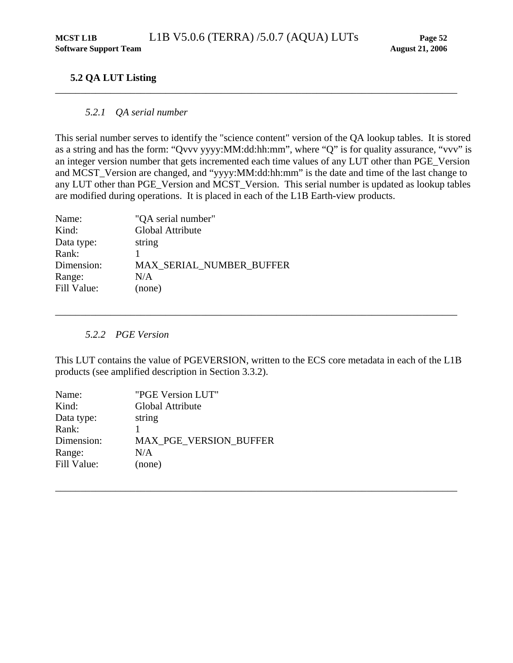## <span id="page-56-0"></span>**5.2 QA LUT Listing**

## *5.2.1 QA serial number*

<span id="page-56-1"></span>This serial number serves to identify the "science content" version of the QA lookup tables. It is stored as a string and has the form: "Qvvv yyyy:MM:dd:hh:mm", where "Q" is for quality assurance, "vvv" is an integer version number that gets incremented each time values of any LUT other than PGE\_Version and MCST\_Version are changed, and "yyyy:MM:dd:hh:mm" is the date and time of the last change to any LUT other than PGE\_Version and MCST\_Version. This serial number is updated as lookup tables are modified during operations. It is placed in each of the L1B Earth-view products.

| "QA serial number"       |
|--------------------------|
| <b>Global Attribute</b>  |
| string                   |
|                          |
| MAX SERIAL NUMBER BUFFER |
| N/A                      |
| (none)                   |
|                          |

## *5.2.2 PGE Version*

<span id="page-56-2"></span>This LUT contains the value of PGEVERSION, written to the ECS core metadata in each of the L1B products (see amplified description in Section [3.3.2](#page-12-1)).

\_\_\_\_\_\_\_\_\_\_\_\_\_\_\_\_\_\_\_\_\_\_\_\_\_\_\_\_\_\_\_\_\_\_\_\_\_\_\_\_\_\_\_\_\_\_\_\_\_\_\_\_\_\_\_\_\_\_\_\_\_\_\_\_\_\_\_\_\_\_\_\_\_\_\_\_\_\_\_\_

| "PGE Version LUT"             |
|-------------------------------|
| Global Attribute              |
| string                        |
|                               |
| <b>MAX PGE VERSION BUFFER</b> |
| N/A                           |
| (none)                        |
|                               |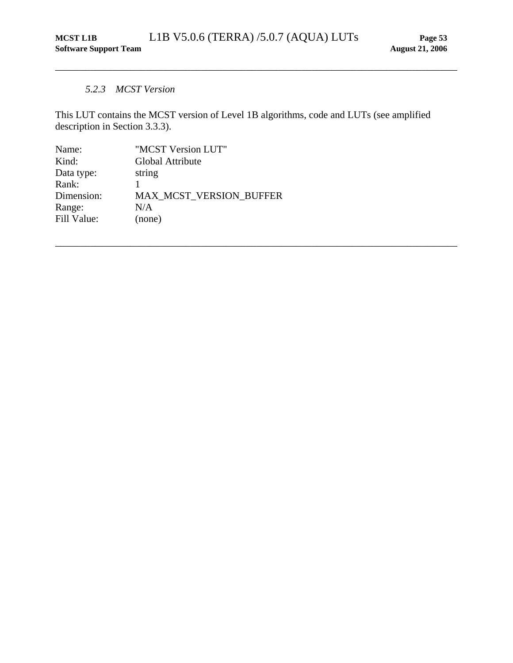## *5.2.3 MCST Version*

<span id="page-57-1"></span>This LUT contains the MCST version of Level 1B algorithms, code and LUTs (see amplified description in Section [3.3.3\)](#page-13-1).

<span id="page-57-0"></span>\_\_\_\_\_\_\_\_\_\_\_\_\_\_\_\_\_\_\_\_\_\_\_\_\_\_\_\_\_\_\_\_\_\_\_\_\_\_\_\_\_\_\_\_\_\_\_\_\_\_\_\_\_\_\_\_\_\_\_\_\_\_\_\_\_\_\_\_\_\_\_\_\_\_\_\_\_\_\_\_

| Name:       | "MCST Version LUT"             |
|-------------|--------------------------------|
| Kind:       | Global Attribute               |
| Data type:  | string                         |
| Rank:       |                                |
| Dimension:  | <b>MAX MCST VERSION BUFFER</b> |
| Range:      | N/A                            |
| Fill Value: | (none)                         |
|             |                                |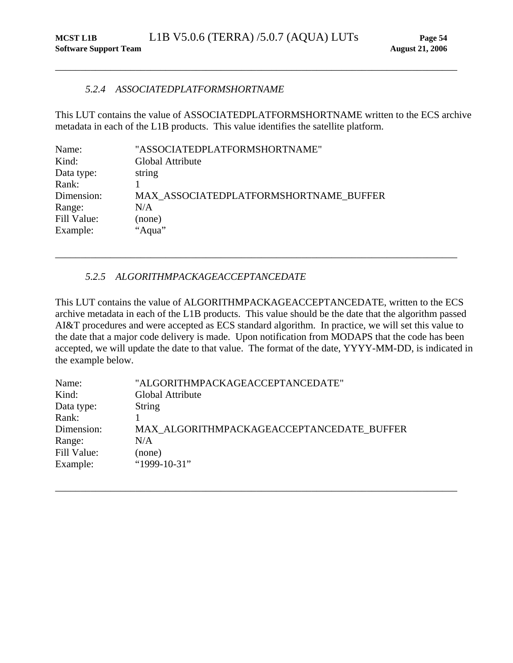#### *5.2.4 ASSOCIATEDPLATFORMSHORTNAME*

This LUT contains the value of ASSOCIATEDPLATFORMSHORTNAME written to the ECS archive metadata in each of the L1B products. This value identifies the satellite platform.

<span id="page-58-1"></span><span id="page-58-0"></span>\_\_\_\_\_\_\_\_\_\_\_\_\_\_\_\_\_\_\_\_\_\_\_\_\_\_\_\_\_\_\_\_\_\_\_\_\_\_\_\_\_\_\_\_\_\_\_\_\_\_\_\_\_\_\_\_\_\_\_\_\_\_\_\_\_\_\_\_\_\_\_\_\_\_\_\_\_\_\_\_

| Name:       | "ASSOCIATEDPLATFORMSHORTNAME"          |
|-------------|----------------------------------------|
| Kind:       | Global Attribute                       |
| Data type:  | string                                 |
| Rank:       |                                        |
| Dimension:  | MAX ASSOCIATEDPLATFORMSHORTNAME BUFFER |
| Range:      | N/A                                    |
| Fill Value: | (none)                                 |
| Example:    | "Aqua"                                 |
|             |                                        |

## *5.2.5 ALGORITHMPACKAGEACCEPTANCEDATE*

This LUT contains the value of ALGORITHMPACKAGEACCEPTANCEDATE, written to the ECS archive metadata in each of the L1B products. This value should be the date that the algorithm passed AI&T procedures and were accepted as ECS standard algorithm. In practice, we will set this value to the date that a major code delivery is made. Upon notification from MODAPS that the code has been accepted, we will update the date to that value. The format of the date, YYYY-MM-DD, is indicated in the example below.

<span id="page-58-2"></span>\_\_\_\_\_\_\_\_\_\_\_\_\_\_\_\_\_\_\_\_\_\_\_\_\_\_\_\_\_\_\_\_\_\_\_\_\_\_\_\_\_\_\_\_\_\_\_\_\_\_\_\_\_\_\_\_\_\_\_\_\_\_\_\_\_\_\_\_\_\_\_\_\_\_\_\_\_\_\_\_

| Name:       | "ALGORITHMPACKAGEACCEPTANCEDATE"          |
|-------------|-------------------------------------------|
| Kind:       | Global Attribute                          |
| Data type:  | <b>String</b>                             |
| Rank:       |                                           |
| Dimension:  | MAX_ALGORITHMPACKAGEACCEPTANCEDATE_BUFFER |
| Range:      | N/A                                       |
| Fill Value: | (none)                                    |
| Example:    | "1999-10-31"                              |
|             |                                           |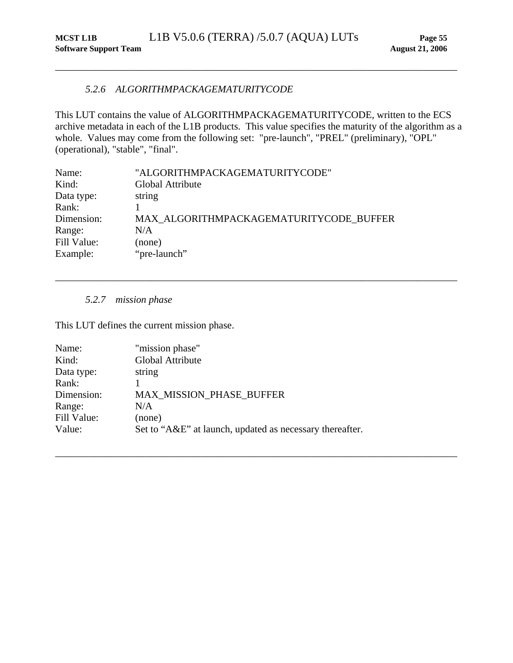## *5.2.6 ALGORITHMPACKAGEMATURITYCODE*

This LUT contains the value of ALGORITHMPACKAGEMATURITYCODE, written to the ECS archive metadata in each of the L1B products. This value specifies the maturity of the algorithm as a whole. Values may come from the following set: "pre-launch", "PREL" (preliminary), "OPL" (operational), "stable", "final".

<span id="page-59-2"></span>\_\_\_\_\_\_\_\_\_\_\_\_\_\_\_\_\_\_\_\_\_\_\_\_\_\_\_\_\_\_\_\_\_\_\_\_\_\_\_\_\_\_\_\_\_\_\_\_\_\_\_\_\_\_\_\_\_\_\_\_\_\_\_\_\_\_\_\_\_\_\_\_\_\_\_\_\_\_\_\_

\_\_\_\_\_\_\_\_\_\_\_\_\_\_\_\_\_\_\_\_\_\_\_\_\_\_\_\_\_\_\_\_\_\_\_\_\_\_\_\_\_\_\_\_\_\_\_\_\_\_\_\_\_\_\_\_\_\_\_\_\_\_\_\_\_\_\_\_\_\_\_\_\_\_\_\_\_\_\_\_

<span id="page-59-1"></span><span id="page-59-0"></span>\_\_\_\_\_\_\_\_\_\_\_\_\_\_\_\_\_\_\_\_\_\_\_\_\_\_\_\_\_\_\_\_\_\_\_\_\_\_\_\_\_\_\_\_\_\_\_\_\_\_\_\_\_\_\_\_\_\_\_\_\_\_\_\_\_\_\_\_\_\_\_\_\_\_\_\_\_\_\_\_

| Name:       | "ALGORITHMPACKAGEMATURITYCODE"          |
|-------------|-----------------------------------------|
| Kind:       | Global Attribute                        |
| Data type:  | string                                  |
| Rank:       |                                         |
| Dimension:  | MAX ALGORITHMPACKAGEMATURITYCODE BUFFER |
| Range:      | N/A                                     |
| Fill Value: | (none)                                  |
| Example:    | "pre-launch"                            |
|             |                                         |

*5.2.7 mission phase* 

This LUT defines the current mission phase.

| Name:       | "mission phase"                                          |
|-------------|----------------------------------------------------------|
| Kind:       | Global Attribute                                         |
| Data type:  | string                                                   |
| Rank:       |                                                          |
| Dimension:  | <b>MAX MISSION PHASE BUFFER</b>                          |
| Range:      | N/A                                                      |
| Fill Value: | (none)                                                   |
| Value:      | Set to "A&E" at launch, updated as necessary thereafter. |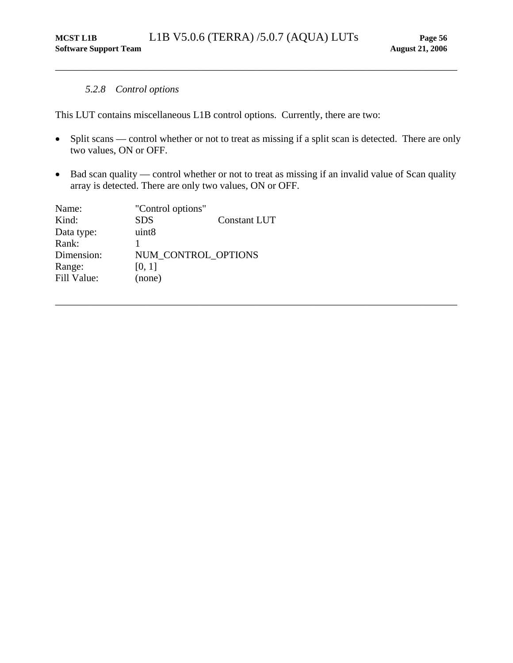#### *5.2.8 Control options*

<span id="page-60-1"></span>This LUT contains miscellaneous L1B control options. Currently, there are two:

• Split scans — control whether or not to treat as missing if a split scan is detected. There are only two values, ON or OFF.

<span id="page-60-0"></span>\_\_\_\_\_\_\_\_\_\_\_\_\_\_\_\_\_\_\_\_\_\_\_\_\_\_\_\_\_\_\_\_\_\_\_\_\_\_\_\_\_\_\_\_\_\_\_\_\_\_\_\_\_\_\_\_\_\_\_\_\_\_\_\_\_\_\_\_\_\_\_\_\_\_\_\_\_\_\_\_

• Bad scan quality — control whether or not to treat as missing if an invalid value of Scan quality array is detected. There are only two values, ON or OFF.

| Name:       | "Control options"   |              |
|-------------|---------------------|--------------|
| Kind:       | <b>SDS</b>          | Constant LUT |
| Data type:  | uint <sub>8</sub>   |              |
| Rank:       |                     |              |
| Dimension:  | NUM CONTROL OPTIONS |              |
| Range:      | [0, 1]              |              |
| Fill Value: | (none)              |              |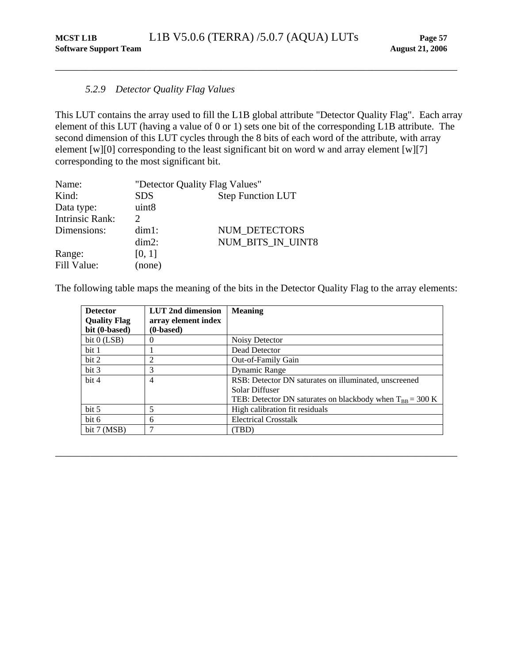## *5.2.9 Detector Quality Flag Values*

This LUT contains the array used to fill the L1B global attribute "Detector Quality Flag". Each array element of this LUT (having a value of 0 or 1) sets one bit of the corresponding L1B attribute. The second dimension of this LUT cycles through the 8 bits of each word of the attribute, with array element [w][0] corresponding to the least significant bit on word w and array element [w][7] corresponding to the most significant bit.

<span id="page-61-1"></span><span id="page-61-0"></span>\_\_\_\_\_\_\_\_\_\_\_\_\_\_\_\_\_\_\_\_\_\_\_\_\_\_\_\_\_\_\_\_\_\_\_\_\_\_\_\_\_\_\_\_\_\_\_\_\_\_\_\_\_\_\_\_\_\_\_\_\_\_\_\_\_\_\_\_\_\_\_\_\_\_\_\_\_\_\_\_

| Name:                  | "Detector Quality Flag Values" |                          |
|------------------------|--------------------------------|--------------------------|
| Kind:                  | <b>SDS</b>                     | <b>Step Function LUT</b> |
| Data type:             | uint8                          |                          |
| <b>Intrinsic Rank:</b> | $\mathcal{D}$                  |                          |
| Dimensions:            | $dim1$ :                       | <b>NUM DETECTORS</b>     |
|                        | $dim2$ :                       | NUM_BITS_IN_UINT8        |
| Range:                 | [0, 1]                         |                          |
| Fill Value:            | (none)                         |                          |

The following table maps the meaning of the bits in the Detector Quality Flag to the array elements:

| <b>Detector</b><br><b>Quality Flag</b> | LUT 2nd dimension<br>array element index | <b>Meaning</b>                                                        |
|----------------------------------------|------------------------------------------|-----------------------------------------------------------------------|
| bit (0-based)                          | (0-based)                                |                                                                       |
| bit $0$ (LSB)                          | U                                        | Noisy Detector                                                        |
| bit 1                                  |                                          | Dead Detector                                                         |
| bit 2                                  | 2                                        | Out-of-Family Gain                                                    |
| bit 3                                  | 3                                        | Dynamic Range                                                         |
| bit 4                                  | 4                                        | RSB: Detector DN saturates on illuminated, unscreened                 |
|                                        |                                          | Solar Diffuser                                                        |
|                                        |                                          | TEB: Detector DN saturates on blackbody when $T_{BR} = 300 \text{ K}$ |
| bit <sub>5</sub>                       | 5                                        | High calibration fit residuals                                        |
| bit 6                                  | 6                                        | <b>Electrical Crosstalk</b>                                           |
| bit 7 (MSB)                            |                                          | (TBD)                                                                 |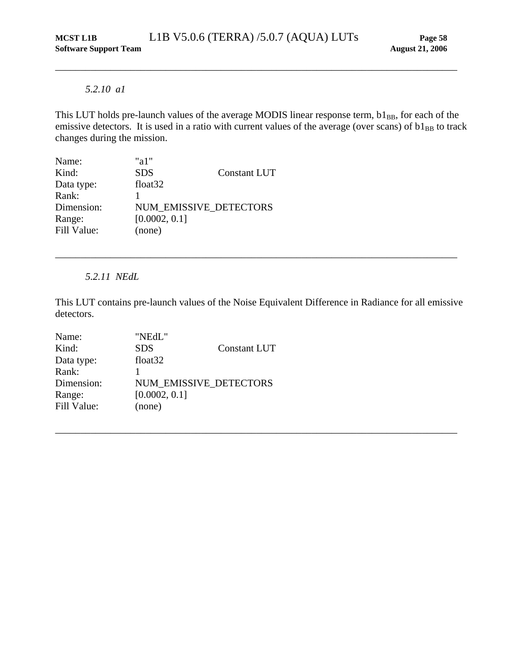#### *5.2.10 a1*

<span id="page-62-1"></span>This LUT holds pre-launch values of the average MODIS linear response term,  $b1_{BB}$ , for each of the emissive detectors. It is used in a ratio with current values of the average (over scans) of  $b1_{BB}$  to track changes during the mission.

<span id="page-62-0"></span>\_\_\_\_\_\_\_\_\_\_\_\_\_\_\_\_\_\_\_\_\_\_\_\_\_\_\_\_\_\_\_\_\_\_\_\_\_\_\_\_\_\_\_\_\_\_\_\_\_\_\_\_\_\_\_\_\_\_\_\_\_\_\_\_\_\_\_\_\_\_\_\_\_\_\_\_\_\_\_\_

| Name:       | "a $1$ "            |                        |
|-------------|---------------------|------------------------|
| Kind:       | <b>SDS</b>          | <b>Constant LUT</b>    |
| Data type:  | float <sub>32</sub> |                        |
| Rank:       |                     |                        |
| Dimension:  |                     | NUM EMISSIVE DETECTORS |
| Range:      | [0.0002, 0.1]       |                        |
| Fill Value: | (none)              |                        |

*5.2.11 NEdL* 

<span id="page-62-2"></span>This LUT contains pre-launch values of the Noise Equivalent Difference in Radiance for all emissive detectors.

\_\_\_\_\_\_\_\_\_\_\_\_\_\_\_\_\_\_\_\_\_\_\_\_\_\_\_\_\_\_\_\_\_\_\_\_\_\_\_\_\_\_\_\_\_\_\_\_\_\_\_\_\_\_\_\_\_\_\_\_\_\_\_\_\_\_\_\_\_\_\_\_\_\_\_\_\_\_\_\_

| "NEdL"                 |                     |
|------------------------|---------------------|
| <b>SDS</b>             | <b>Constant LUT</b> |
| float <sub>32</sub>    |                     |
|                        |                     |
| NUM EMISSIVE DETECTORS |                     |
| [0.0002, 0.1]          |                     |
| (none)                 |                     |
|                        |                     |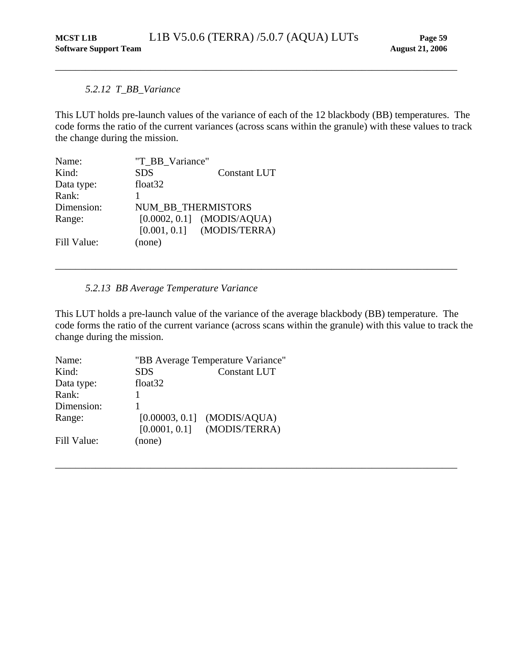## *5.2.12 T\_BB\_Variance*

This LUT holds pre-launch values of the variance of each of the 12 blackbody (BB) temperatures. The code forms the ratio of the current variances (across scans within the granule) with these values to track the change during the mission.

<span id="page-63-1"></span><span id="page-63-0"></span>\_\_\_\_\_\_\_\_\_\_\_\_\_\_\_\_\_\_\_\_\_\_\_\_\_\_\_\_\_\_\_\_\_\_\_\_\_\_\_\_\_\_\_\_\_\_\_\_\_\_\_\_\_\_\_\_\_\_\_\_\_\_\_\_\_\_\_\_\_\_\_\_\_\_\_\_\_\_\_\_

| Name:       | "T_BB_Variance"           |                              |
|-------------|---------------------------|------------------------------|
| Kind:       | <b>SDS</b>                | <b>Constant LUT</b>          |
| Data type:  | float <sub>32</sub>       |                              |
| Rank:       |                           |                              |
| Dimension:  | <b>NUM BB THERMISTORS</b> |                              |
| Range:      |                           | $[0.0002, 0.1]$ (MODIS/AQUA) |
|             |                           | $[0.001, 0.1]$ (MODIS/TERRA) |
| Fill Value: | (none)                    |                              |

## *5.2.13 BB Average Temperature Variance*

<span id="page-63-2"></span>This LUT holds a pre-launch value of the variance of the average blackbody (BB) temperature. The code forms the ratio of the current variance (across scans within the granule) with this value to track the change during the mission.

\_\_\_\_\_\_\_\_\_\_\_\_\_\_\_\_\_\_\_\_\_\_\_\_\_\_\_\_\_\_\_\_\_\_\_\_\_\_\_\_\_\_\_\_\_\_\_\_\_\_\_\_\_\_\_\_\_\_\_\_\_\_\_\_\_\_\_\_\_\_\_\_\_\_\_\_\_\_\_\_

| Name:       | "BB Average Temperature Variance" |                               |
|-------------|-----------------------------------|-------------------------------|
| Kind:       | <b>SDS</b>                        | <b>Constant LUT</b>           |
| Data type:  | float <sub>32</sub>               |                               |
| Rank:       |                                   |                               |
| Dimension:  |                                   |                               |
| Range:      |                                   | $[0.00003, 0.1]$ (MODIS/AQUA) |
|             | [0.0001, 0.1]                     | (MODIS/TERRA)                 |
| Fill Value: | (none)                            |                               |
|             |                                   |                               |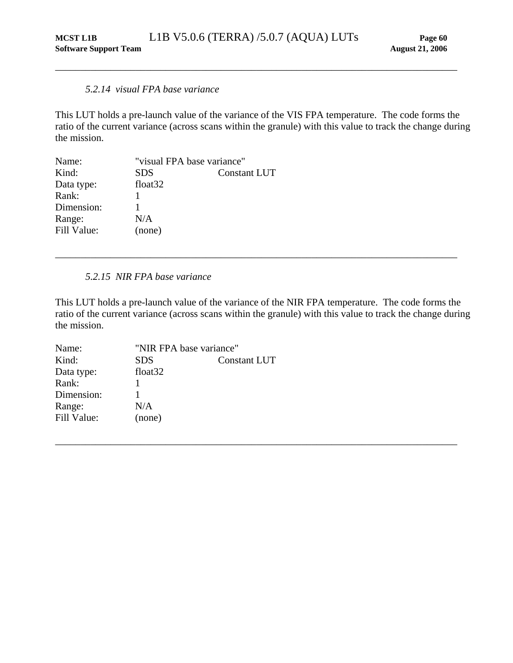#### *5.2.14 visual FPA base variance*

This LUT holds a pre-launch value of the variance of the VIS FPA temperature. The code forms the ratio of the current variance (across scans within the granule) with this value to track the change during the mission.

<span id="page-64-1"></span><span id="page-64-0"></span>\_\_\_\_\_\_\_\_\_\_\_\_\_\_\_\_\_\_\_\_\_\_\_\_\_\_\_\_\_\_\_\_\_\_\_\_\_\_\_\_\_\_\_\_\_\_\_\_\_\_\_\_\_\_\_\_\_\_\_\_\_\_\_\_\_\_\_\_\_\_\_\_\_\_\_\_\_\_\_\_

| Name:       | "visual FPA base variance" |                     |
|-------------|----------------------------|---------------------|
| Kind:       | <b>SDS</b>                 | <b>Constant LUT</b> |
| Data type:  | float <sub>32</sub>        |                     |
| Rank:       |                            |                     |
| Dimension:  |                            |                     |
| Range:      | N/A                        |                     |
| Fill Value: | (none)                     |                     |

## *5.2.15 NIR FPA base variance*

<span id="page-64-2"></span>This LUT holds a pre-launch value of the variance of the NIR FPA temperature. The code forms the ratio of the current variance (across scans within the granule) with this value to track the change during the mission.

\_\_\_\_\_\_\_\_\_\_\_\_\_\_\_\_\_\_\_\_\_\_\_\_\_\_\_\_\_\_\_\_\_\_\_\_\_\_\_\_\_\_\_\_\_\_\_\_\_\_\_\_\_\_\_\_\_\_\_\_\_\_\_\_\_\_\_\_\_\_\_\_\_\_\_\_\_\_\_\_

| Name:       | "NIR FPA base variance" |                     |
|-------------|-------------------------|---------------------|
| Kind:       | <b>SDS</b>              | <b>Constant LUT</b> |
| Data type:  | float <sub>32</sub>     |                     |
| Rank:       |                         |                     |
| Dimension:  |                         |                     |
| Range:      | N/A                     |                     |
| Fill Value: | (none)                  |                     |
|             |                         |                     |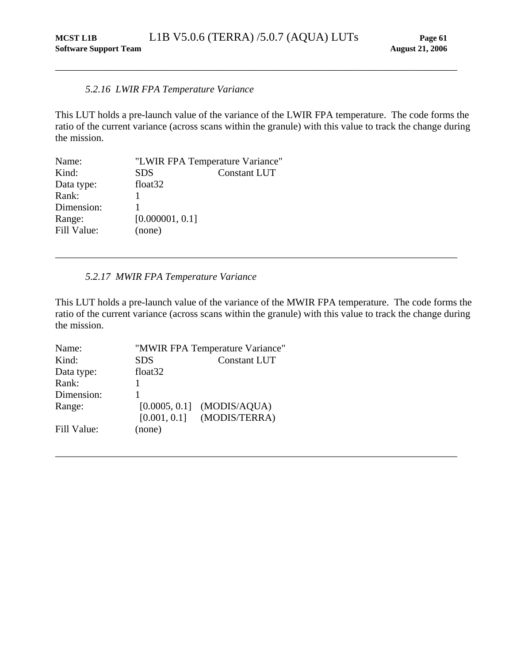## <span id="page-65-0"></span>*5.2.16 LWIR FPA Temperature Variance*

<span id="page-65-1"></span>This LUT holds a pre-launch value of the variance of the LWIR FPA temperature. The code forms the ratio of the current variance (across scans within the granule) with this value to track the change during the mission.

| Name:       | "LWIR FPA Temperature Variance" |                     |
|-------------|---------------------------------|---------------------|
| Kind:       | <b>SDS</b>                      | <b>Constant LUT</b> |
| Data type:  | float <sub>32</sub>             |                     |
| Rank:       |                                 |                     |
| Dimension:  |                                 |                     |
| Range:      | [0.000001, 0.1]                 |                     |
| Fill Value: | (none)                          |                     |

## *5.2.17 MWIR FPA Temperature Variance*

<span id="page-65-2"></span>This LUT holds a pre-launch value of the variance of the MWIR FPA temperature. The code forms the ratio of the current variance (across scans within the granule) with this value to track the change during the mission.

\_\_\_\_\_\_\_\_\_\_\_\_\_\_\_\_\_\_\_\_\_\_\_\_\_\_\_\_\_\_\_\_\_\_\_\_\_\_\_\_\_\_\_\_\_\_\_\_\_\_\_\_\_\_\_\_\_\_\_\_\_\_\_\_\_\_\_\_\_\_\_\_\_\_\_\_\_\_\_\_

| Name:       |                     | "MWIR FPA Temperature Variance" |
|-------------|---------------------|---------------------------------|
| Kind:       | <b>SDS</b>          | <b>Constant LUT</b>             |
| Data type:  | float <sub>32</sub> |                                 |
| Rank:       |                     |                                 |
| Dimension:  | 1                   |                                 |
| Range:      | [0.0005, 0.1]       | (MODIS/AQUA)                    |
|             | [0.001, 0.1]        | (MODIS/TERRA)                   |
| Fill Value: | (none)              |                                 |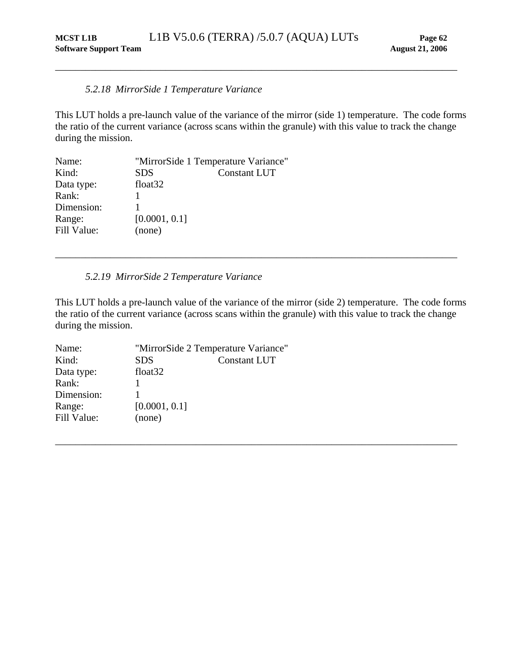#### *5.2.18 MirrorSide 1 Temperature Variance*

This LUT holds a pre-launch value of the variance of the mirror (side 1) temperature. The code forms the ratio of the current variance (across scans within the granule) with this value to track the change during the mission.

<span id="page-66-1"></span><span id="page-66-0"></span>\_\_\_\_\_\_\_\_\_\_\_\_\_\_\_\_\_\_\_\_\_\_\_\_\_\_\_\_\_\_\_\_\_\_\_\_\_\_\_\_\_\_\_\_\_\_\_\_\_\_\_\_\_\_\_\_\_\_\_\_\_\_\_\_\_\_\_\_\_\_\_\_\_\_\_\_\_\_\_\_

| Name:       | "MirrorSide 1 Temperature Variance" |                     |
|-------------|-------------------------------------|---------------------|
| Kind:       | <b>SDS</b>                          | <b>Constant LUT</b> |
| Data type:  | float <sub>32</sub>                 |                     |
| Rank:       |                                     |                     |
| Dimension:  |                                     |                     |
| Range:      | [0.0001, 0.1]                       |                     |
| Fill Value: | (none)                              |                     |

#### *5.2.19 MirrorSide 2 Temperature Variance*

<span id="page-66-2"></span>This LUT holds a pre-launch value of the variance of the mirror (side 2) temperature. The code forms the ratio of the current variance (across scans within the granule) with this value to track the change during the mission.

\_\_\_\_\_\_\_\_\_\_\_\_\_\_\_\_\_\_\_\_\_\_\_\_\_\_\_\_\_\_\_\_\_\_\_\_\_\_\_\_\_\_\_\_\_\_\_\_\_\_\_\_\_\_\_\_\_\_\_\_\_\_\_\_\_\_\_\_\_\_\_\_\_\_\_\_\_\_\_\_

| Name:       | "MirrorSide 2 Temperature Variance" |                     |
|-------------|-------------------------------------|---------------------|
| Kind:       | <b>SDS</b>                          | <b>Constant LUT</b> |
| Data type:  | float <sub>32</sub>                 |                     |
| Rank:       |                                     |                     |
| Dimension:  |                                     |                     |
| Range:      | [0.0001, 0.1]                       |                     |
| Fill Value: | (none)                              |                     |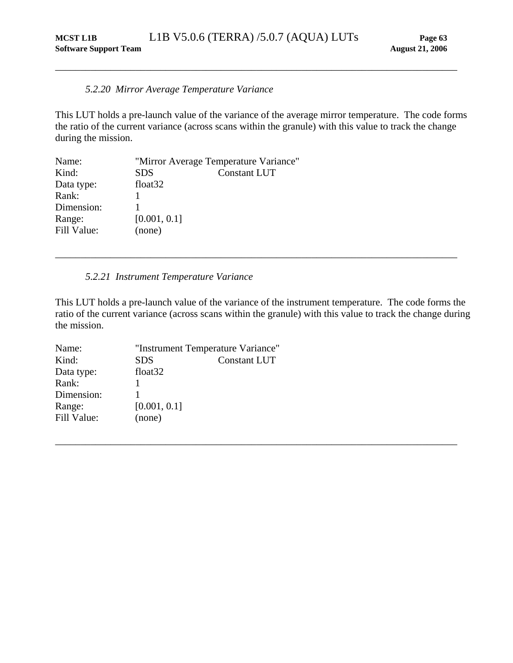#### *5.2.20 Mirror Average Temperature Variance*

This LUT holds a pre-launch value of the variance of the average mirror temperature. The code forms the ratio of the current variance (across scans within the granule) with this value to track the change during the mission.

<span id="page-67-1"></span><span id="page-67-0"></span>\_\_\_\_\_\_\_\_\_\_\_\_\_\_\_\_\_\_\_\_\_\_\_\_\_\_\_\_\_\_\_\_\_\_\_\_\_\_\_\_\_\_\_\_\_\_\_\_\_\_\_\_\_\_\_\_\_\_\_\_\_\_\_\_\_\_\_\_\_\_\_\_\_\_\_\_\_\_\_\_

| Name:       |                     | "Mirror Average Temperature Variance" |
|-------------|---------------------|---------------------------------------|
| Kind:       | <b>SDS</b>          | <b>Constant LUT</b>                   |
| Data type:  | float <sub>32</sub> |                                       |
| Rank:       |                     |                                       |
| Dimension:  |                     |                                       |
| Range:      | [0.001, 0.1]        |                                       |
| Fill Value: | (none)              |                                       |

## *5.2.21 Instrument Temperature Variance*

<span id="page-67-2"></span>This LUT holds a pre-launch value of the variance of the instrument temperature. The code forms the ratio of the current variance (across scans within the granule) with this value to track the change during the mission.

\_\_\_\_\_\_\_\_\_\_\_\_\_\_\_\_\_\_\_\_\_\_\_\_\_\_\_\_\_\_\_\_\_\_\_\_\_\_\_\_\_\_\_\_\_\_\_\_\_\_\_\_\_\_\_\_\_\_\_\_\_\_\_\_\_\_\_\_\_\_\_\_\_\_\_\_\_\_\_\_

| "Instrument Temperature Variance" |                     |
|-----------------------------------|---------------------|
| <b>SDS</b>                        | <b>Constant LUT</b> |
| float <sub>32</sub>               |                     |
|                                   |                     |
|                                   |                     |
| [0.001, 0.1]                      |                     |
| (none)                            |                     |
|                                   |                     |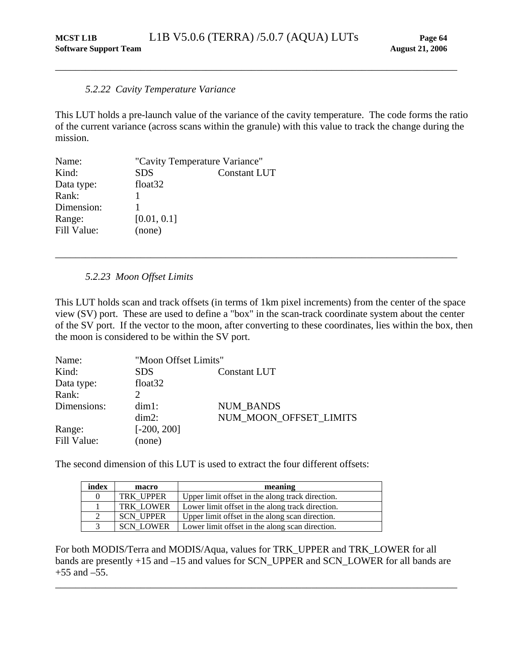#### <span id="page-68-0"></span>*5.2.22 Cavity Temperature Variance*

<span id="page-68-1"></span>This LUT holds a pre-launch value of the variance of the cavity temperature. The code forms the ratio of the current variance (across scans within the granule) with this value to track the change during the mission.

| Name:       | "Cavity Temperature Variance" |                     |
|-------------|-------------------------------|---------------------|
| Kind:       | <b>SDS</b>                    | <b>Constant LUT</b> |
| Data type:  | float <sub>32</sub>           |                     |
| Rank:       |                               |                     |
| Dimension:  |                               |                     |
| Range:      | [0.01, 0.1]                   |                     |
| Fill Value: | (none)                        |                     |

#### *5.2.23 Moon Offset Limits*

This LUT holds scan and track offsets (in terms of 1km pixel increments) from the center of the space view (SV) port. These are used to define a "box" in the scan-track coordinate system about the center of the SV port. If the vector to the moon, after converting to these coordinates, lies within the box, then the moon is considered to be within the SV port.

<span id="page-68-2"></span>\_\_\_\_\_\_\_\_\_\_\_\_\_\_\_\_\_\_\_\_\_\_\_\_\_\_\_\_\_\_\_\_\_\_\_\_\_\_\_\_\_\_\_\_\_\_\_\_\_\_\_\_\_\_\_\_\_\_\_\_\_\_\_\_\_\_\_\_\_\_\_\_\_\_\_\_\_\_\_\_

| Name:       |                     | "Moon Offset Limits"   |  |  |
|-------------|---------------------|------------------------|--|--|
| Kind:       | <b>SDS</b>          | <b>Constant LUT</b>    |  |  |
| Data type:  | float <sub>32</sub> |                        |  |  |
| Rank:       |                     |                        |  |  |
| Dimensions: | $dim1$ :            | <b>NUM BANDS</b>       |  |  |
|             | $dim2$ :            | NUM MOON OFFSET LIMITS |  |  |
| Range:      | $[-200, 200]$       |                        |  |  |
| Fill Value: | (none)              |                        |  |  |

The second dimension of this LUT is used to extract the four different offsets:

| index  | macro            | meaning                                          |  |
|--------|------------------|--------------------------------------------------|--|
|        | <b>TRK UPPER</b> | Upper limit offset in the along track direction. |  |
|        | <b>TRK LOWER</b> | Lower limit offset in the along track direction. |  |
| 2      | <b>SCN UPPER</b> | Upper limit offset in the along scan direction.  |  |
| $\sim$ | <b>SCN LOWER</b> | Lower limit offset in the along scan direction.  |  |

For both MODIS/Terra and MODIS/Aqua, values for TRK\_UPPER and TRK\_LOWER for all bands are presently +15 and –15 and values for SCN\_UPPER and SCN\_LOWER for all bands are  $+55$  and  $-55$ .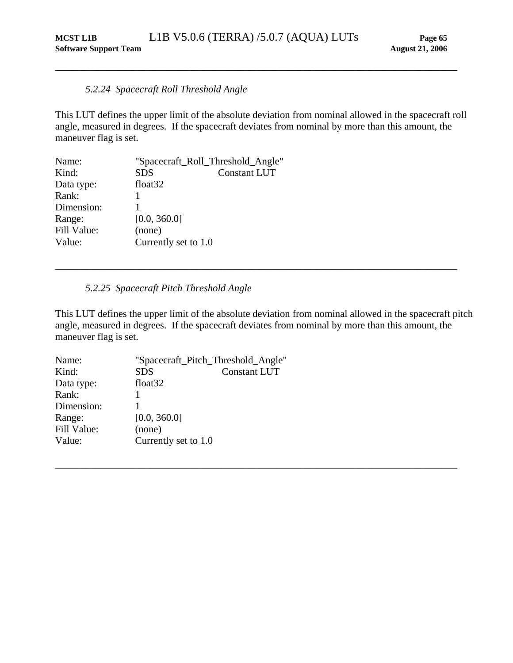## *5.2.24 Spacecraft Roll Threshold Angle*

This LUT defines the upper limit of the absolute deviation from nominal allowed in the spacecraft roll angle, measured in degrees. If the spacecraft deviates from nominal by more than this amount, the maneuver flag is set.

<span id="page-69-1"></span><span id="page-69-0"></span>\_\_\_\_\_\_\_\_\_\_\_\_\_\_\_\_\_\_\_\_\_\_\_\_\_\_\_\_\_\_\_\_\_\_\_\_\_\_\_\_\_\_\_\_\_\_\_\_\_\_\_\_\_\_\_\_\_\_\_\_\_\_\_\_\_\_\_\_\_\_\_\_\_\_\_\_\_\_\_\_

| "Spacecraft_Roll_Threshold_Angle" |                     |
|-----------------------------------|---------------------|
| <b>SDS</b>                        | <b>Constant LUT</b> |
| float <sub>32</sub>               |                     |
|                                   |                     |
|                                   |                     |
| [0.0, 360.0]                      |                     |
| (none)                            |                     |
| Currently set to 1.0              |                     |
|                                   |                     |

## *5.2.25 Spacecraft Pitch Threshold Angle*

<span id="page-69-2"></span>This LUT defines the upper limit of the absolute deviation from nominal allowed in the spacecraft pitch angle, measured in degrees. If the spacecraft deviates from nominal by more than this amount, the maneuver flag is set.

\_\_\_\_\_\_\_\_\_\_\_\_\_\_\_\_\_\_\_\_\_\_\_\_\_\_\_\_\_\_\_\_\_\_\_\_\_\_\_\_\_\_\_\_\_\_\_\_\_\_\_\_\_\_\_\_\_\_\_\_\_\_\_\_\_\_\_\_\_\_\_\_\_\_\_\_\_\_\_\_

| Name:       | "Spacecraft_Pitch_Threshold_Angle" |                     |
|-------------|------------------------------------|---------------------|
| Kind:       | <b>SDS</b>                         | <b>Constant LUT</b> |
| Data type:  | float <sub>32</sub>                |                     |
| Rank:       |                                    |                     |
| Dimension:  |                                    |                     |
| Range:      | [0.0, 360.0]                       |                     |
| Fill Value: | (none)                             |                     |
| Value:      | Currently set to 1.0               |                     |
|             |                                    |                     |